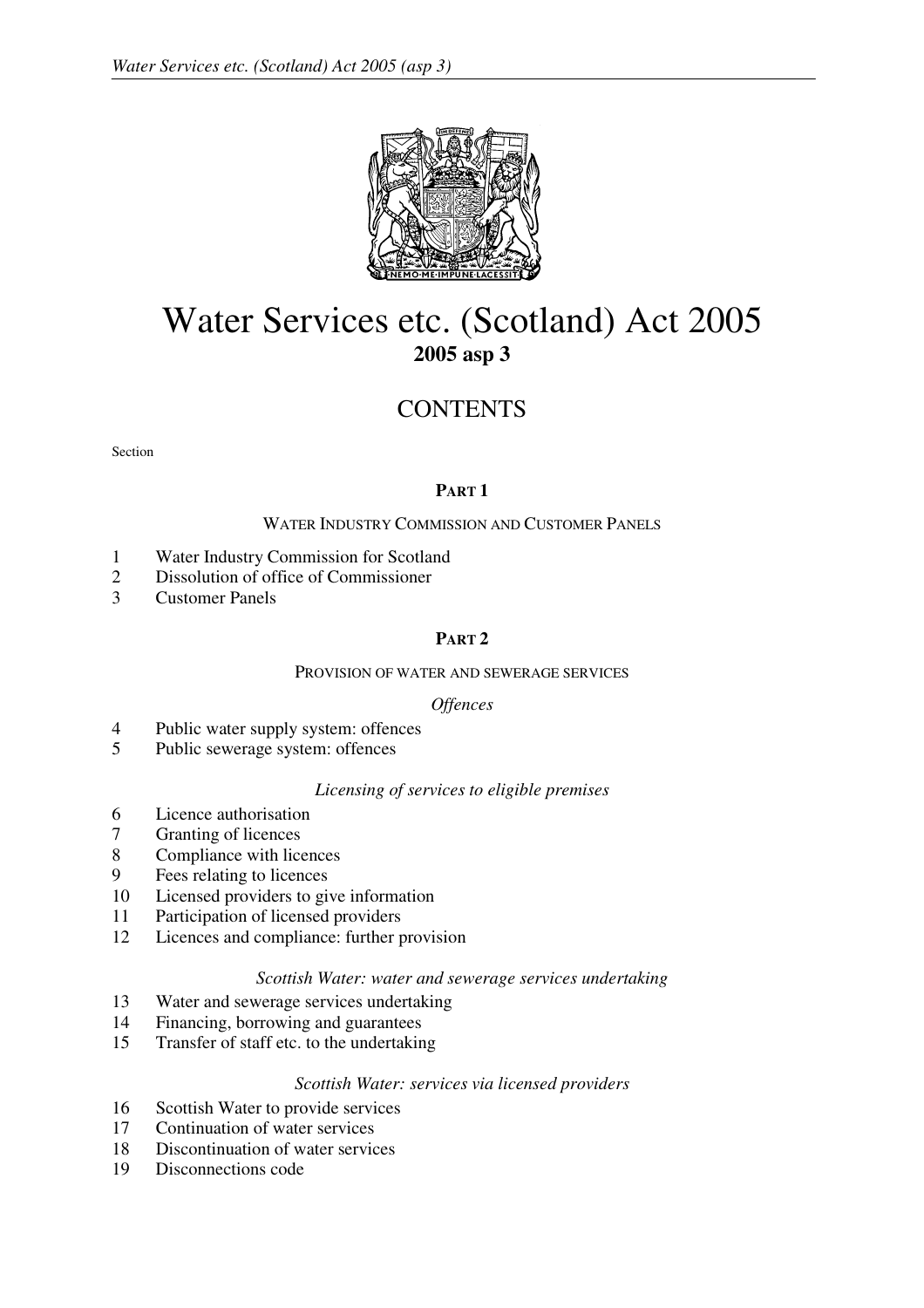

# Water Services etc. (Scotland) Act 2005 **2005 asp 3**

# **CONTENTS**

Section

# **PART 1**

# WATER INDUSTRY COMMISSION AND CUSTOMER PANELS

- 1 Water Industry Commission for Scotland
- 2 Dissolution of office of Commissioner
- 3 Customer Panels

# **PART 2**

## PROVISION OF WATER AND SEWERAGE SERVICES

## *Offences*

- 4 Public water supply system: offences
- 5 Public sewerage system: offences

# *Licensing of services to eligible premises*

- 6 Licence authorisation
- 7 Granting of licences
- 8 Compliance with licences
- 9 Fees relating to licences
- 10 Licensed providers to give information
- 11 Participation of licensed providers
- 12 Licences and compliance: further provision

# *Scottish Water: water and sewerage services undertaking*

- 13 Water and sewerage services undertaking
- 14 Financing, borrowing and guarantees
- 15 Transfer of staff etc. to the undertaking

## *Scottish Water: services via licensed providers*

- 16 Scottish Water to provide services
- 17 Continuation of water services
- 18 Discontinuation of water services
- 19 Disconnections code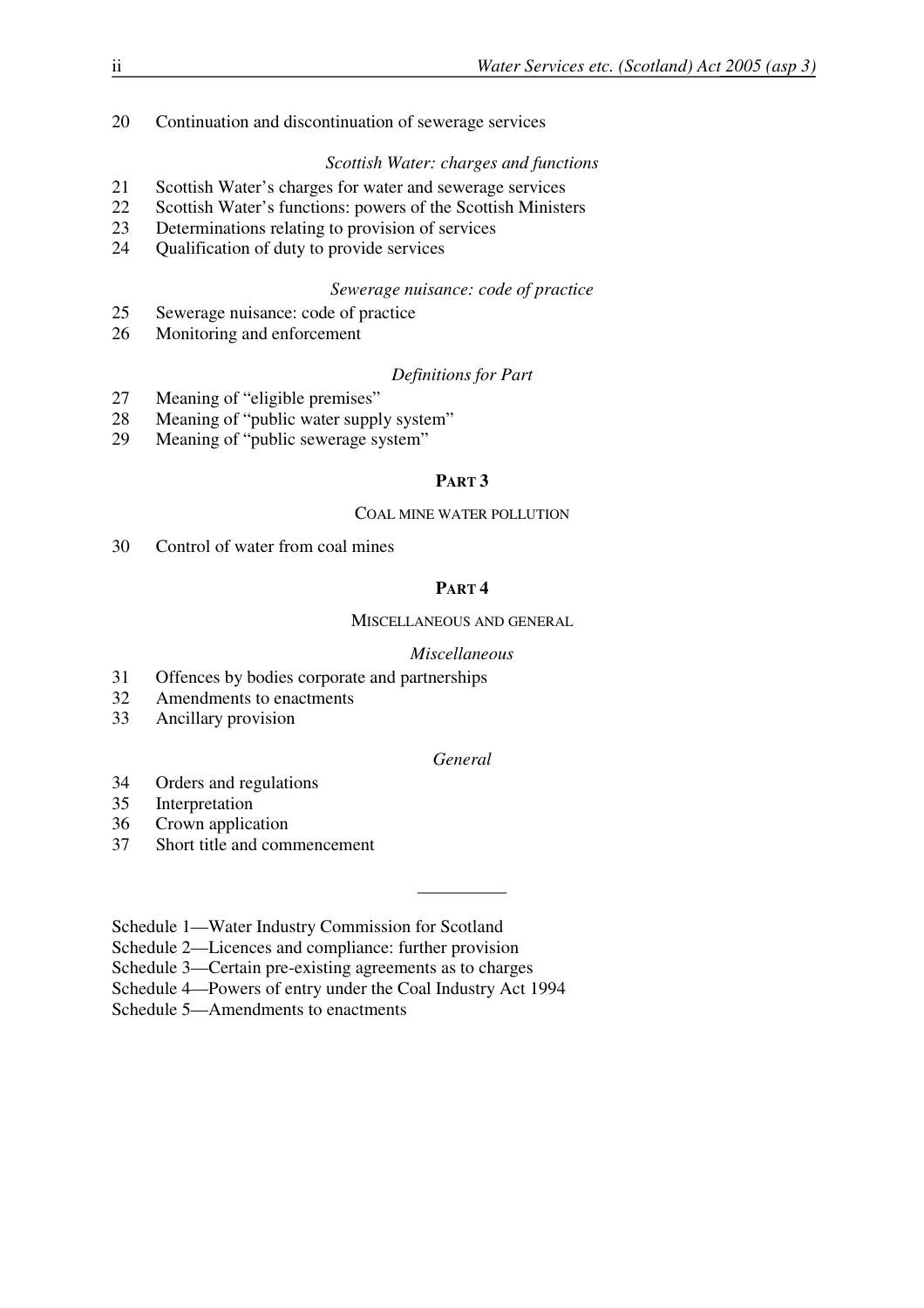20 Continuation and discontinuation of sewerage services

# *Scottish Water: charges and functions*

- 21 Scottish Water's charges for water and sewerage services
- 22 Scottish Water's functions: powers of the Scottish Ministers
- 23 Determinations relating to provision of services
- 24 Qualification of duty to provide services

## *Sewerage nuisance: code of practice*

- 25 Sewerage nuisance: code of practice
- 26 Monitoring and enforcement

## *Definitions for Part*

- 27 Meaning of "eligible premises"
- 28 Meaning of "public water supply system"
- 29 Meaning of "public sewerage system"

# **PART 3**

## COAL MINE WATER POLLUTION

30 Control of water from coal mines

# **PART 4**

## MISCELLANEOUS AND GENERAL

## *Miscellaneous*

- 31 Offences by bodies corporate and partnerships
- 32 Amendments to enactments
- 33 Ancillary provision

# *General*

\_\_\_\_\_\_\_\_\_\_

- 34 Orders and regulations
- 35 Interpretation
- 36 Crown application
- 37 Short title and commencement

Schedule 1—Water Industry Commission for Scotland

Schedule 2—Licences and compliance: further provision

Schedule 3—Certain pre-existing agreements as to charges

Schedule 4—Powers of entry under the Coal Industry Act 1994

Schedule 5—Amendments to enactments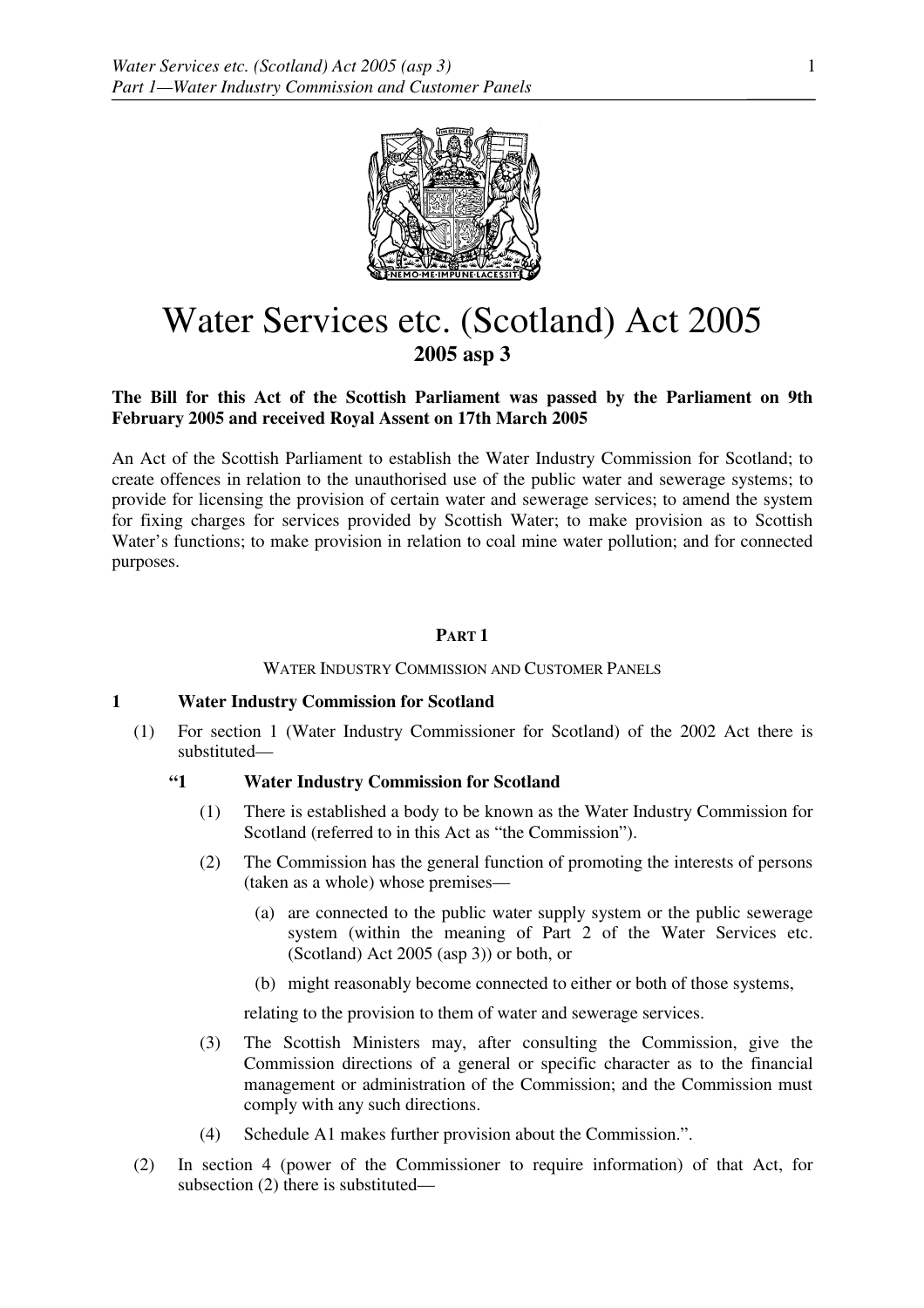

# Water Services etc. (Scotland) Act 2005 **2005 asp 3**

## **The Bill for this Act of the Scottish Parliament was passed by the Parliament on 9th February 2005 and received Royal Assent on 17th March 2005**

An Act of the Scottish Parliament to establish the Water Industry Commission for Scotland; to create offences in relation to the unauthorised use of the public water and sewerage systems; to provide for licensing the provision of certain water and sewerage services; to amend the system for fixing charges for services provided by Scottish Water; to make provision as to Scottish Water's functions; to make provision in relation to coal mine water pollution; and for connected purposes.

## **PART 1**

WATER INDUSTRY COMMISSION AND CUSTOMER PANELS

## **1 Water Industry Commission for Scotland**

(1) For section 1 (Water Industry Commissioner for Scotland) of the 2002 Act there is substituted—

# **"1 Water Industry Commission for Scotland**

- (1) There is established a body to be known as the Water Industry Commission for Scotland (referred to in this Act as "the Commission").
- (2) The Commission has the general function of promoting the interests of persons (taken as a whole) whose premises—
	- (a) are connected to the public water supply system or the public sewerage system (within the meaning of Part 2 of the Water Services etc. (Scotland) Act 2005 (asp 3)) or both, or
	- (b) might reasonably become connected to either or both of those systems,

relating to the provision to them of water and sewerage services.

- (3) The Scottish Ministers may, after consulting the Commission, give the Commission directions of a general or specific character as to the financial management or administration of the Commission; and the Commission must comply with any such directions.
- (4) Schedule A1 makes further provision about the Commission.".
- (2) In section 4 (power of the Commissioner to require information) of that Act, for subsection (2) there is substituted—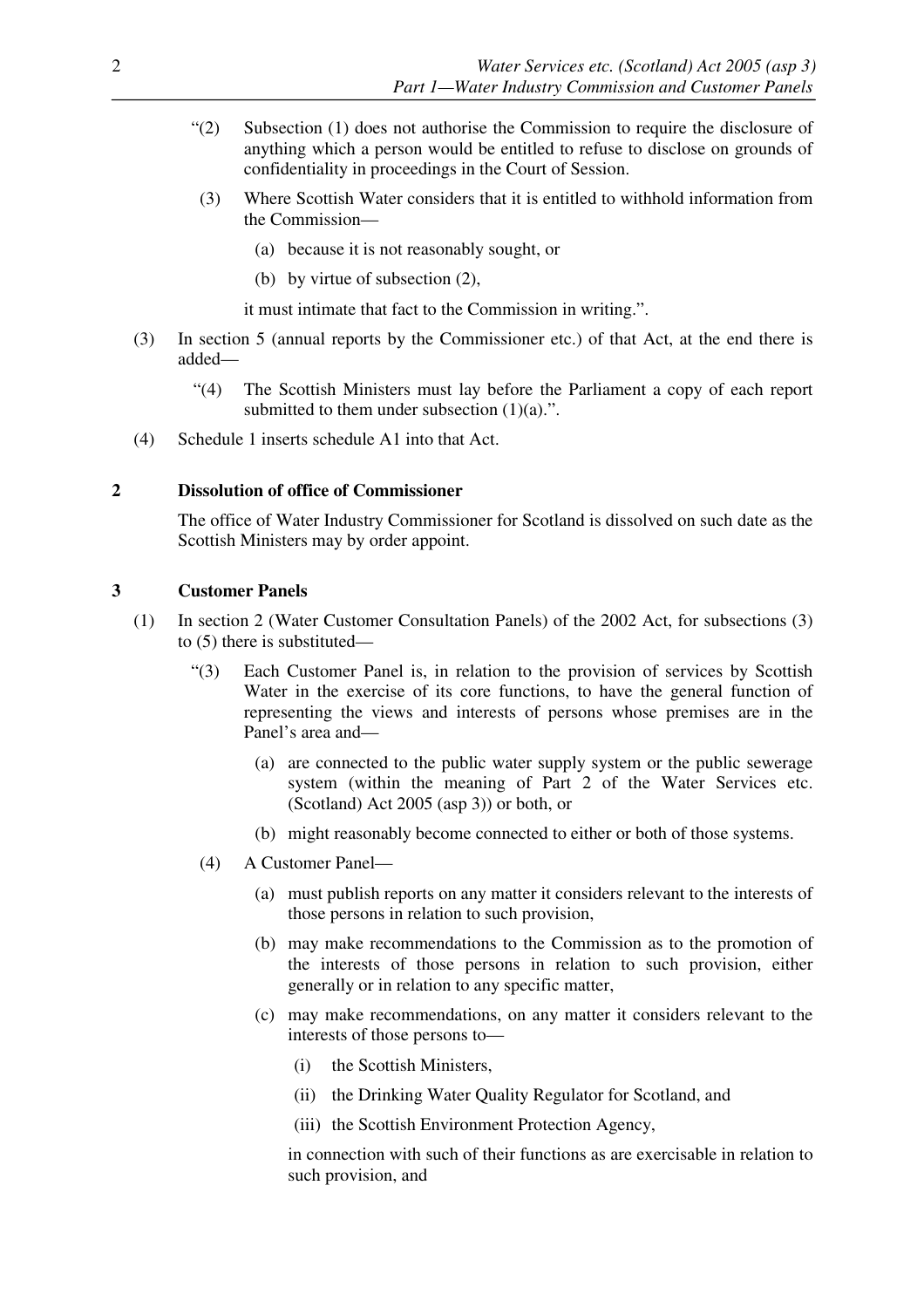- "(2) Subsection (1) does not authorise the Commission to require the disclosure of anything which a person would be entitled to refuse to disclose on grounds of confidentiality in proceedings in the Court of Session.
- (3) Where Scottish Water considers that it is entitled to withhold information from the Commission—
	- (a) because it is not reasonably sought, or
	- (b) by virtue of subsection (2),

it must intimate that fact to the Commission in writing.".

- (3) In section 5 (annual reports by the Commissioner etc.) of that Act, at the end there is added—
	- "(4) The Scottish Ministers must lay before the Parliament a copy of each report submitted to them under subsection  $(1)(a)$ .".
- (4) Schedule 1 inserts schedule A1 into that Act.

## **2 Dissolution of office of Commissioner**

The office of Water Industry Commissioner for Scotland is dissolved on such date as the Scottish Ministers may by order appoint.

## **3 Customer Panels**

- (1) In section 2 (Water Customer Consultation Panels) of the 2002 Act, for subsections (3) to (5) there is substituted—
	- "(3) Each Customer Panel is, in relation to the provision of services by Scottish Water in the exercise of its core functions, to have the general function of representing the views and interests of persons whose premises are in the Panel's area and—
		- (a) are connected to the public water supply system or the public sewerage system (within the meaning of Part 2 of the Water Services etc. (Scotland) Act 2005 (asp 3)) or both, or
		- (b) might reasonably become connected to either or both of those systems.
	- (4) A Customer Panel—
		- (a) must publish reports on any matter it considers relevant to the interests of those persons in relation to such provision,
		- (b) may make recommendations to the Commission as to the promotion of the interests of those persons in relation to such provision, either generally or in relation to any specific matter,
		- (c) may make recommendations, on any matter it considers relevant to the interests of those persons to—
			- (i) the Scottish Ministers,
			- (ii) the Drinking Water Quality Regulator for Scotland, and
			- (iii) the Scottish Environment Protection Agency,

 in connection with such of their functions as are exercisable in relation to such provision, and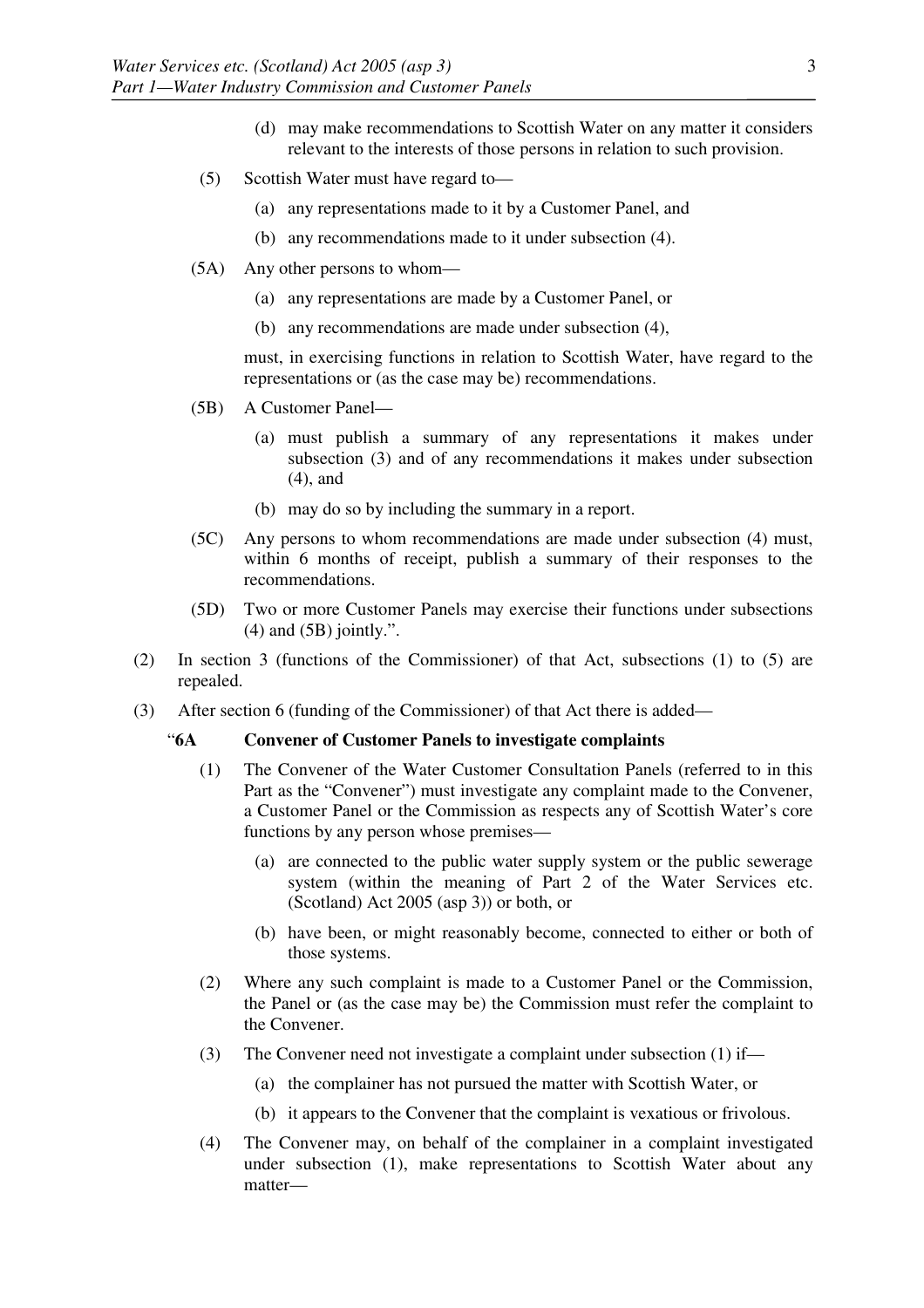- (d) may make recommendations to Scottish Water on any matter it considers relevant to the interests of those persons in relation to such provision.
- (5) Scottish Water must have regard to—
	- (a) any representations made to it by a Customer Panel, and
	- (b) any recommendations made to it under subsection (4).
- (5A) Any other persons to whom—
	- (a) any representations are made by a Customer Panel, or
	- (b) any recommendations are made under subsection (4),

 must, in exercising functions in relation to Scottish Water, have regard to the representations or (as the case may be) recommendations.

- (5B) A Customer Panel—
	- (a) must publish a summary of any representations it makes under subsection (3) and of any recommendations it makes under subsection (4), and
	- (b) may do so by including the summary in a report.
- (5C) Any persons to whom recommendations are made under subsection (4) must, within 6 months of receipt, publish a summary of their responses to the recommendations.
- (5D) Two or more Customer Panels may exercise their functions under subsections  $(4)$  and  $(5B)$  jointly.".
- (2) In section 3 (functions of the Commissioner) of that Act, subsections (1) to (5) are repealed.
- (3) After section 6 (funding of the Commissioner) of that Act there is added—

## "**6A Convener of Customer Panels to investigate complaints**

- (1) The Convener of the Water Customer Consultation Panels (referred to in this Part as the "Convener") must investigate any complaint made to the Convener, a Customer Panel or the Commission as respects any of Scottish Water's core functions by any person whose premises—
	- (a) are connected to the public water supply system or the public sewerage system (within the meaning of Part 2 of the Water Services etc. (Scotland) Act 2005 (asp 3)) or both, or
	- (b) have been, or might reasonably become, connected to either or both of those systems.
- (2) Where any such complaint is made to a Customer Panel or the Commission, the Panel or (as the case may be) the Commission must refer the complaint to the Convener.
- (3) The Convener need not investigate a complaint under subsection (1) if—
	- (a) the complainer has not pursued the matter with Scottish Water, or
	- (b) it appears to the Convener that the complaint is vexatious or frivolous.
- (4) The Convener may, on behalf of the complainer in a complaint investigated under subsection (1), make representations to Scottish Water about any matter—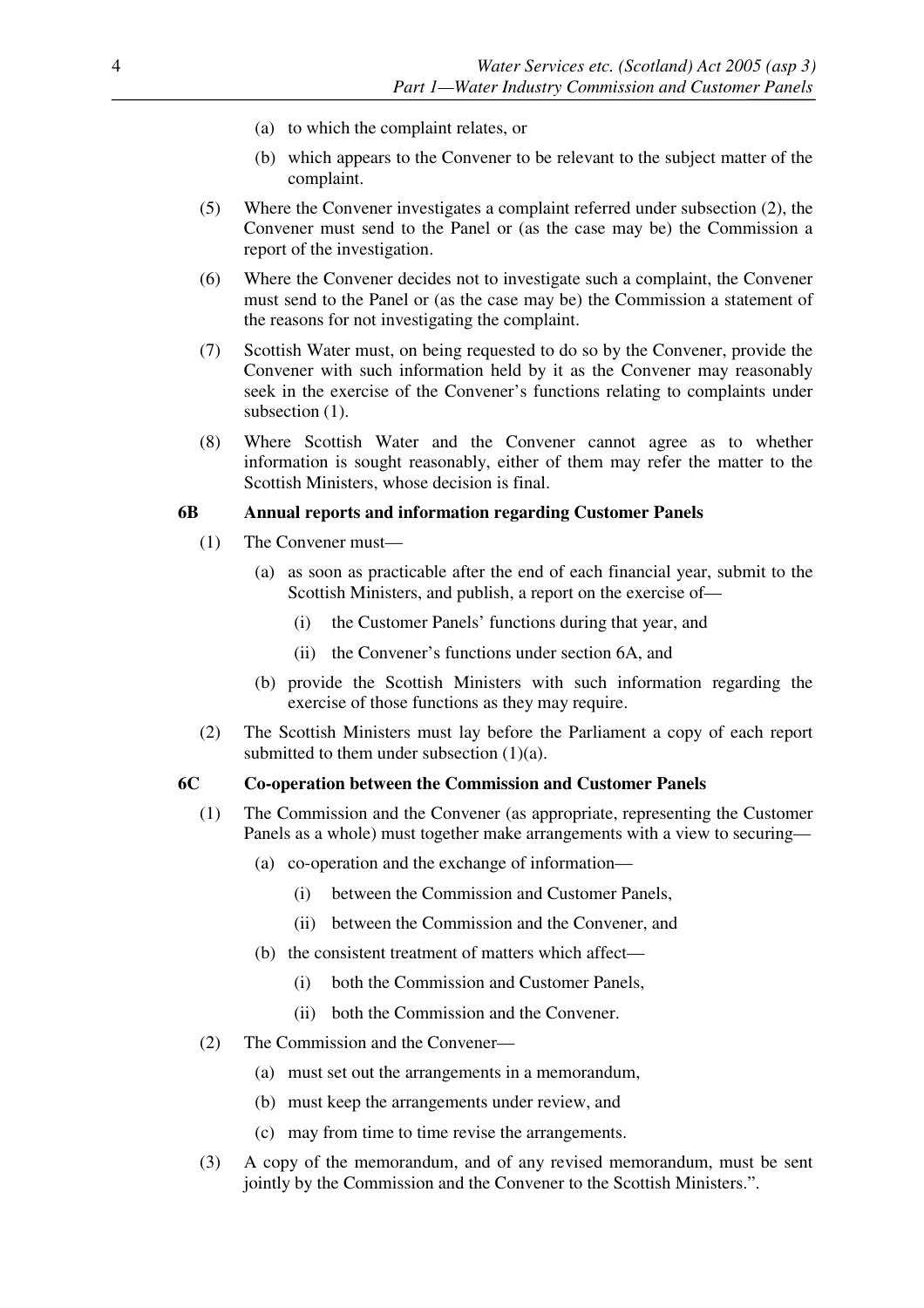- (a) to which the complaint relates, or
- (b) which appears to the Convener to be relevant to the subject matter of the complaint.
- (5) Where the Convener investigates a complaint referred under subsection (2), the Convener must send to the Panel or (as the case may be) the Commission a report of the investigation.
- (6) Where the Convener decides not to investigate such a complaint, the Convener must send to the Panel or (as the case may be) the Commission a statement of the reasons for not investigating the complaint.
- (7) Scottish Water must, on being requested to do so by the Convener, provide the Convener with such information held by it as the Convener may reasonably seek in the exercise of the Convener's functions relating to complaints under subsection  $(1)$ .
- (8) Where Scottish Water and the Convener cannot agree as to whether information is sought reasonably, either of them may refer the matter to the Scottish Ministers, whose decision is final.

## **6B Annual reports and information regarding Customer Panels**

- (1) The Convener must—
	- (a) as soon as practicable after the end of each financial year, submit to the Scottish Ministers, and publish, a report on the exercise of—
		- (i) the Customer Panels' functions during that year, and
		- (ii) the Convener's functions under section 6A, and
	- (b) provide the Scottish Ministers with such information regarding the exercise of those functions as they may require.
- (2) The Scottish Ministers must lay before the Parliament a copy of each report submitted to them under subsection (1)(a).

## **6C Co-operation between the Commission and Customer Panels**

- (1) The Commission and the Convener (as appropriate, representing the Customer Panels as a whole) must together make arrangements with a view to securing—
	- (a) co-operation and the exchange of information—
		- (i) between the Commission and Customer Panels,
		- (ii) between the Commission and the Convener, and
	- (b) the consistent treatment of matters which affect—
		- (i) both the Commission and Customer Panels,
		- (ii) both the Commission and the Convener.
- (2) The Commission and the Convener—
	- (a) must set out the arrangements in a memorandum,
	- (b) must keep the arrangements under review, and
	- (c) may from time to time revise the arrangements.
- (3) A copy of the memorandum, and of any revised memorandum, must be sent jointly by the Commission and the Convener to the Scottish Ministers.".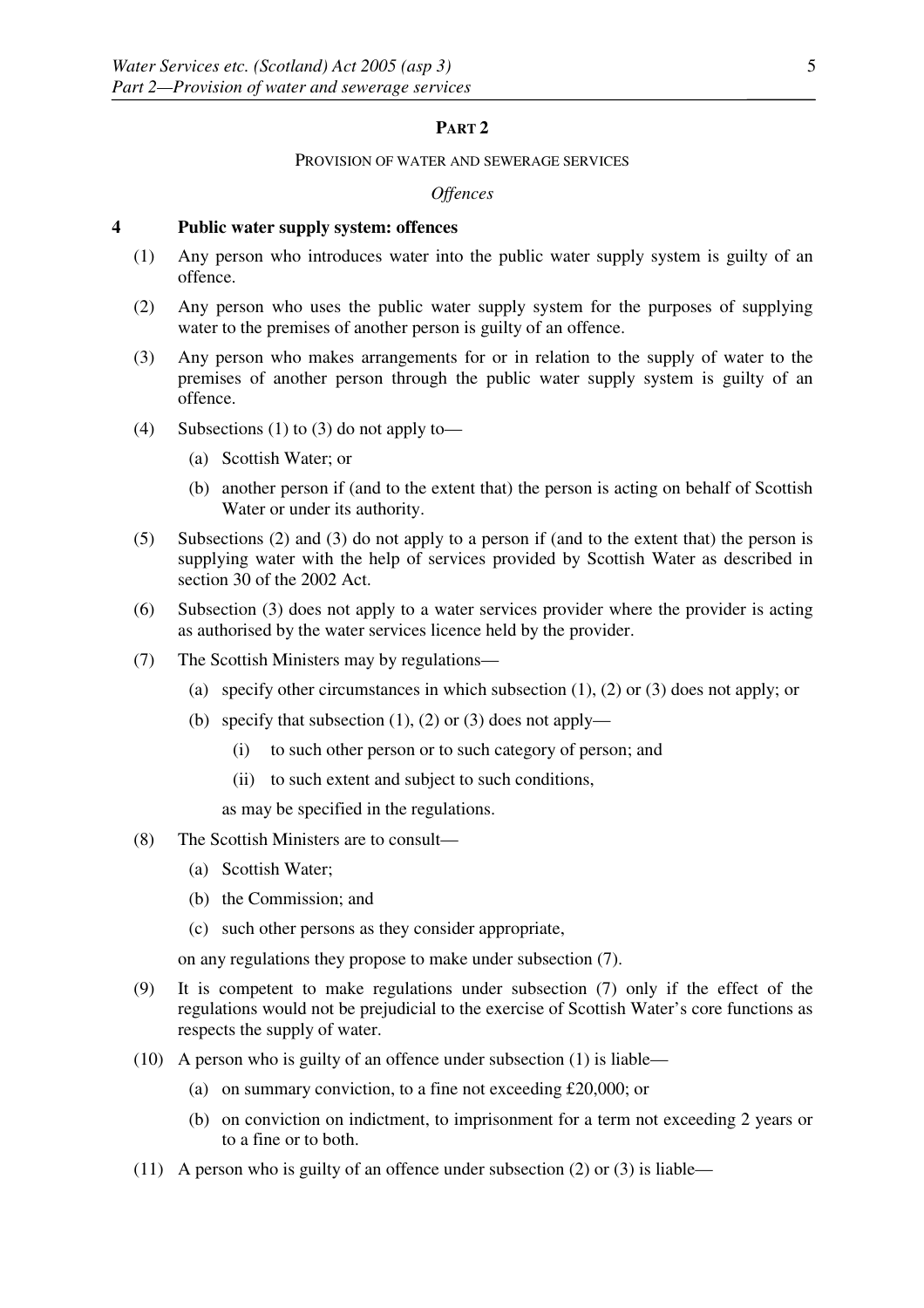## **PART 2**

#### PROVISION OF WATER AND SEWERAGE SERVICES

#### *Offences*

## **4 Public water supply system: offences**

- (1) Any person who introduces water into the public water supply system is guilty of an offence.
- (2) Any person who uses the public water supply system for the purposes of supplying water to the premises of another person is guilty of an offence.
- (3) Any person who makes arrangements for or in relation to the supply of water to the premises of another person through the public water supply system is guilty of an offence.
- (4) Subsections (1) to (3) do not apply to—
	- (a) Scottish Water; or
	- (b) another person if (and to the extent that) the person is acting on behalf of Scottish Water or under its authority.
- (5) Subsections (2) and (3) do not apply to a person if (and to the extent that) the person is supplying water with the help of services provided by Scottish Water as described in section 30 of the 2002 Act.
- (6) Subsection (3) does not apply to a water services provider where the provider is acting as authorised by the water services licence held by the provider.
- (7) The Scottish Ministers may by regulations—
	- (a) specify other circumstances in which subsection (1), (2) or (3) does not apply; or
	- (b) specify that subsection  $(1)$ ,  $(2)$  or  $(3)$  does not apply—
		- (i) to such other person or to such category of person; and
		- (ii) to such extent and subject to such conditions,

as may be specified in the regulations.

- (8) The Scottish Ministers are to consult—
	- (a) Scottish Water;
	- (b) the Commission; and
	- (c) such other persons as they consider appropriate,

on any regulations they propose to make under subsection (7).

- (9) It is competent to make regulations under subsection (7) only if the effect of the regulations would not be prejudicial to the exercise of Scottish Water's core functions as respects the supply of water.
- (10) A person who is guilty of an offence under subsection (1) is liable—
	- (a) on summary conviction, to a fine not exceeding £20,000; or
	- (b) on conviction on indictment, to imprisonment for a term not exceeding 2 years or to a fine or to both.
- (11) A person who is guilty of an offence under subsection (2) or (3) is liable—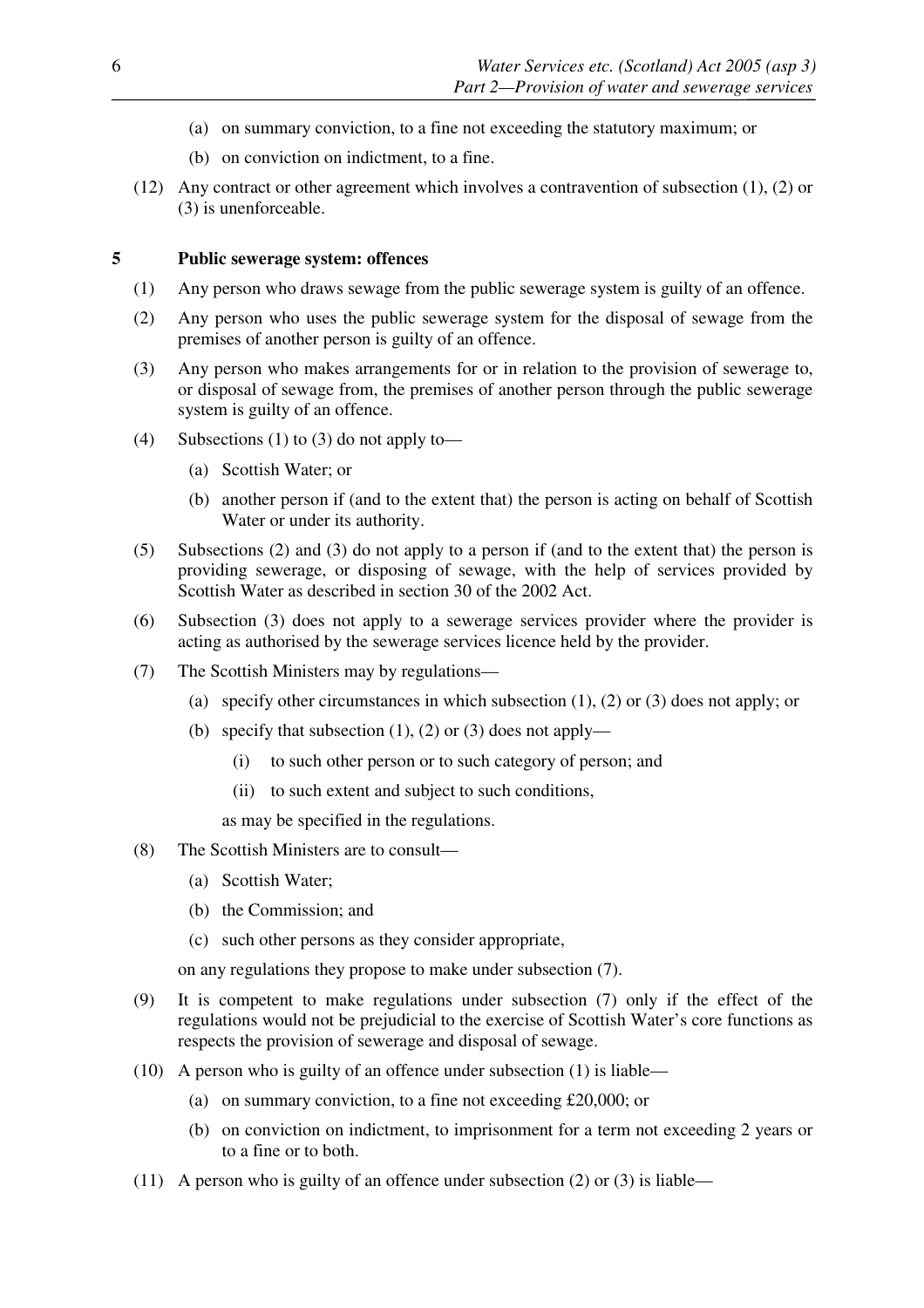- (a) on summary conviction, to a fine not exceeding the statutory maximum; or
- (b) on conviction on indictment, to a fine.
- (12) Any contract or other agreement which involves a contravention of subsection (1), (2) or (3) is unenforceable.

## **5 Public sewerage system: offences**

- (1) Any person who draws sewage from the public sewerage system is guilty of an offence.
- (2) Any person who uses the public sewerage system for the disposal of sewage from the premises of another person is guilty of an offence.
- (3) Any person who makes arrangements for or in relation to the provision of sewerage to, or disposal of sewage from, the premises of another person through the public sewerage system is guilty of an offence.
- (4) Subsections (1) to (3) do not apply to—
	- (a) Scottish Water; or
	- (b) another person if (and to the extent that) the person is acting on behalf of Scottish Water or under its authority.
- (5) Subsections (2) and (3) do not apply to a person if (and to the extent that) the person is providing sewerage, or disposing of sewage, with the help of services provided by Scottish Water as described in section 30 of the 2002 Act.
- (6) Subsection (3) does not apply to a sewerage services provider where the provider is acting as authorised by the sewerage services licence held by the provider.
- (7) The Scottish Ministers may by regulations—
	- (a) specify other circumstances in which subsection (1), (2) or (3) does not apply; or
	- (b) specify that subsection  $(1)$ ,  $(2)$  or  $(3)$  does not apply—
		- (i) to such other person or to such category of person; and
		- (ii) to such extent and subject to such conditions,

as may be specified in the regulations.

- (8) The Scottish Ministers are to consult—
	- (a) Scottish Water;
	- (b) the Commission; and
	- (c) such other persons as they consider appropriate,

on any regulations they propose to make under subsection (7).

- (9) It is competent to make regulations under subsection (7) only if the effect of the regulations would not be prejudicial to the exercise of Scottish Water's core functions as respects the provision of sewerage and disposal of sewage.
- (10) A person who is guilty of an offence under subsection (1) is liable—
	- (a) on summary conviction, to a fine not exceeding £20,000; or
	- (b) on conviction on indictment, to imprisonment for a term not exceeding 2 years or to a fine or to both.
- (11) A person who is guilty of an offence under subsection (2) or (3) is liable—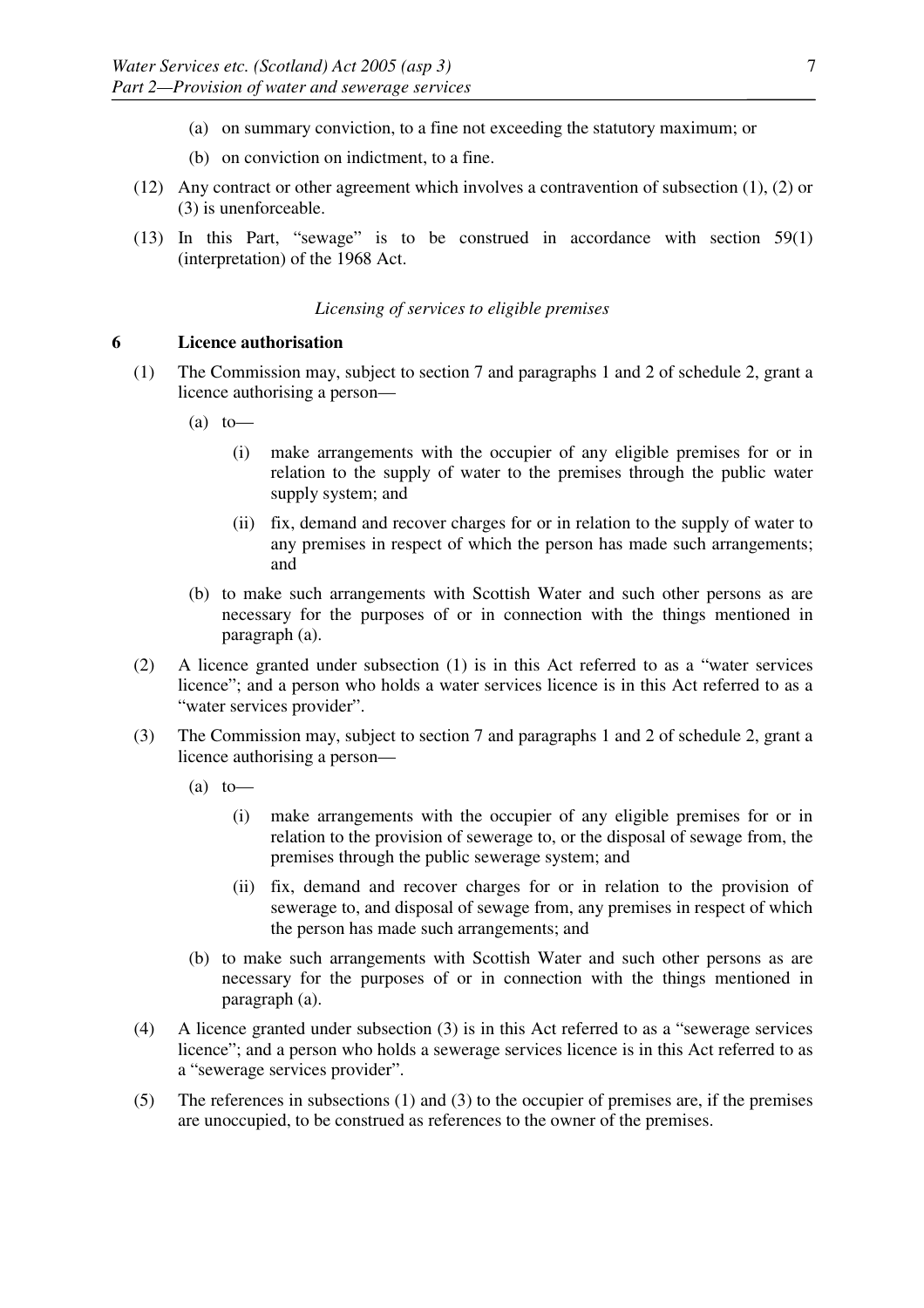- (a) on summary conviction, to a fine not exceeding the statutory maximum; or
- (b) on conviction on indictment, to a fine.
- (12) Any contract or other agreement which involves a contravention of subsection (1), (2) or (3) is unenforceable.
- (13) In this Part, "sewage" is to be construed in accordance with section 59(1) (interpretation) of the 1968 Act.

## *Licensing of services to eligible premises*

## **6 Licence authorisation**

- (1) The Commission may, subject to section 7 and paragraphs 1 and 2 of schedule 2, grant a licence authorising a person—
	- $(a)$  to
		- (i) make arrangements with the occupier of any eligible premises for or in relation to the supply of water to the premises through the public water supply system; and
		- (ii) fix, demand and recover charges for or in relation to the supply of water to any premises in respect of which the person has made such arrangements; and
	- (b) to make such arrangements with Scottish Water and such other persons as are necessary for the purposes of or in connection with the things mentioned in paragraph (a).
- (2) A licence granted under subsection (1) is in this Act referred to as a "water services licence"; and a person who holds a water services licence is in this Act referred to as a "water services provider".
- (3) The Commission may, subject to section 7 and paragraphs 1 and 2 of schedule 2, grant a licence authorising a person—
	- $(a)$  to
		- (i) make arrangements with the occupier of any eligible premises for or in relation to the provision of sewerage to, or the disposal of sewage from, the premises through the public sewerage system; and
		- (ii) fix, demand and recover charges for or in relation to the provision of sewerage to, and disposal of sewage from, any premises in respect of which the person has made such arrangements; and
	- (b) to make such arrangements with Scottish Water and such other persons as are necessary for the purposes of or in connection with the things mentioned in paragraph (a).
- (4) A licence granted under subsection (3) is in this Act referred to as a "sewerage services licence"; and a person who holds a sewerage services licence is in this Act referred to as a "sewerage services provider".
- (5) The references in subsections (1) and (3) to the occupier of premises are, if the premises are unoccupied, to be construed as references to the owner of the premises.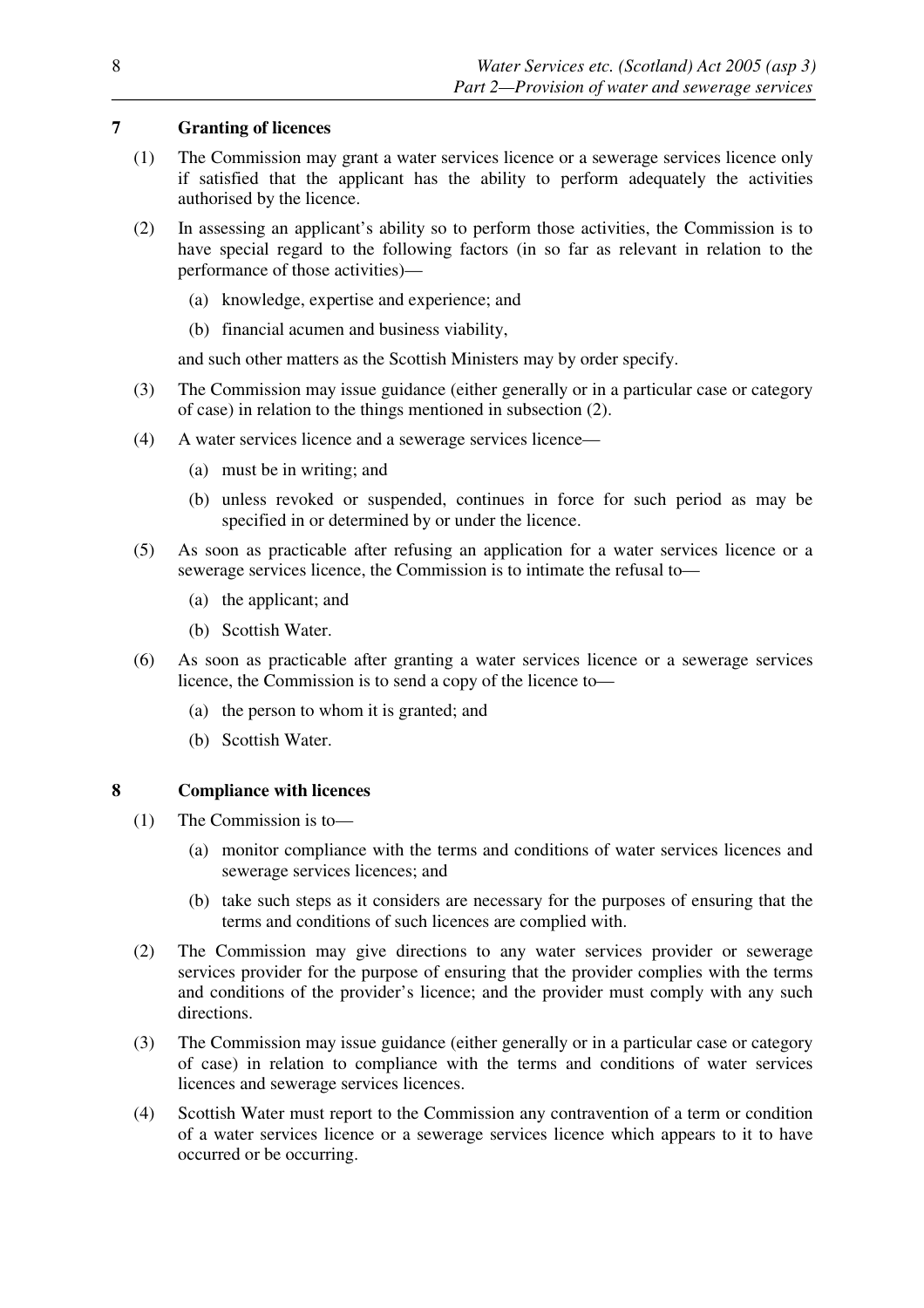# **7 Granting of licences**

- (1) The Commission may grant a water services licence or a sewerage services licence only if satisfied that the applicant has the ability to perform adequately the activities authorised by the licence.
- (2) In assessing an applicant's ability so to perform those activities, the Commission is to have special regard to the following factors (in so far as relevant in relation to the performance of those activities)—
	- (a) knowledge, expertise and experience; and
	- (b) financial acumen and business viability,

and such other matters as the Scottish Ministers may by order specify.

- (3) The Commission may issue guidance (either generally or in a particular case or category of case) in relation to the things mentioned in subsection (2).
- (4) A water services licence and a sewerage services licence—
	- (a) must be in writing; and
	- (b) unless revoked or suspended, continues in force for such period as may be specified in or determined by or under the licence.
- (5) As soon as practicable after refusing an application for a water services licence or a sewerage services licence, the Commission is to intimate the refusal to—
	- (a) the applicant; and
	- (b) Scottish Water.
- (6) As soon as practicable after granting a water services licence or a sewerage services licence, the Commission is to send a copy of the licence to—
	- (a) the person to whom it is granted; and
	- (b) Scottish Water.

# **8 Compliance with licences**

- (1) The Commission is to—
	- (a) monitor compliance with the terms and conditions of water services licences and sewerage services licences; and
	- (b) take such steps as it considers are necessary for the purposes of ensuring that the terms and conditions of such licences are complied with.
- (2) The Commission may give directions to any water services provider or sewerage services provider for the purpose of ensuring that the provider complies with the terms and conditions of the provider's licence; and the provider must comply with any such directions.
- (3) The Commission may issue guidance (either generally or in a particular case or category of case) in relation to compliance with the terms and conditions of water services licences and sewerage services licences.
- (4) Scottish Water must report to the Commission any contravention of a term or condition of a water services licence or a sewerage services licence which appears to it to have occurred or be occurring.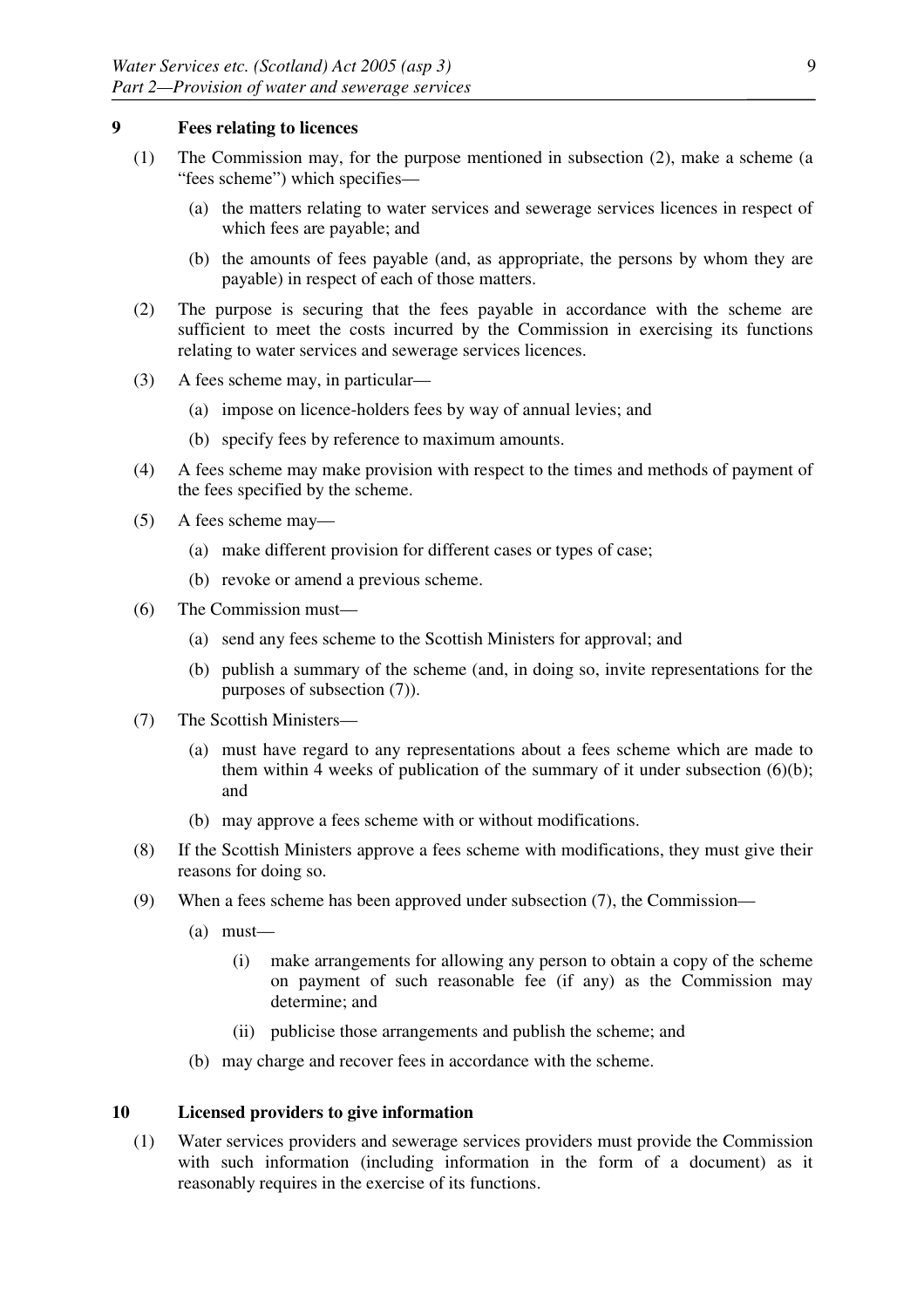## **9 Fees relating to licences**

- (1) The Commission may, for the purpose mentioned in subsection (2), make a scheme (a "fees scheme") which specifies—
	- (a) the matters relating to water services and sewerage services licences in respect of which fees are payable; and
	- (b) the amounts of fees payable (and, as appropriate, the persons by whom they are payable) in respect of each of those matters.
- (2) The purpose is securing that the fees payable in accordance with the scheme are sufficient to meet the costs incurred by the Commission in exercising its functions relating to water services and sewerage services licences.
- (3) A fees scheme may, in particular—
	- (a) impose on licence-holders fees by way of annual levies; and
	- (b) specify fees by reference to maximum amounts.
- (4) A fees scheme may make provision with respect to the times and methods of payment of the fees specified by the scheme.
- (5) A fees scheme may—
	- (a) make different provision for different cases or types of case;
	- (b) revoke or amend a previous scheme.
- (6) The Commission must—
	- (a) send any fees scheme to the Scottish Ministers for approval; and
	- (b) publish a summary of the scheme (and, in doing so, invite representations for the purposes of subsection (7)).
- (7) The Scottish Ministers—
	- (a) must have regard to any representations about a fees scheme which are made to them within 4 weeks of publication of the summary of it under subsection  $(6)(b)$ ; and
	- (b) may approve a fees scheme with or without modifications.
- (8) If the Scottish Ministers approve a fees scheme with modifications, they must give their reasons for doing so.
- (9) When a fees scheme has been approved under subsection (7), the Commission—
	- (a) must—
		- (i) make arrangements for allowing any person to obtain a copy of the scheme on payment of such reasonable fee (if any) as the Commission may determine; and
		- (ii) publicise those arrangements and publish the scheme; and
	- (b) may charge and recover fees in accordance with the scheme.

# **10 Licensed providers to give information**

(1) Water services providers and sewerage services providers must provide the Commission with such information (including information in the form of a document) as it reasonably requires in the exercise of its functions.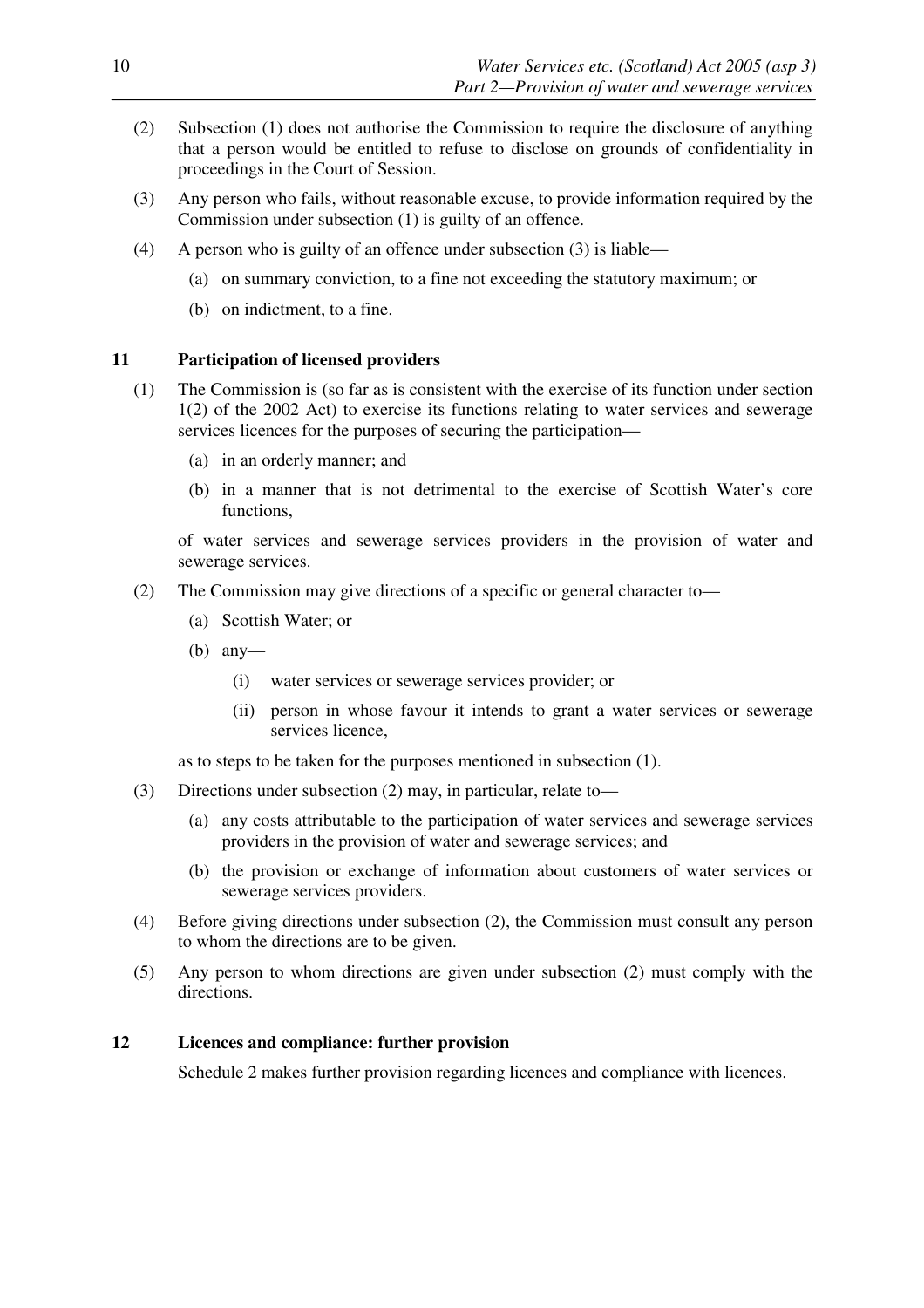- (2) Subsection (1) does not authorise the Commission to require the disclosure of anything that a person would be entitled to refuse to disclose on grounds of confidentiality in proceedings in the Court of Session.
- (3) Any person who fails, without reasonable excuse, to provide information required by the Commission under subsection (1) is guilty of an offence.
- (4) A person who is guilty of an offence under subsection (3) is liable—
	- (a) on summary conviction, to a fine not exceeding the statutory maximum; or
	- (b) on indictment, to a fine.

## **11 Participation of licensed providers**

- (1) The Commission is (so far as is consistent with the exercise of its function under section 1(2) of the 2002 Act) to exercise its functions relating to water services and sewerage services licences for the purposes of securing the participation—
	- (a) in an orderly manner; and
	- (b) in a manner that is not detrimental to the exercise of Scottish Water's core functions,

of water services and sewerage services providers in the provision of water and sewerage services.

- (2) The Commission may give directions of a specific or general character to—
	- (a) Scottish Water; or
	- (b) any—
		- (i) water services or sewerage services provider; or
		- (ii) person in whose favour it intends to grant a water services or sewerage services licence,

as to steps to be taken for the purposes mentioned in subsection (1).

- (3) Directions under subsection (2) may, in particular, relate to––
	- (a) any costs attributable to the participation of water services and sewerage services providers in the provision of water and sewerage services; and
	- (b) the provision or exchange of information about customers of water services or sewerage services providers.
- (4) Before giving directions under subsection (2), the Commission must consult any person to whom the directions are to be given.
- (5) Any person to whom directions are given under subsection (2) must comply with the directions.

## **12 Licences and compliance: further provision**

Schedule 2 makes further provision regarding licences and compliance with licences.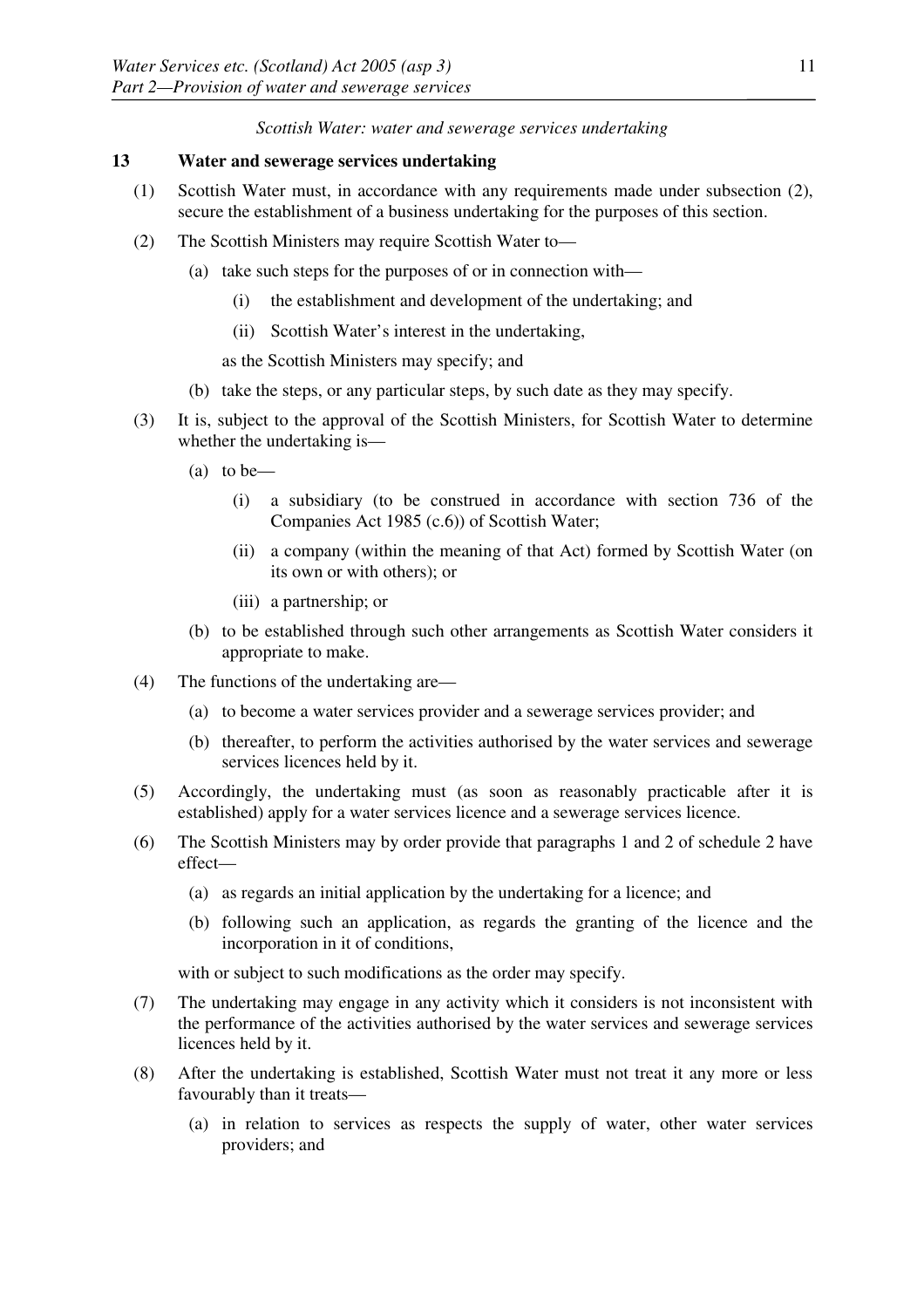*Scottish Water: water and sewerage services undertaking* 

## **13 Water and sewerage services undertaking**

- (1) Scottish Water must, in accordance with any requirements made under subsection (2), secure the establishment of a business undertaking for the purposes of this section.
- (2) The Scottish Ministers may require Scottish Water to—
	- (a) take such steps for the purposes of or in connection with
		- the establishment and development of the undertaking; and
		- (ii) Scottish Water's interest in the undertaking,

as the Scottish Ministers may specify; and

- (b) take the steps, or any particular steps, by such date as they may specify.
- (3) It is, subject to the approval of the Scottish Ministers, for Scottish Water to determine whether the undertaking is—
	- (a) to be—
		- (i) a subsidiary (to be construed in accordance with section 736 of the Companies Act 1985 (c.6)) of Scottish Water;
		- (ii) a company (within the meaning of that Act) formed by Scottish Water (on its own or with others); or
		- (iii) a partnership; or
	- (b) to be established through such other arrangements as Scottish Water considers it appropriate to make.
- (4) The functions of the undertaking are—
	- (a) to become a water services provider and a sewerage services provider; and
	- (b) thereafter, to perform the activities authorised by the water services and sewerage services licences held by it.
- (5) Accordingly, the undertaking must (as soon as reasonably practicable after it is established) apply for a water services licence and a sewerage services licence.
- (6) The Scottish Ministers may by order provide that paragraphs 1 and 2 of schedule 2 have effect—
	- (a) as regards an initial application by the undertaking for a licence; and
	- (b) following such an application, as regards the granting of the licence and the incorporation in it of conditions,

with or subject to such modifications as the order may specify.

- (7) The undertaking may engage in any activity which it considers is not inconsistent with the performance of the activities authorised by the water services and sewerage services licences held by it.
- (8) After the undertaking is established, Scottish Water must not treat it any more or less favourably than it treats—
	- (a) in relation to services as respects the supply of water, other water services providers; and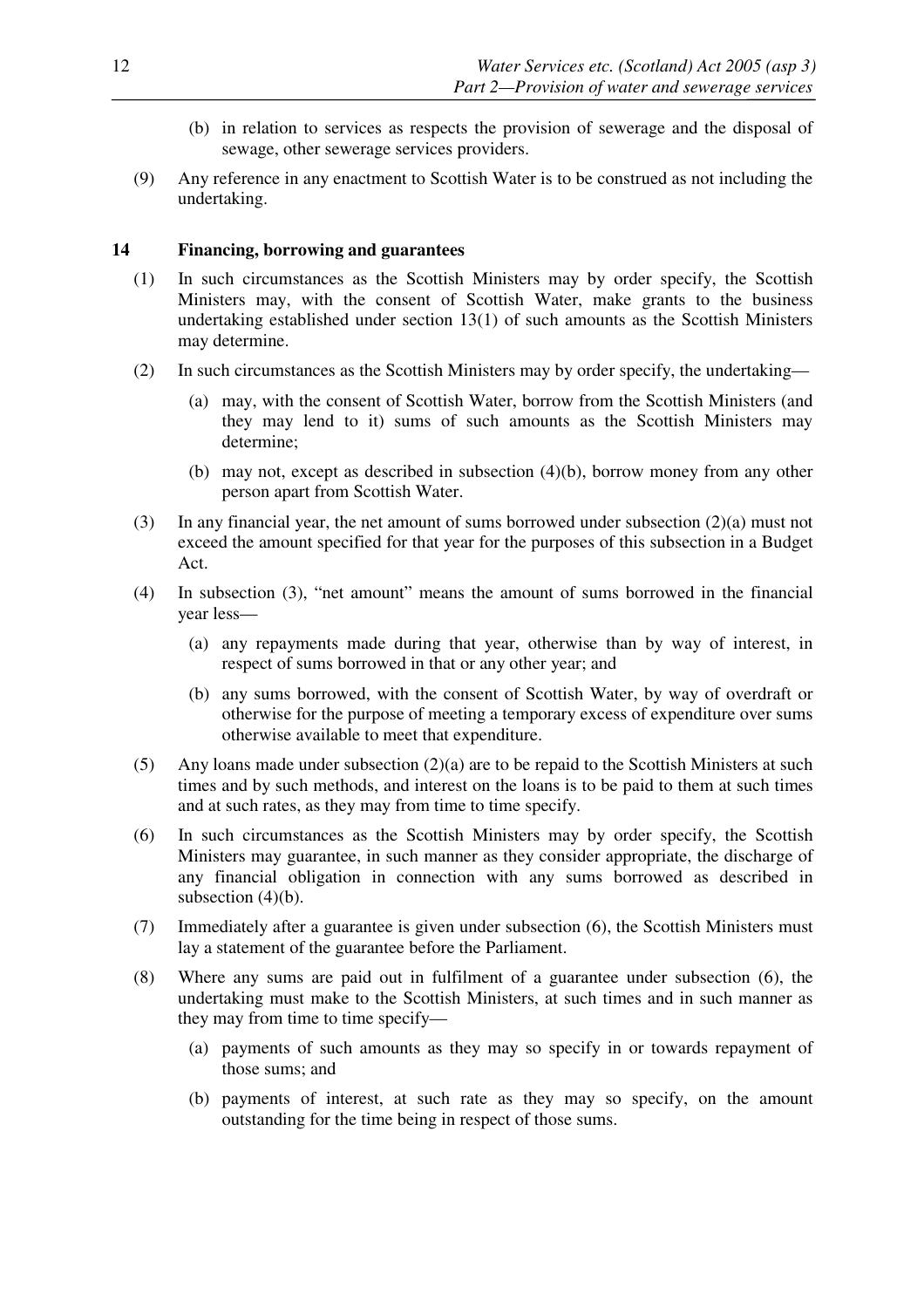- (b) in relation to services as respects the provision of sewerage and the disposal of sewage, other sewerage services providers.
- (9) Any reference in any enactment to Scottish Water is to be construed as not including the undertaking.

## **14 Financing, borrowing and guarantees**

- (1) In such circumstances as the Scottish Ministers may by order specify, the Scottish Ministers may, with the consent of Scottish Water, make grants to the business undertaking established under section 13(1) of such amounts as the Scottish Ministers may determine.
- (2) In such circumstances as the Scottish Ministers may by order specify, the undertaking—
	- (a) may, with the consent of Scottish Water, borrow from the Scottish Ministers (and they may lend to it) sums of such amounts as the Scottish Ministers may determine;
	- (b) may not, except as described in subsection (4)(b), borrow money from any other person apart from Scottish Water.
- (3) In any financial year, the net amount of sums borrowed under subsection (2)(a) must not exceed the amount specified for that year for the purposes of this subsection in a Budget Act.
- (4) In subsection (3), "net amount" means the amount of sums borrowed in the financial year less—
	- (a) any repayments made during that year, otherwise than by way of interest, in respect of sums borrowed in that or any other year; and
	- (b) any sums borrowed, with the consent of Scottish Water, by way of overdraft or otherwise for the purpose of meeting a temporary excess of expenditure over sums otherwise available to meet that expenditure.
- (5) Any loans made under subsection (2)(a) are to be repaid to the Scottish Ministers at such times and by such methods, and interest on the loans is to be paid to them at such times and at such rates, as they may from time to time specify.
- (6) In such circumstances as the Scottish Ministers may by order specify, the Scottish Ministers may guarantee, in such manner as they consider appropriate, the discharge of any financial obligation in connection with any sums borrowed as described in subsection (4)(b).
- (7) Immediately after a guarantee is given under subsection (6), the Scottish Ministers must lay a statement of the guarantee before the Parliament.
- (8) Where any sums are paid out in fulfilment of a guarantee under subsection (6), the undertaking must make to the Scottish Ministers, at such times and in such manner as they may from time to time specify—
	- (a) payments of such amounts as they may so specify in or towards repayment of those sums; and
	- (b) payments of interest, at such rate as they may so specify, on the amount outstanding for the time being in respect of those sums.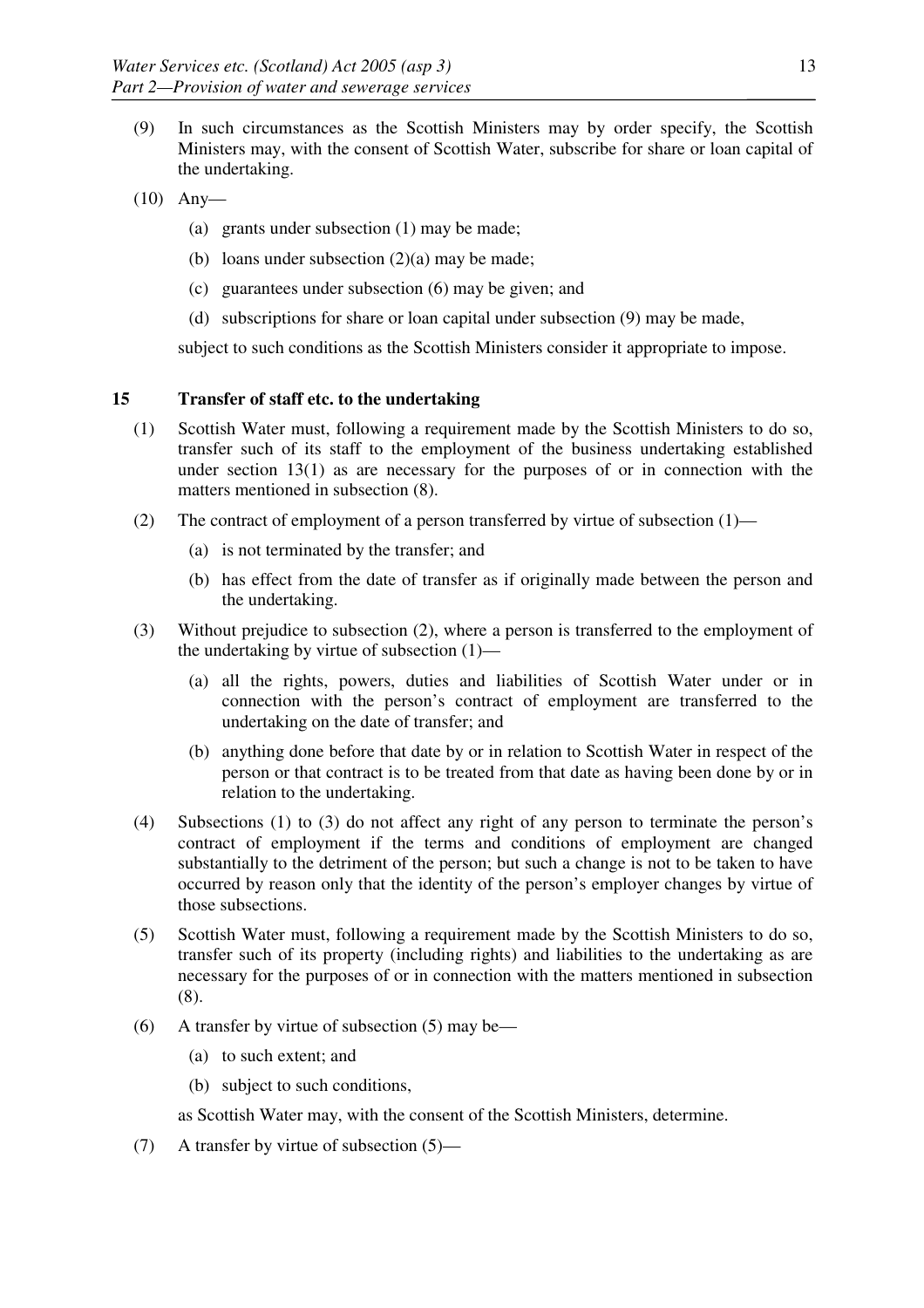- (9) In such circumstances as the Scottish Ministers may by order specify, the Scottish Ministers may, with the consent of Scottish Water, subscribe for share or loan capital of the undertaking.
- (10) Any—
	- (a) grants under subsection (1) may be made;
	- (b) loans under subsection  $(2)(a)$  may be made;
	- (c) guarantees under subsection (6) may be given; and
	- (d) subscriptions for share or loan capital under subsection (9) may be made,

subject to such conditions as the Scottish Ministers consider it appropriate to impose.

# **15 Transfer of staff etc. to the undertaking**

- (1) Scottish Water must, following a requirement made by the Scottish Ministers to do so, transfer such of its staff to the employment of the business undertaking established under section  $13(1)$  as are necessary for the purposes of or in connection with the matters mentioned in subsection (8).
- (2) The contract of employment of a person transferred by virtue of subsection (1)—
	- (a) is not terminated by the transfer; and
	- (b) has effect from the date of transfer as if originally made between the person and the undertaking.
- (3) Without prejudice to subsection (2), where a person is transferred to the employment of the undertaking by virtue of subsection (1)—
	- (a) all the rights, powers, duties and liabilities of Scottish Water under or in connection with the person's contract of employment are transferred to the undertaking on the date of transfer; and
	- (b) anything done before that date by or in relation to Scottish Water in respect of the person or that contract is to be treated from that date as having been done by or in relation to the undertaking.
- (4) Subsections (1) to (3) do not affect any right of any person to terminate the person's contract of employment if the terms and conditions of employment are changed substantially to the detriment of the person; but such a change is not to be taken to have occurred by reason only that the identity of the person's employer changes by virtue of those subsections.
- (5) Scottish Water must, following a requirement made by the Scottish Ministers to do so, transfer such of its property (including rights) and liabilities to the undertaking as are necessary for the purposes of or in connection with the matters mentioned in subsection (8).
- (6) A transfer by virtue of subsection (5) may be—
	- (a) to such extent; and
	- (b) subject to such conditions,

as Scottish Water may, with the consent of the Scottish Ministers, determine.

(7) A transfer by virtue of subsection (5)—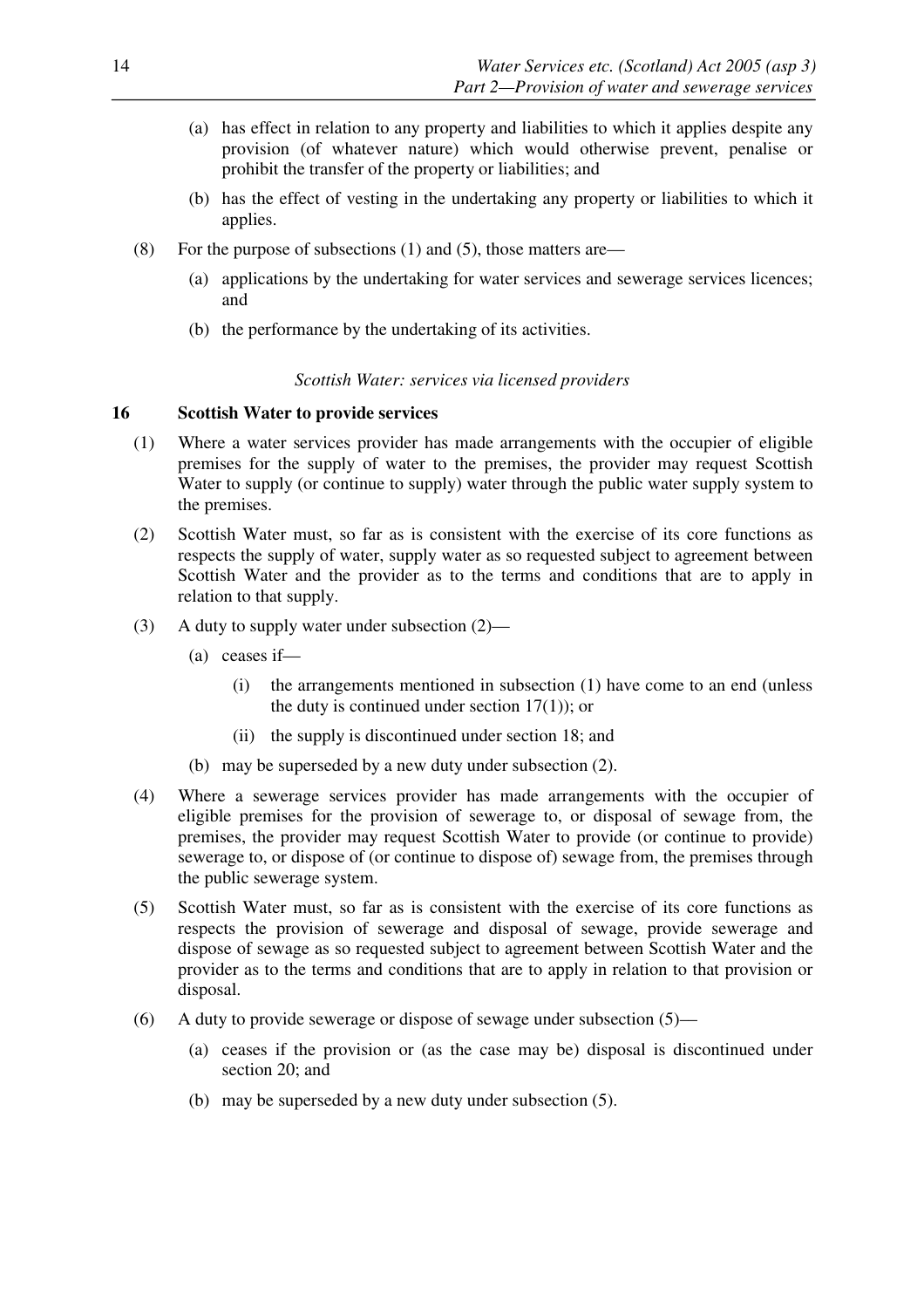- (a) has effect in relation to any property and liabilities to which it applies despite any provision (of whatever nature) which would otherwise prevent, penalise or prohibit the transfer of the property or liabilities; and
- (b) has the effect of vesting in the undertaking any property or liabilities to which it applies.
- (8) For the purpose of subsections (1) and (5), those matters are—
	- (a) applications by the undertaking for water services and sewerage services licences; and
	- (b) the performance by the undertaking of its activities.

## *Scottish Water: services via licensed providers*

## **16 Scottish Water to provide services**

- (1) Where a water services provider has made arrangements with the occupier of eligible premises for the supply of water to the premises, the provider may request Scottish Water to supply (or continue to supply) water through the public water supply system to the premises.
- (2) Scottish Water must, so far as is consistent with the exercise of its core functions as respects the supply of water, supply water as so requested subject to agreement between Scottish Water and the provider as to the terms and conditions that are to apply in relation to that supply.
- (3) A duty to supply water under subsection (2)—
	- (a) ceases if—
		- (i) the arrangements mentioned in subsection (1) have come to an end (unless the duty is continued under section 17(1)); or
		- (ii) the supply is discontinued under section 18; and
	- (b) may be superseded by a new duty under subsection (2).
- (4) Where a sewerage services provider has made arrangements with the occupier of eligible premises for the provision of sewerage to, or disposal of sewage from, the premises, the provider may request Scottish Water to provide (or continue to provide) sewerage to, or dispose of (or continue to dispose of) sewage from, the premises through the public sewerage system.
- (5) Scottish Water must, so far as is consistent with the exercise of its core functions as respects the provision of sewerage and disposal of sewage, provide sewerage and dispose of sewage as so requested subject to agreement between Scottish Water and the provider as to the terms and conditions that are to apply in relation to that provision or disposal.
- (6) A duty to provide sewerage or dispose of sewage under subsection  $(5)$ 
	- (a) ceases if the provision or (as the case may be) disposal is discontinued under section 20; and
	- (b) may be superseded by a new duty under subsection (5).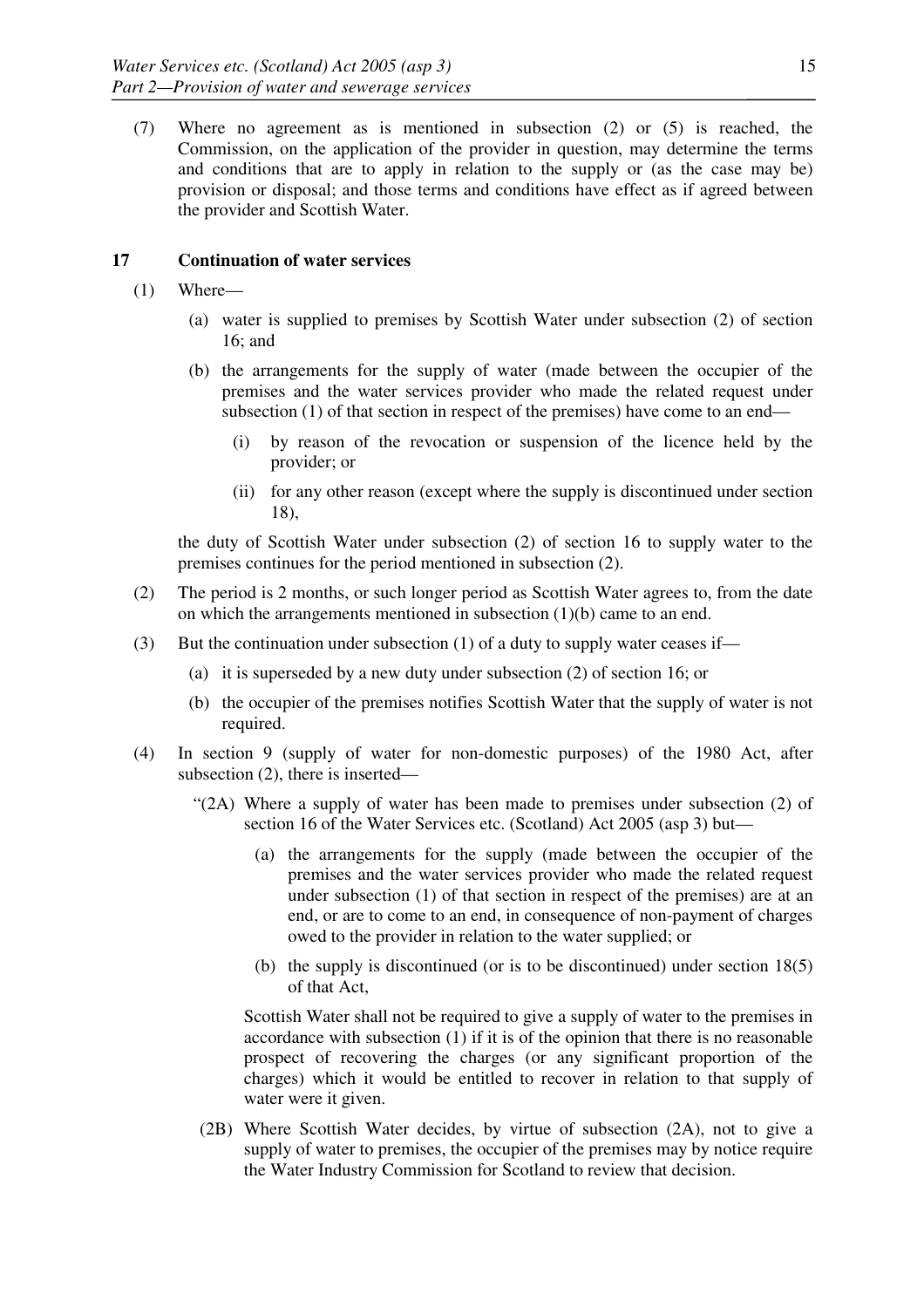(7) Where no agreement as is mentioned in subsection (2) or (5) is reached, the Commission, on the application of the provider in question, may determine the terms and conditions that are to apply in relation to the supply or (as the case may be) provision or disposal; and those terms and conditions have effect as if agreed between the provider and Scottish Water.

## **17 Continuation of water services**

- (1) Where—
	- (a) water is supplied to premises by Scottish Water under subsection (2) of section 16; and
	- (b) the arrangements for the supply of water (made between the occupier of the premises and the water services provider who made the related request under subsection (1) of that section in respect of the premises) have come to an end—
		- (i) by reason of the revocation or suspension of the licence held by the provider; or
		- (ii) for any other reason (except where the supply is discontinued under section 18),

the duty of Scottish Water under subsection (2) of section 16 to supply water to the premises continues for the period mentioned in subsection (2).

- (2) The period is 2 months, or such longer period as Scottish Water agrees to, from the date on which the arrangements mentioned in subsection (1)(b) came to an end.
- (3) But the continuation under subsection (1) of a duty to supply water ceases if—
	- (a) it is superseded by a new duty under subsection (2) of section 16; or
	- (b) the occupier of the premises notifies Scottish Water that the supply of water is not required.
- (4) In section 9 (supply of water for non-domestic purposes) of the 1980 Act, after subsection (2), there is inserted—
	- "(2A) Where a supply of water has been made to premises under subsection (2) of section 16 of the Water Services etc. (Scotland) Act 2005 (asp 3) but—
		- (a) the arrangements for the supply (made between the occupier of the premises and the water services provider who made the related request under subsection (1) of that section in respect of the premises) are at an end, or are to come to an end, in consequence of non-payment of charges owed to the provider in relation to the water supplied; or
		- (b) the supply is discontinued (or is to be discontinued) under section 18(5) of that Act,

 Scottish Water shall not be required to give a supply of water to the premises in accordance with subsection  $(1)$  if it is of the opinion that there is no reasonable prospect of recovering the charges (or any significant proportion of the charges) which it would be entitled to recover in relation to that supply of water were it given.

(2B) Where Scottish Water decides, by virtue of subsection (2A), not to give a supply of water to premises, the occupier of the premises may by notice require the Water Industry Commission for Scotland to review that decision.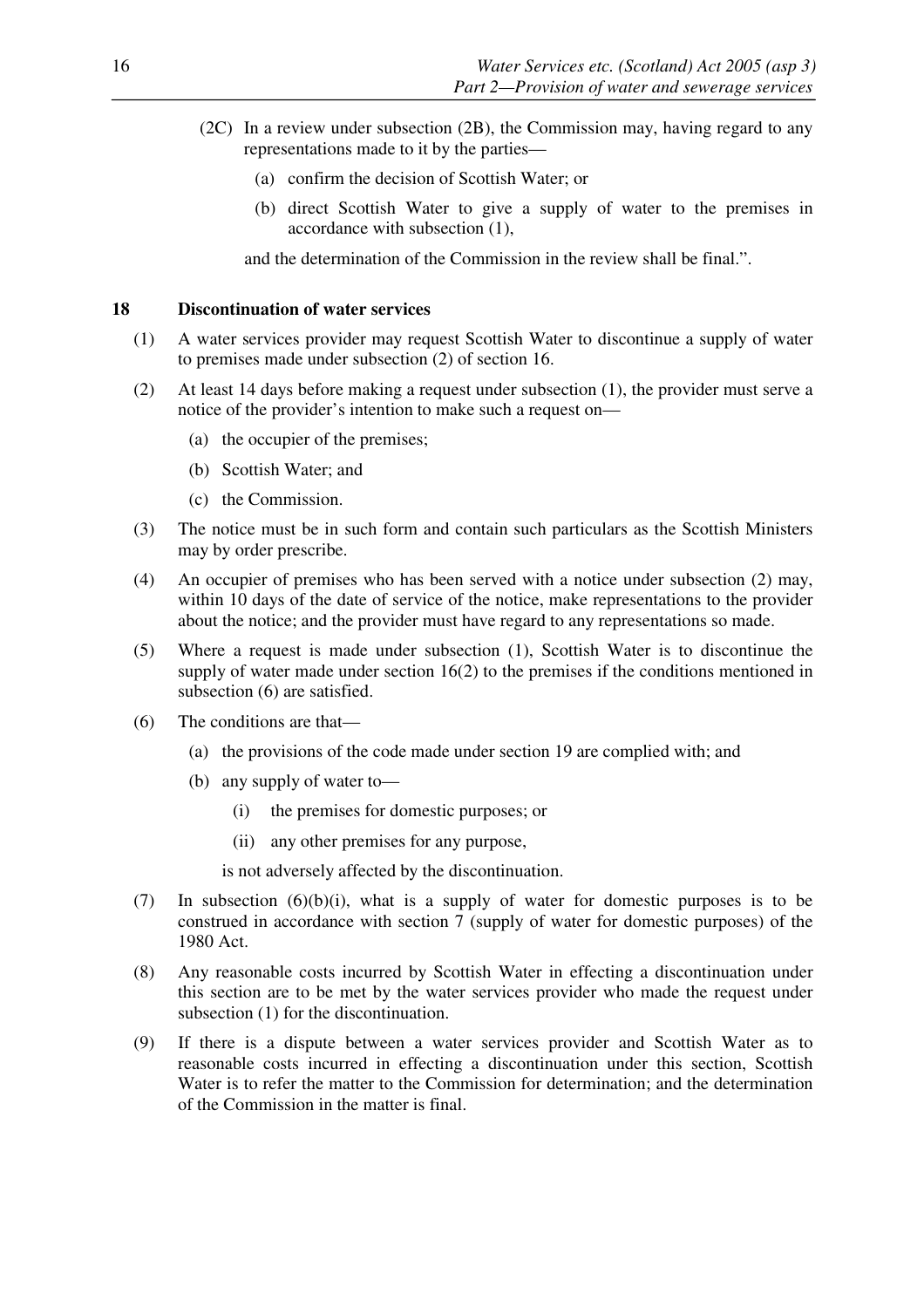- (2C) In a review under subsection (2B), the Commission may, having regard to any representations made to it by the parties—
	- (a) confirm the decision of Scottish Water; or
	- (b) direct Scottish Water to give a supply of water to the premises in accordance with subsection (1),

and the determination of the Commission in the review shall be final.".

#### **18 Discontinuation of water services**

- (1) A water services provider may request Scottish Water to discontinue a supply of water to premises made under subsection (2) of section 16.
- (2) At least 14 days before making a request under subsection (1), the provider must serve a notice of the provider's intention to make such a request on—
	- (a) the occupier of the premises;
	- (b) Scottish Water; and
	- (c) the Commission.
- (3) The notice must be in such form and contain such particulars as the Scottish Ministers may by order prescribe.
- (4) An occupier of premises who has been served with a notice under subsection (2) may, within 10 days of the date of service of the notice, make representations to the provider about the notice; and the provider must have regard to any representations so made.
- (5) Where a request is made under subsection (1), Scottish Water is to discontinue the supply of water made under section 16(2) to the premises if the conditions mentioned in subsection (6) are satisfied.
- (6) The conditions are that—
	- (a) the provisions of the code made under section 19 are complied with; and
	- (b) any supply of water to—
		- (i) the premises for domestic purposes; or
		- (ii) any other premises for any purpose,

is not adversely affected by the discontinuation.

- (7) In subsection (6)(b)(i), what is a supply of water for domestic purposes is to be construed in accordance with section 7 (supply of water for domestic purposes) of the 1980 Act.
- (8) Any reasonable costs incurred by Scottish Water in effecting a discontinuation under this section are to be met by the water services provider who made the request under subsection (1) for the discontinuation.
- (9) If there is a dispute between a water services provider and Scottish Water as to reasonable costs incurred in effecting a discontinuation under this section, Scottish Water is to refer the matter to the Commission for determination; and the determination of the Commission in the matter is final.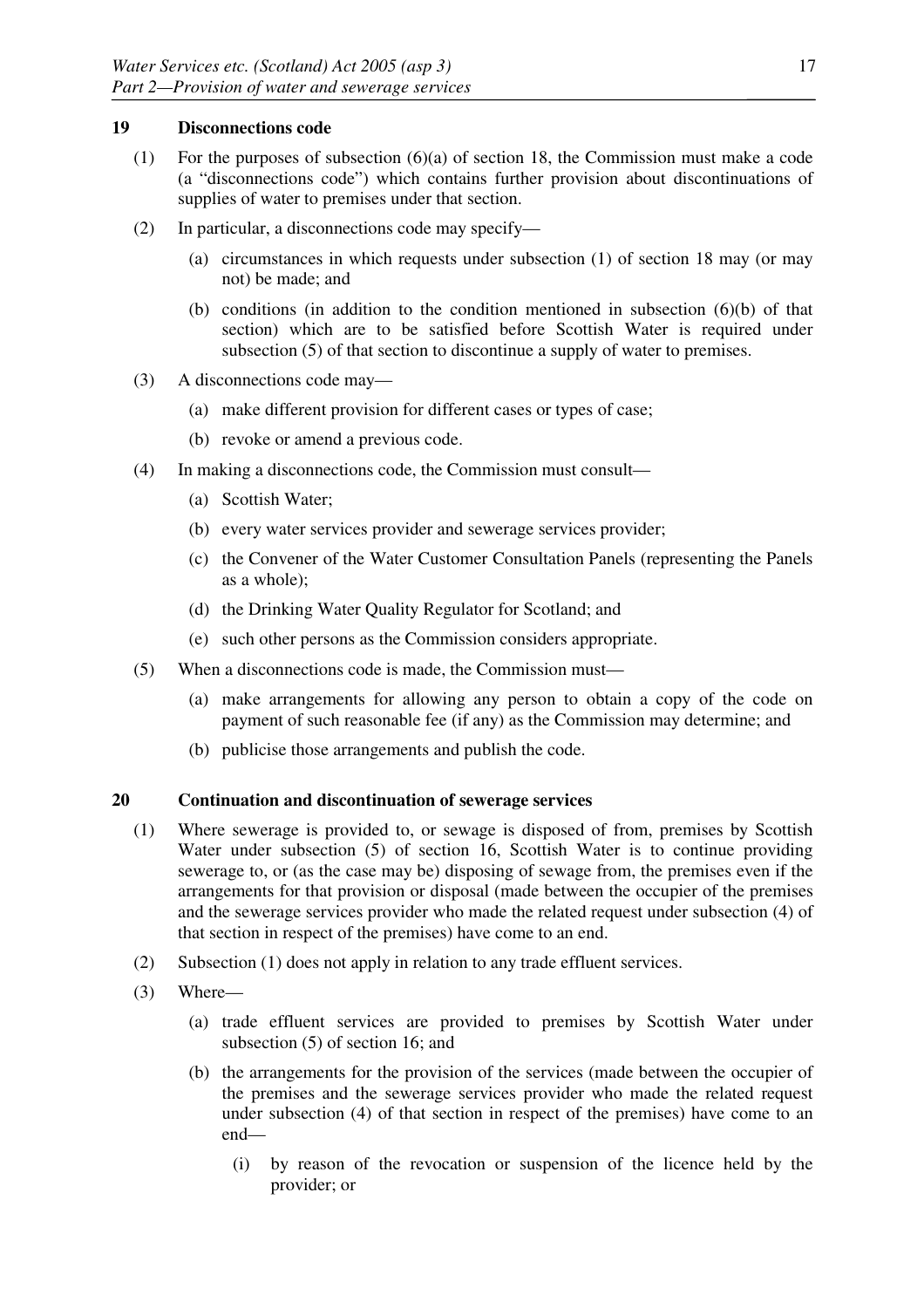## **19 Disconnections code**

- (1) For the purposes of subsection (6)(a) of section 18, the Commission must make a code (a "disconnections code") which contains further provision about discontinuations of supplies of water to premises under that section.
- (2) In particular, a disconnections code may specify—
	- (a) circumstances in which requests under subsection (1) of section 18 may (or may not) be made; and
	- (b) conditions (in addition to the condition mentioned in subsection (6)(b) of that section) which are to be satisfied before Scottish Water is required under subsection (5) of that section to discontinue a supply of water to premises.
- (3) A disconnections code may—
	- (a) make different provision for different cases or types of case;
	- (b) revoke or amend a previous code.
- (4) In making a disconnections code, the Commission must consult—
	- (a) Scottish Water;
	- (b) every water services provider and sewerage services provider;
	- (c) the Convener of the Water Customer Consultation Panels (representing the Panels as a whole);
	- (d) the Drinking Water Quality Regulator for Scotland; and
	- (e) such other persons as the Commission considers appropriate.
- (5) When a disconnections code is made, the Commission must—
	- (a) make arrangements for allowing any person to obtain a copy of the code on payment of such reasonable fee (if any) as the Commission may determine; and
	- (b) publicise those arrangements and publish the code.

## **20 Continuation and discontinuation of sewerage services**

- (1) Where sewerage is provided to, or sewage is disposed of from, premises by Scottish Water under subsection (5) of section 16, Scottish Water is to continue providing sewerage to, or (as the case may be) disposing of sewage from, the premises even if the arrangements for that provision or disposal (made between the occupier of the premises and the sewerage services provider who made the related request under subsection (4) of that section in respect of the premises) have come to an end.
- (2) Subsection (1) does not apply in relation to any trade effluent services.
- (3) Where—
	- (a) trade effluent services are provided to premises by Scottish Water under subsection (5) of section 16; and
	- (b) the arrangements for the provision of the services (made between the occupier of the premises and the sewerage services provider who made the related request under subsection (4) of that section in respect of the premises) have come to an end—
		- (i) by reason of the revocation or suspension of the licence held by the provider; or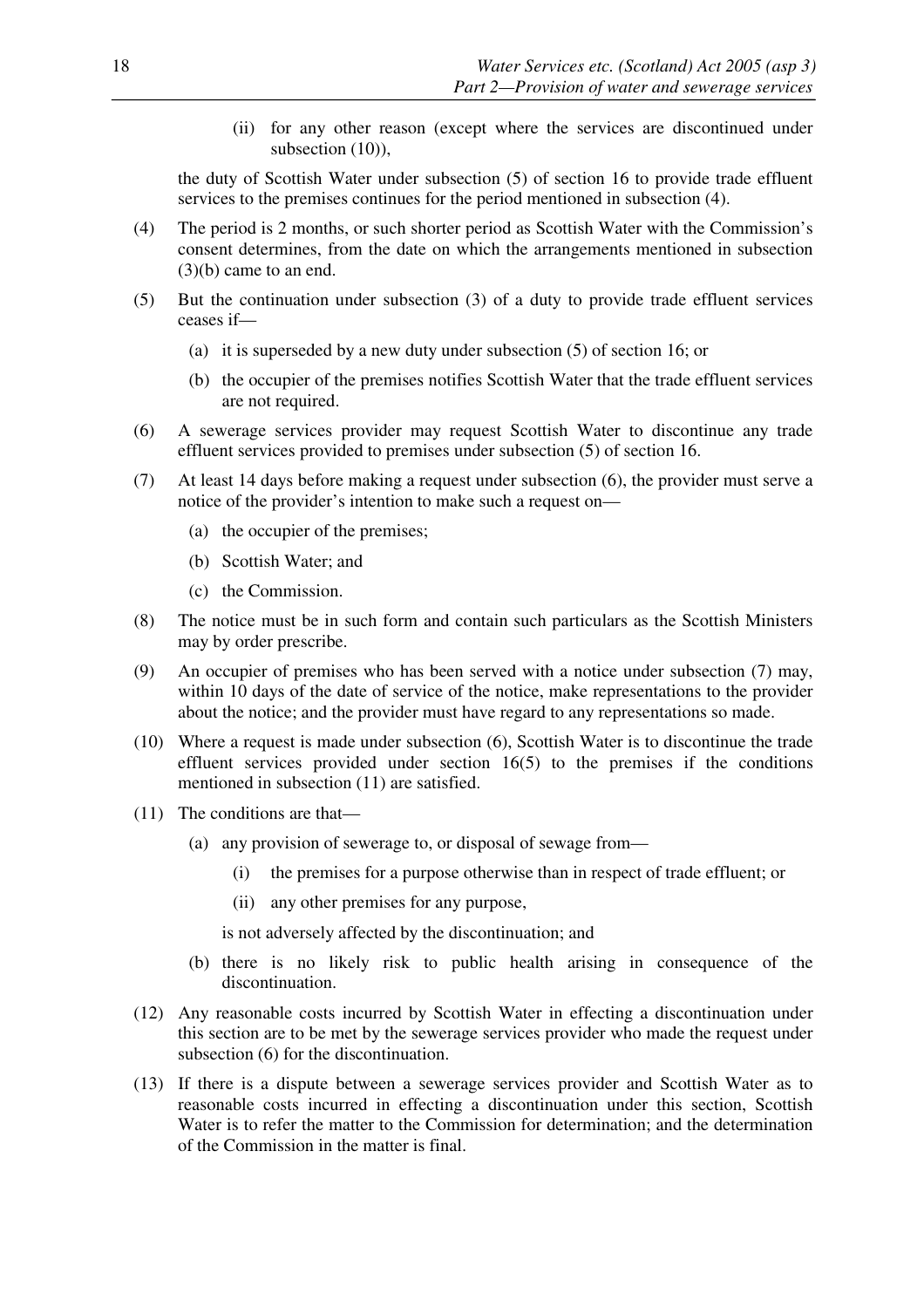(ii) for any other reason (except where the services are discontinued under subsection  $(10)$ ),

the duty of Scottish Water under subsection (5) of section 16 to provide trade effluent services to the premises continues for the period mentioned in subsection (4).

- (4) The period is 2 months, or such shorter period as Scottish Water with the Commission's consent determines, from the date on which the arrangements mentioned in subsection (3)(b) came to an end.
- (5) But the continuation under subsection (3) of a duty to provide trade effluent services ceases if—
	- (a) it is superseded by a new duty under subsection (5) of section 16; or
	- (b) the occupier of the premises notifies Scottish Water that the trade effluent services are not required.
- (6) A sewerage services provider may request Scottish Water to discontinue any trade effluent services provided to premises under subsection (5) of section 16.
- (7) At least 14 days before making a request under subsection (6), the provider must serve a notice of the provider's intention to make such a request on—
	- (a) the occupier of the premises;
	- (b) Scottish Water; and
	- (c) the Commission.
- (8) The notice must be in such form and contain such particulars as the Scottish Ministers may by order prescribe.
- (9) An occupier of premises who has been served with a notice under subsection (7) may, within 10 days of the date of service of the notice, make representations to the provider about the notice; and the provider must have regard to any representations so made.
- (10) Where a request is made under subsection (6), Scottish Water is to discontinue the trade effluent services provided under section 16(5) to the premises if the conditions mentioned in subsection (11) are satisfied.
- (11) The conditions are that—
	- (a) any provision of sewerage to, or disposal of sewage from—
		- (i) the premises for a purpose otherwise than in respect of trade effluent; or
		- (ii) any other premises for any purpose,

is not adversely affected by the discontinuation; and

- (b) there is no likely risk to public health arising in consequence of the discontinuation.
- (12) Any reasonable costs incurred by Scottish Water in effecting a discontinuation under this section are to be met by the sewerage services provider who made the request under subsection (6) for the discontinuation.
- (13) If there is a dispute between a sewerage services provider and Scottish Water as to reasonable costs incurred in effecting a discontinuation under this section, Scottish Water is to refer the matter to the Commission for determination; and the determination of the Commission in the matter is final.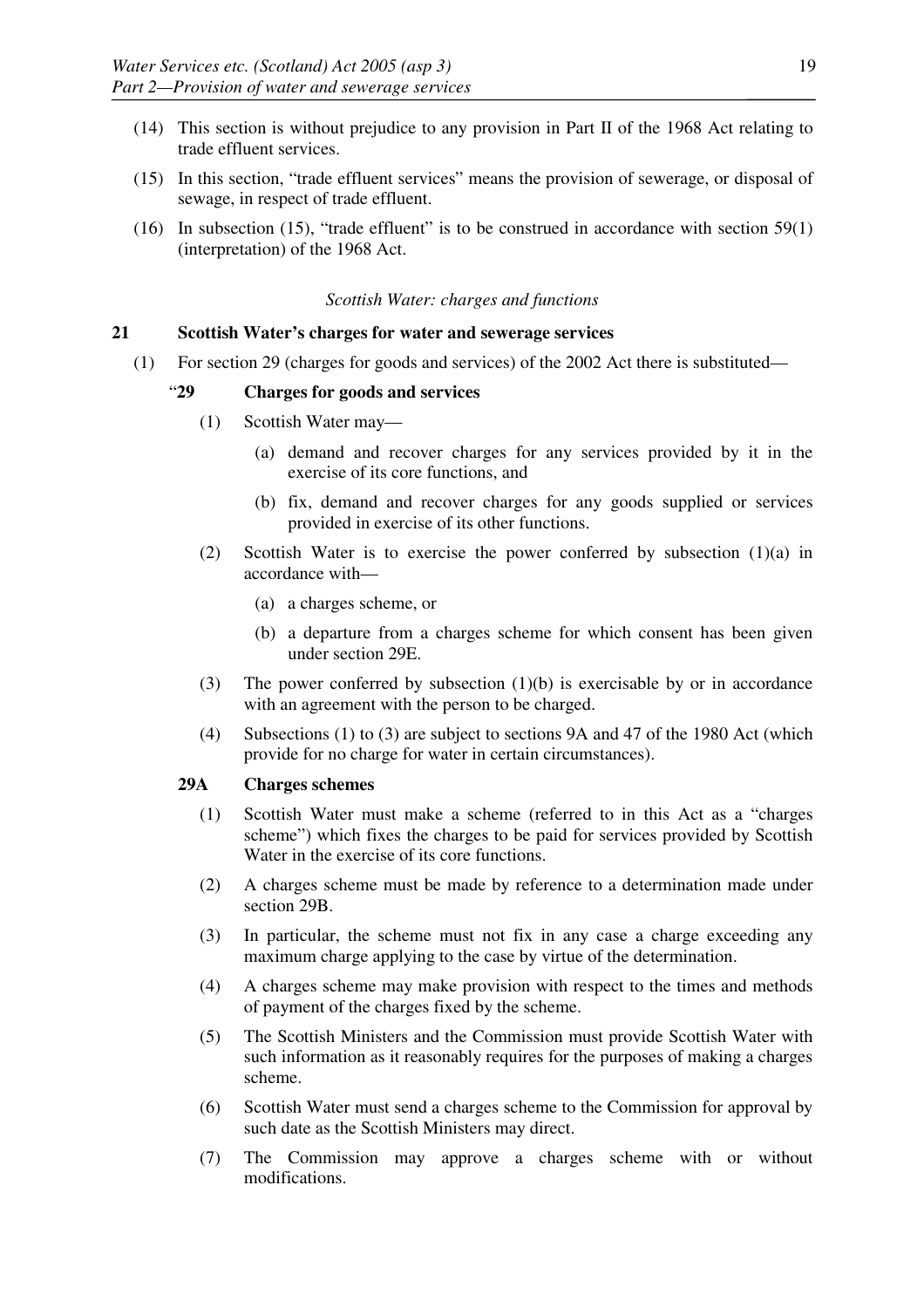- (14) This section is without prejudice to any provision in Part II of the 1968 Act relating to trade effluent services.
- (15) In this section, "trade effluent services" means the provision of sewerage, or disposal of sewage, in respect of trade effluent.
- (16) In subsection (15), "trade effluent" is to be construed in accordance with section 59(1) (interpretation) of the 1968 Act.

#### *Scottish Water: charges and functions*

## **21 Scottish Water's charges for water and sewerage services**

(1) For section 29 (charges for goods and services) of the 2002 Act there is substituted—

## "**29 Charges for goods and services**

- (1) Scottish Water may—
	- (a) demand and recover charges for any services provided by it in the exercise of its core functions, and
	- (b) fix, demand and recover charges for any goods supplied or services provided in exercise of its other functions.
- (2) Scottish Water is to exercise the power conferred by subsection  $(1)(a)$  in accordance with—
	- (a) a charges scheme, or
	- (b) a departure from a charges scheme for which consent has been given under section 29E.
- (3) The power conferred by subsection (1)(b) is exercisable by or in accordance with an agreement with the person to be charged.
- (4) Subsections (1) to (3) are subject to sections 9A and 47 of the 1980 Act (which provide for no charge for water in certain circumstances).

## **29A Charges schemes**

- (1) Scottish Water must make a scheme (referred to in this Act as a "charges scheme") which fixes the charges to be paid for services provided by Scottish Water in the exercise of its core functions.
- (2) A charges scheme must be made by reference to a determination made under section 29B.
- (3) In particular, the scheme must not fix in any case a charge exceeding any maximum charge applying to the case by virtue of the determination.
- (4) A charges scheme may make provision with respect to the times and methods of payment of the charges fixed by the scheme.
- (5) The Scottish Ministers and the Commission must provide Scottish Water with such information as it reasonably requires for the purposes of making a charges scheme.
- (6) Scottish Water must send a charges scheme to the Commission for approval by such date as the Scottish Ministers may direct.
- (7) The Commission may approve a charges scheme with or without modifications.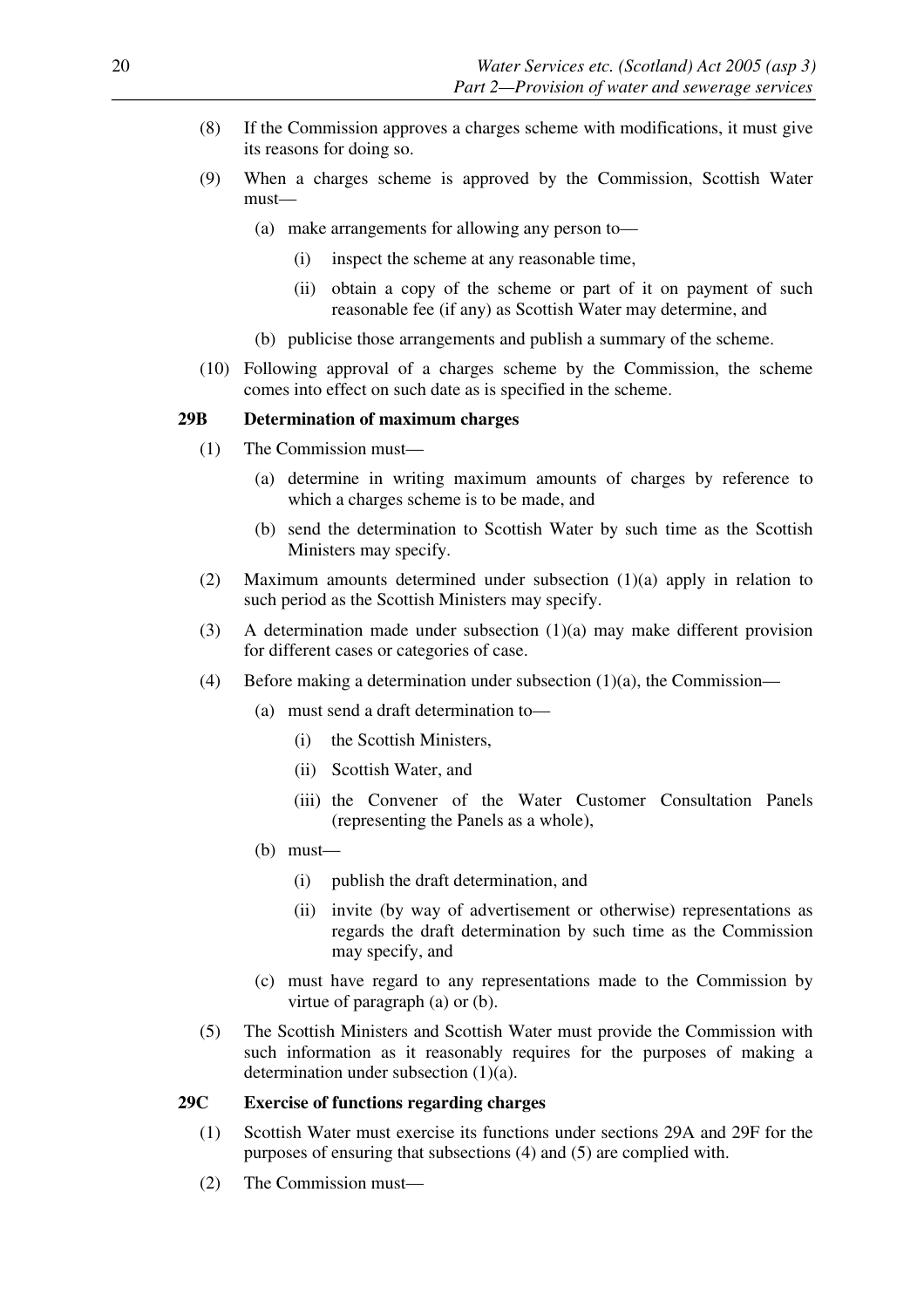- (8) If the Commission approves a charges scheme with modifications, it must give its reasons for doing so.
- (9) When a charges scheme is approved by the Commission, Scottish Water must—
	- (a) make arrangements for allowing any person to—
		- (i) inspect the scheme at any reasonable time,
		- (ii) obtain a copy of the scheme or part of it on payment of such reasonable fee (if any) as Scottish Water may determine, and
	- (b) publicise those arrangements and publish a summary of the scheme.
- (10) Following approval of a charges scheme by the Commission, the scheme comes into effect on such date as is specified in the scheme.

#### **29B Determination of maximum charges**

- (1) The Commission must—
	- (a) determine in writing maximum amounts of charges by reference to which a charges scheme is to be made, and
	- (b) send the determination to Scottish Water by such time as the Scottish Ministers may specify.
- (2) Maximum amounts determined under subsection (1)(a) apply in relation to such period as the Scottish Ministers may specify.
- (3) A determination made under subsection (1)(a) may make different provision for different cases or categories of case.
- (4) Before making a determination under subsection  $(1)(a)$ , the Commission—
	- (a) must send a draft determination to––
		- (i) the Scottish Ministers,
		- (ii) Scottish Water, and
		- (iii) the Convener of the Water Customer Consultation Panels (representing the Panels as a whole),
	- (b) must—
		- (i) publish the draft determination, and
		- (ii) invite (by way of advertisement or otherwise) representations as regards the draft determination by such time as the Commission may specify, and
	- (c) must have regard to any representations made to the Commission by virtue of paragraph (a) or (b).
- (5) The Scottish Ministers and Scottish Water must provide the Commission with such information as it reasonably requires for the purposes of making a determination under subsection (1)(a).

#### **29C Exercise of functions regarding charges**

- (1) Scottish Water must exercise its functions under sections 29A and 29F for the purposes of ensuring that subsections (4) and (5) are complied with.
- (2) The Commission must—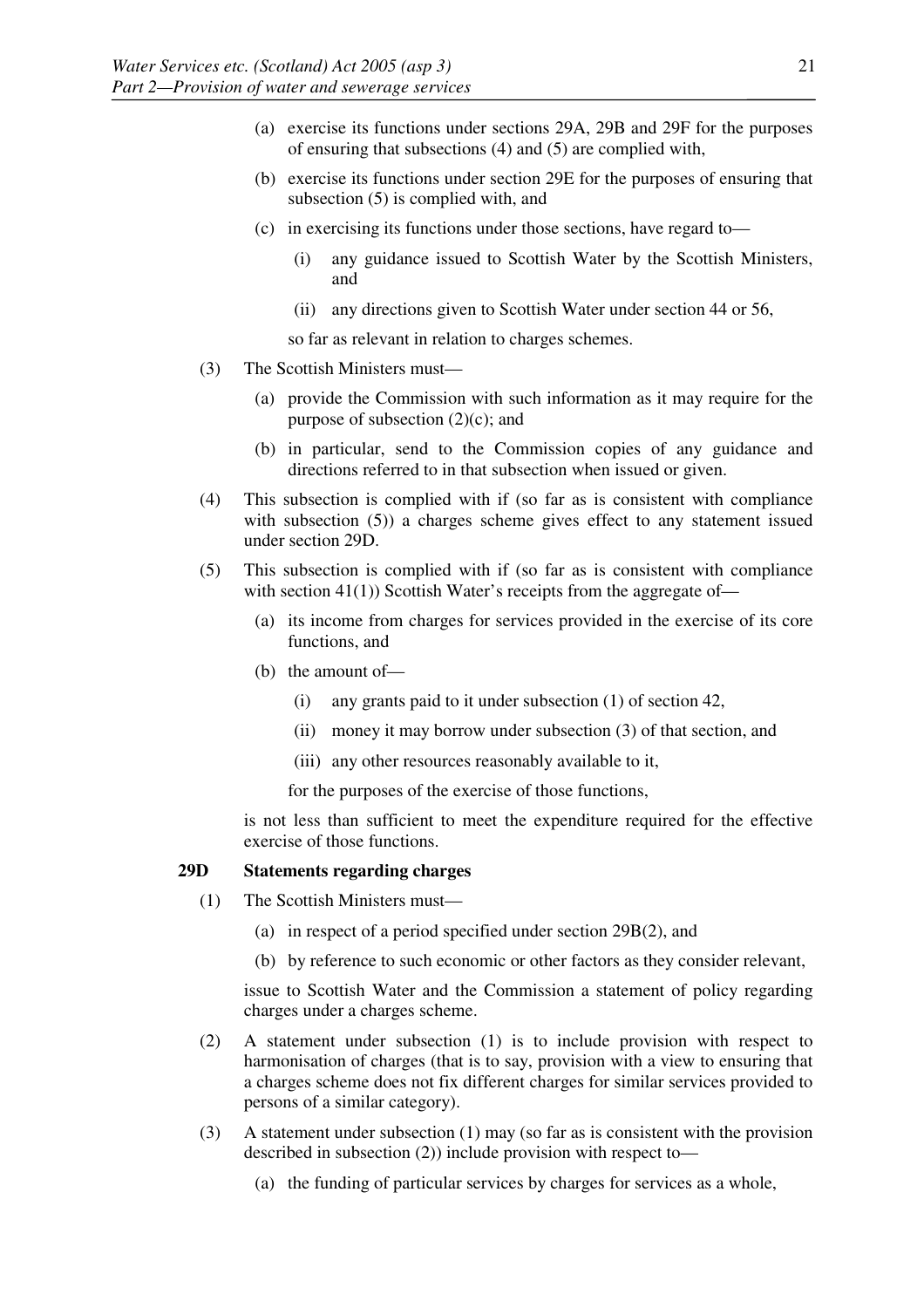- (a) exercise its functions under sections 29A, 29B and 29F for the purposes of ensuring that subsections (4) and (5) are complied with,
- (b) exercise its functions under section 29E for the purposes of ensuring that subsection (5) is complied with, and
- (c) in exercising its functions under those sections, have regard to—
	- (i) any guidance issued to Scottish Water by the Scottish Ministers, and
	- (ii) any directions given to Scottish Water under section 44 or 56,

so far as relevant in relation to charges schemes.

- (3) The Scottish Ministers must—
	- (a) provide the Commission with such information as it may require for the purpose of subsection  $(2)(c)$ ; and
	- (b) in particular, send to the Commission copies of any guidance and directions referred to in that subsection when issued or given.
- (4) This subsection is complied with if (so far as is consistent with compliance with subsection (5)) a charges scheme gives effect to any statement issued under section 29D.
- (5) This subsection is complied with if (so far as is consistent with compliance with section  $41(1)$ ) Scottish Water's receipts from the aggregate of-
	- (a) its income from charges for services provided in the exercise of its core functions, and
	- (b) the amount of—
		- (i) any grants paid to it under subsection (1) of section 42,
		- (ii) money it may borrow under subsection (3) of that section, and
		- (iii) any other resources reasonably available to it,

for the purposes of the exercise of those functions,

 is not less than sufficient to meet the expenditure required for the effective exercise of those functions.

#### **29D Statements regarding charges**

- (1) The Scottish Ministers must—
	- (a) in respect of a period specified under section 29B(2), and
	- (b) by reference to such economic or other factors as they consider relevant,

 issue to Scottish Water and the Commission a statement of policy regarding charges under a charges scheme.

- (2) A statement under subsection (1) is to include provision with respect to harmonisation of charges (that is to say, provision with a view to ensuring that a charges scheme does not fix different charges for similar services provided to persons of a similar category).
- (3) A statement under subsection (1) may (so far as is consistent with the provision described in subsection (2)) include provision with respect to—
	- (a) the funding of particular services by charges for services as a whole,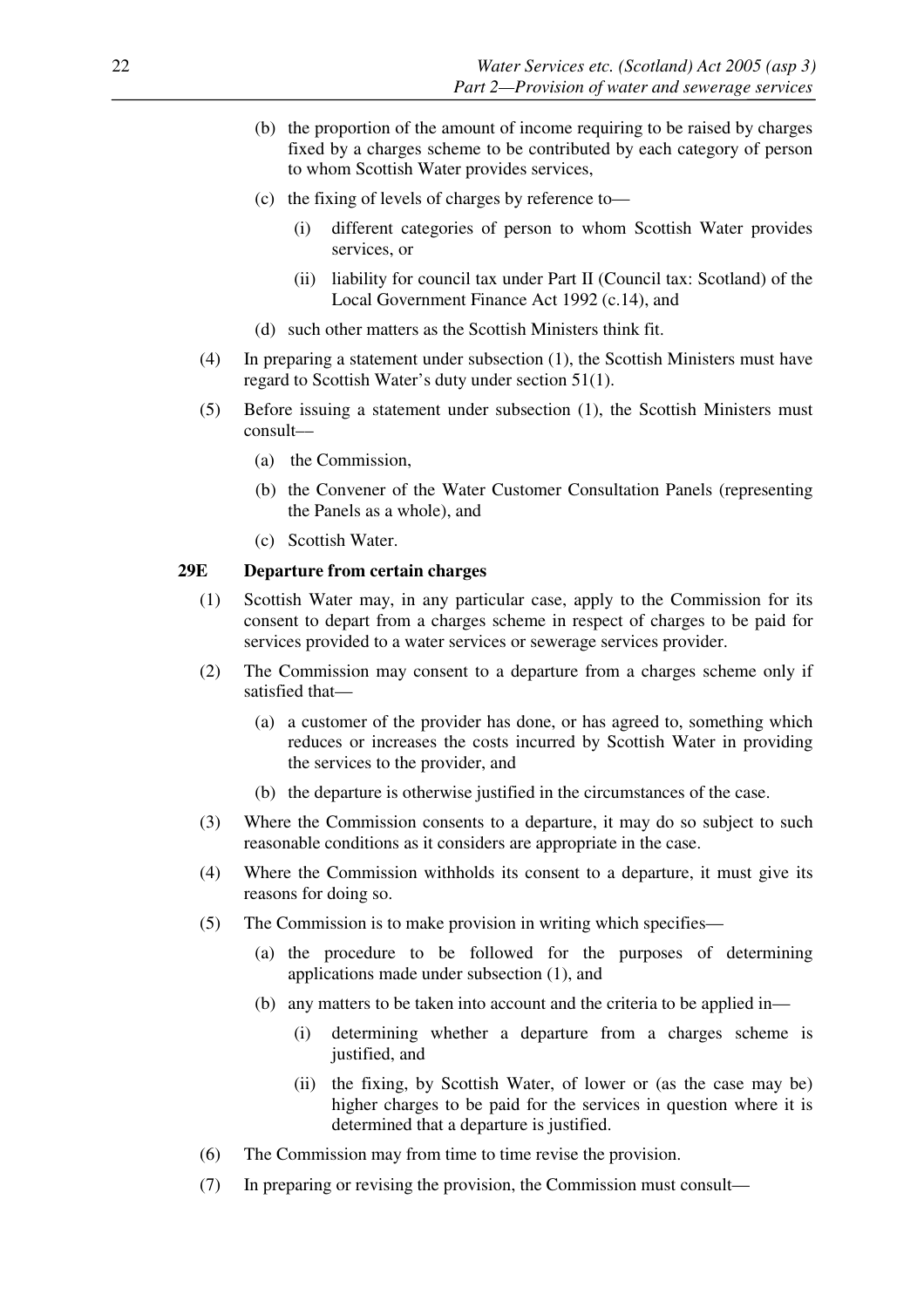- (b) the proportion of the amount of income requiring to be raised by charges fixed by a charges scheme to be contributed by each category of person to whom Scottish Water provides services,
- (c) the fixing of levels of charges by reference to—
	- (i) different categories of person to whom Scottish Water provides services, or
	- (ii) liability for council tax under Part II (Council tax: Scotland) of the Local Government Finance Act 1992 (c.14), and
- (d) such other matters as the Scottish Ministers think fit.
- (4) In preparing a statement under subsection (1), the Scottish Ministers must have regard to Scottish Water's duty under section 51(1).
- (5) Before issuing a statement under subsection (1), the Scottish Ministers must consult––
	- (a) the Commission,
	- (b) the Convener of the Water Customer Consultation Panels (representing the Panels as a whole), and
	- (c) Scottish Water.

# **29E Departure from certain charges**

- (1) Scottish Water may, in any particular case, apply to the Commission for its consent to depart from a charges scheme in respect of charges to be paid for services provided to a water services or sewerage services provider.
- (2) The Commission may consent to a departure from a charges scheme only if satisfied that—
	- (a) a customer of the provider has done, or has agreed to, something which reduces or increases the costs incurred by Scottish Water in providing the services to the provider, and
	- (b) the departure is otherwise justified in the circumstances of the case.
- (3) Where the Commission consents to a departure, it may do so subject to such reasonable conditions as it considers are appropriate in the case.
- (4) Where the Commission withholds its consent to a departure, it must give its reasons for doing so.
- (5) The Commission is to make provision in writing which specifies—
	- (a) the procedure to be followed for the purposes of determining applications made under subsection (1), and
	- (b) any matters to be taken into account and the criteria to be applied in—
		- (i) determining whether a departure from a charges scheme is justified, and
		- (ii) the fixing, by Scottish Water, of lower or (as the case may be) higher charges to be paid for the services in question where it is determined that a departure is justified.
- (6) The Commission may from time to time revise the provision.
- (7) In preparing or revising the provision, the Commission must consult—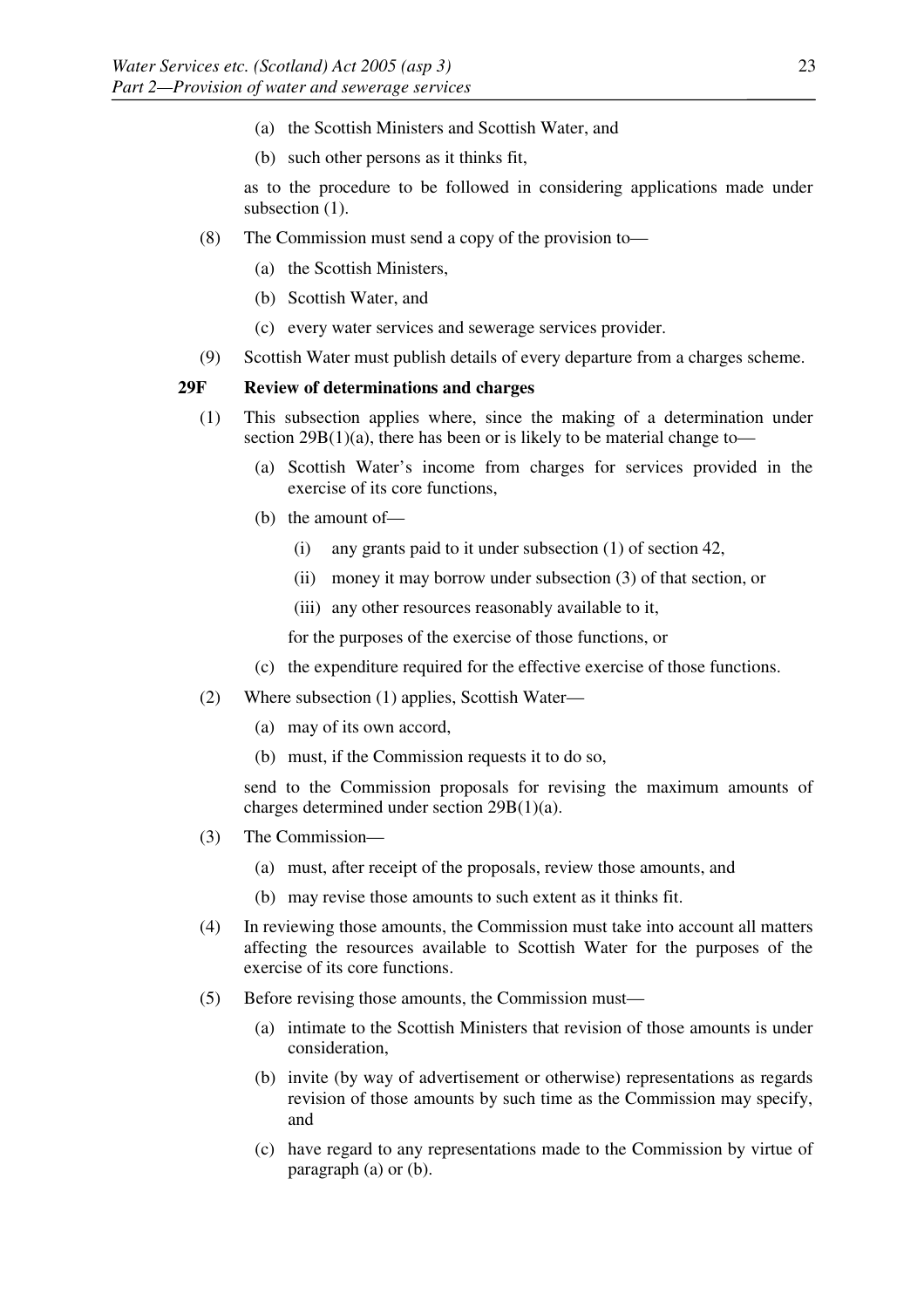- (a) the Scottish Ministers and Scottish Water, and
- (b) such other persons as it thinks fit,

 as to the procedure to be followed in considering applications made under subsection  $(1)$ .

- (8) The Commission must send a copy of the provision to—
	- (a) the Scottish Ministers,
	- (b) Scottish Water, and
	- (c) every water services and sewerage services provider.
- (9) Scottish Water must publish details of every departure from a charges scheme.

## **29F Review of determinations and charges**

- (1) This subsection applies where, since the making of a determination under section  $29B(1)(a)$ , there has been or is likely to be material change to—
	- (a) Scottish Water's income from charges for services provided in the exercise of its core functions,
	- (b) the amount of—
		- (i) any grants paid to it under subsection (1) of section 42,
		- (ii) money it may borrow under subsection (3) of that section, or
		- (iii) any other resources reasonably available to it,

for the purposes of the exercise of those functions, or

- (c) the expenditure required for the effective exercise of those functions.
- (2) Where subsection (1) applies, Scottish Water—
	- (a) may of its own accord,
	- (b) must, if the Commission requests it to do so,

 send to the Commission proposals for revising the maximum amounts of charges determined under section 29B(1)(a).

- (3) The Commission—
	- (a) must, after receipt of the proposals, review those amounts, and
	- (b) may revise those amounts to such extent as it thinks fit.
- (4) In reviewing those amounts, the Commission must take into account all matters affecting the resources available to Scottish Water for the purposes of the exercise of its core functions.
- (5) Before revising those amounts, the Commission must—
	- (a) intimate to the Scottish Ministers that revision of those amounts is under consideration,
	- (b) invite (by way of advertisement or otherwise) representations as regards revision of those amounts by such time as the Commission may specify, and
	- (c) have regard to any representations made to the Commission by virtue of paragraph (a) or (b).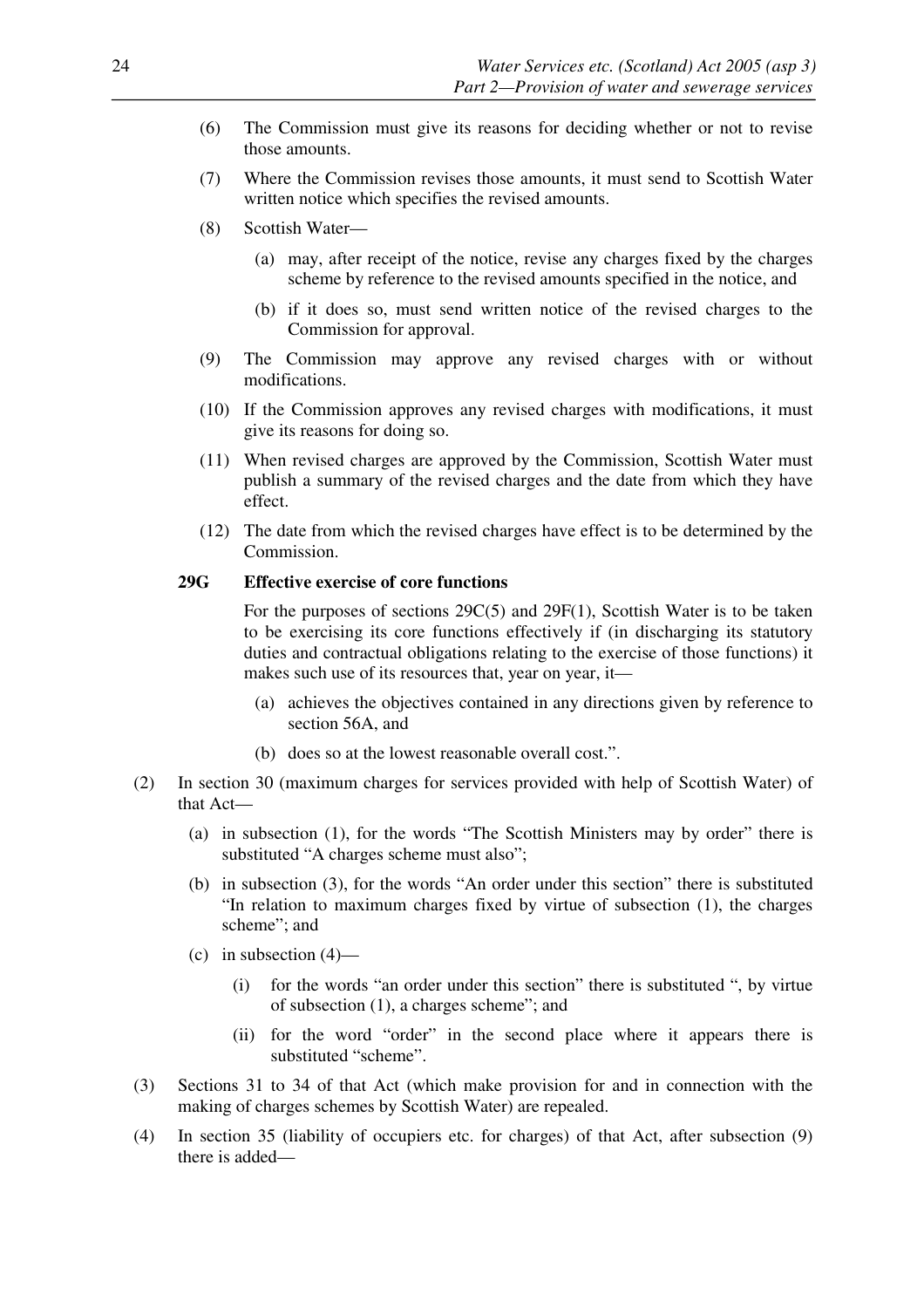- (6) The Commission must give its reasons for deciding whether or not to revise those amounts.
- (7) Where the Commission revises those amounts, it must send to Scottish Water written notice which specifies the revised amounts.
- (8) Scottish Water—
	- (a) may, after receipt of the notice, revise any charges fixed by the charges scheme by reference to the revised amounts specified in the notice, and
	- (b) if it does so, must send written notice of the revised charges to the Commission for approval.
- (9) The Commission may approve any revised charges with or without modifications.
- (10) If the Commission approves any revised charges with modifications, it must give its reasons for doing so.
- (11) When revised charges are approved by the Commission, Scottish Water must publish a summary of the revised charges and the date from which they have effect.
- (12) The date from which the revised charges have effect is to be determined by the Commission.

## **29G Effective exercise of core functions**

 For the purposes of sections 29C(5) and 29F(1), Scottish Water is to be taken to be exercising its core functions effectively if (in discharging its statutory duties and contractual obligations relating to the exercise of those functions) it makes such use of its resources that, year on year, it—

- (a) achieves the objectives contained in any directions given by reference to section 56A, and
- (b) does so at the lowest reasonable overall cost.".
- (2) In section 30 (maximum charges for services provided with help of Scottish Water) of that Act—
	- (a) in subsection (1), for the words "The Scottish Ministers may by order" there is substituted "A charges scheme must also";
	- (b) in subsection (3), for the words "An order under this section" there is substituted "In relation to maximum charges fixed by virtue of subsection (1), the charges scheme"; and
	- (c) in subsection  $(4)$ 
		- (i) for the words "an order under this section" there is substituted ", by virtue of subsection (1), a charges scheme"; and
		- (ii) for the word "order" in the second place where it appears there is substituted "scheme".
- (3) Sections 31 to 34 of that Act (which make provision for and in connection with the making of charges schemes by Scottish Water) are repealed.
- (4) In section 35 (liability of occupiers etc. for charges) of that Act, after subsection (9) there is added—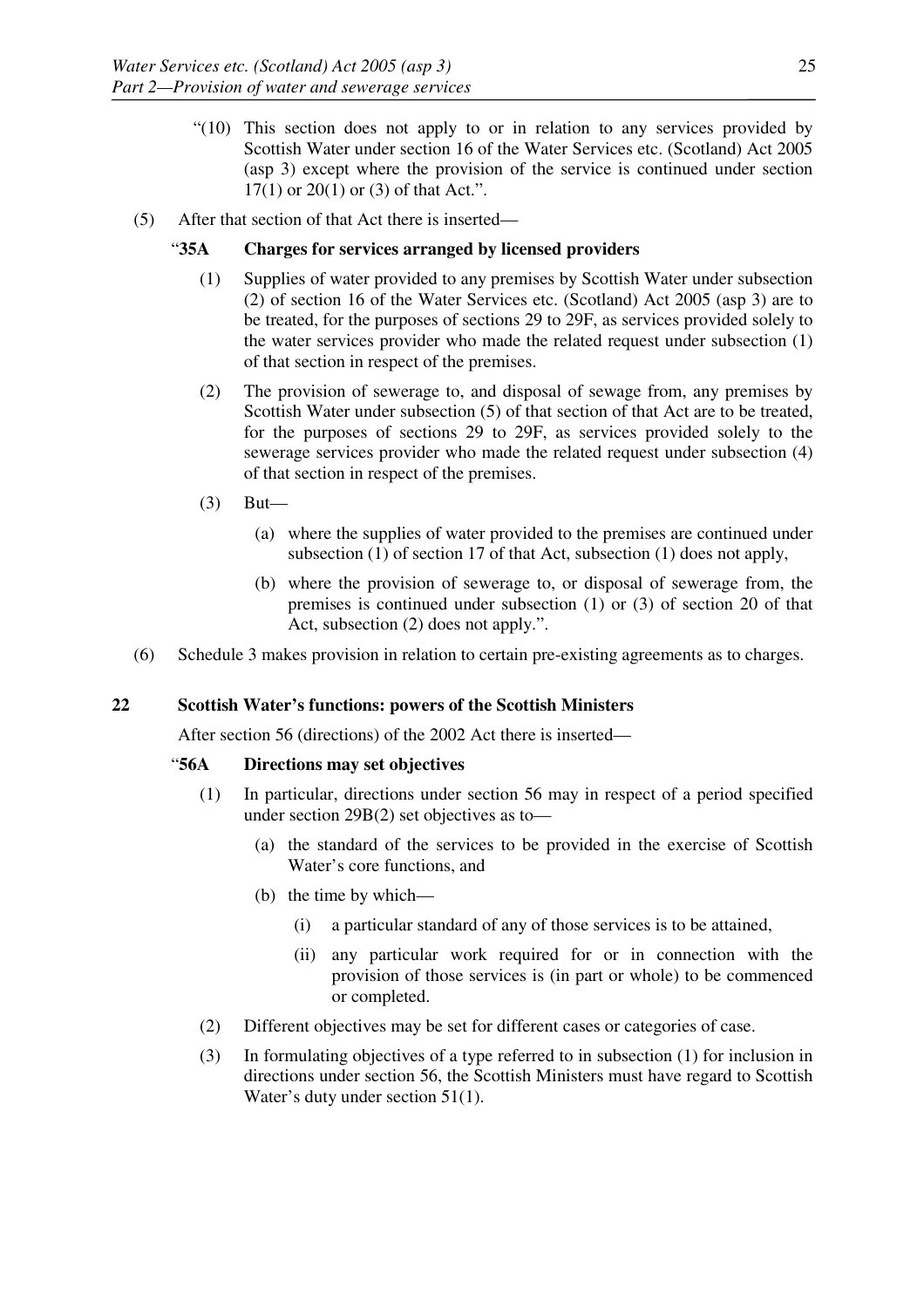- "(10) This section does not apply to or in relation to any services provided by Scottish Water under section 16 of the Water Services etc. (Scotland) Act 2005 (asp 3) except where the provision of the service is continued under section 17(1) or 20(1) or (3) of that Act.".
- (5) After that section of that Act there is inserted—

# "**35A Charges for services arranged by licensed providers**

- (1) Supplies of water provided to any premises by Scottish Water under subsection (2) of section 16 of the Water Services etc. (Scotland) Act 2005 (asp 3) are to be treated, for the purposes of sections 29 to 29F, as services provided solely to the water services provider who made the related request under subsection (1) of that section in respect of the premises.
- (2) The provision of sewerage to, and disposal of sewage from, any premises by Scottish Water under subsection (5) of that section of that Act are to be treated, for the purposes of sections 29 to 29F, as services provided solely to the sewerage services provider who made the related request under subsection (4) of that section in respect of the premises.
- (3) But—
	- (a) where the supplies of water provided to the premises are continued under subsection (1) of section 17 of that Act, subsection (1) does not apply,
	- (b) where the provision of sewerage to, or disposal of sewerage from, the premises is continued under subsection (1) or (3) of section 20 of that Act, subsection (2) does not apply.".
- (6) Schedule 3 makes provision in relation to certain pre-existing agreements as to charges.

# **22 Scottish Water's functions: powers of the Scottish Ministers**

After section 56 (directions) of the 2002 Act there is inserted—

## "**56A Directions may set objectives**

- (1) In particular, directions under section 56 may in respect of a period specified under section 29B(2) set objectives as to—
	- (a) the standard of the services to be provided in the exercise of Scottish Water's core functions, and
	- (b) the time by which—
		- (i) a particular standard of any of those services is to be attained,
		- (ii) any particular work required for or in connection with the provision of those services is (in part or whole) to be commenced or completed.
- (2) Different objectives may be set for different cases or categories of case.
- (3) In formulating objectives of a type referred to in subsection (1) for inclusion in directions under section 56, the Scottish Ministers must have regard to Scottish Water's duty under section 51(1).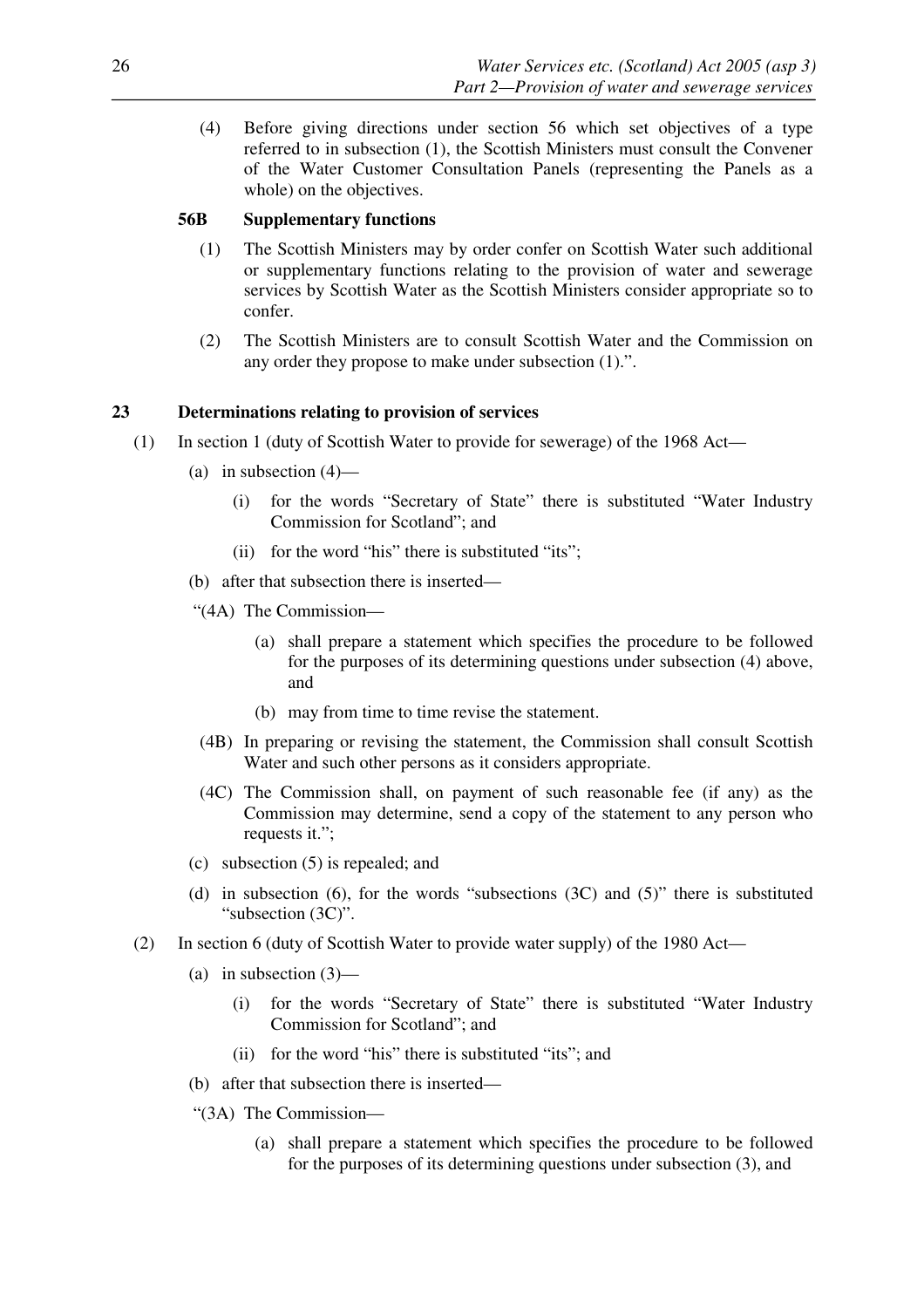(4) Before giving directions under section 56 which set objectives of a type referred to in subsection (1), the Scottish Ministers must consult the Convener of the Water Customer Consultation Panels (representing the Panels as a whole) on the objectives.

## **56B Supplementary functions**

- (1) The Scottish Ministers may by order confer on Scottish Water such additional or supplementary functions relating to the provision of water and sewerage services by Scottish Water as the Scottish Ministers consider appropriate so to confer.
- (2) The Scottish Ministers are to consult Scottish Water and the Commission on any order they propose to make under subsection (1).".

# **23 Determinations relating to provision of services**

- (1) In section 1 (duty of Scottish Water to provide for sewerage) of the 1968 Act—
	- (a) in subsection  $(4)$ 
		- (i) for the words "Secretary of State" there is substituted "Water Industry Commission for Scotland"; and
		- (ii) for the word "his" there is substituted "its";
	- (b) after that subsection there is inserted—
	- "(4A) The Commission—
		- (a) shall prepare a statement which specifies the procedure to be followed for the purposes of its determining questions under subsection (4) above, and
		- (b) may from time to time revise the statement.
	- (4B) In preparing or revising the statement, the Commission shall consult Scottish Water and such other persons as it considers appropriate.
	- (4C) The Commission shall, on payment of such reasonable fee (if any) as the Commission may determine, send a copy of the statement to any person who requests it.";
	- (c) subsection (5) is repealed; and
	- (d) in subsection (6), for the words "subsections (3C) and (5)" there is substituted "subsection (3C)".
- (2) In section 6 (duty of Scottish Water to provide water supply) of the 1980 Act—
	- (a) in subsection  $(3)$ 
		- (i) for the words "Secretary of State" there is substituted "Water Industry Commission for Scotland"; and
		- (ii) for the word "his" there is substituted "its"; and
	- (b) after that subsection there is inserted—
	- "(3A) The Commission—
		- (a) shall prepare a statement which specifies the procedure to be followed for the purposes of its determining questions under subsection (3), and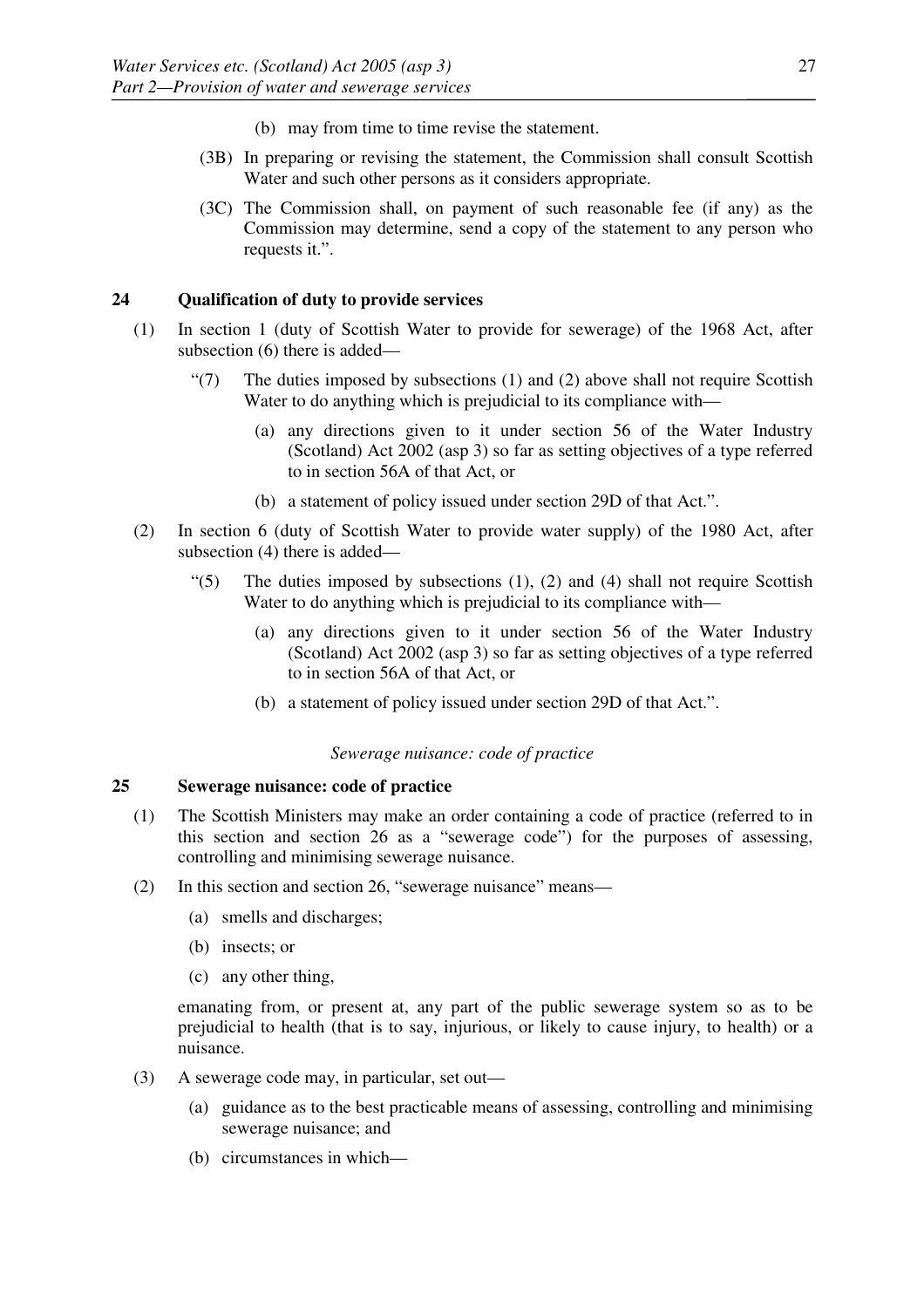- (b) may from time to time revise the statement.
- (3B) In preparing or revising the statement, the Commission shall consult Scottish Water and such other persons as it considers appropriate.
- (3C) The Commission shall, on payment of such reasonable fee (if any) as the Commission may determine, send a copy of the statement to any person who requests it.".

## **24 Qualification of duty to provide services**

- (1) In section 1 (duty of Scottish Water to provide for sewerage) of the 1968 Act, after subsection (6) there is added—
	- $\degree$ (7) The duties imposed by subsections (1) and (2) above shall not require Scottish Water to do anything which is prejudicial to its compliance with—
		- (a) any directions given to it under section 56 of the Water Industry (Scotland) Act 2002 (asp 3) so far as setting objectives of a type referred to in section 56A of that Act, or
		- (b) a statement of policy issued under section 29D of that Act.".
- (2) In section 6 (duty of Scottish Water to provide water supply) of the 1980 Act, after subsection (4) there is added—
	- " $(5)$  The duties imposed by subsections  $(1)$ ,  $(2)$  and  $(4)$  shall not require Scottish Water to do anything which is prejudicial to its compliance with—
		- (a) any directions given to it under section 56 of the Water Industry (Scotland) Act 2002 (asp 3) so far as setting objectives of a type referred to in section 56A of that Act, or
		- (b) a statement of policy issued under section 29D of that Act.".

#### *Sewerage nuisance: code of practice*

#### **25 Sewerage nuisance: code of practice**

- (1) The Scottish Ministers may make an order containing a code of practice (referred to in this section and section 26 as a "sewerage code") for the purposes of assessing, controlling and minimising sewerage nuisance.
- (2) In this section and section 26, "sewerage nuisance" means—
	- (a) smells and discharges;
	- (b) insects; or
	- (c) any other thing,

emanating from, or present at, any part of the public sewerage system so as to be prejudicial to health (that is to say, injurious, or likely to cause injury, to health) or a nuisance.

- (3) A sewerage code may, in particular, set out—
	- (a) guidance as to the best practicable means of assessing, controlling and minimising sewerage nuisance; and
	- (b) circumstances in which—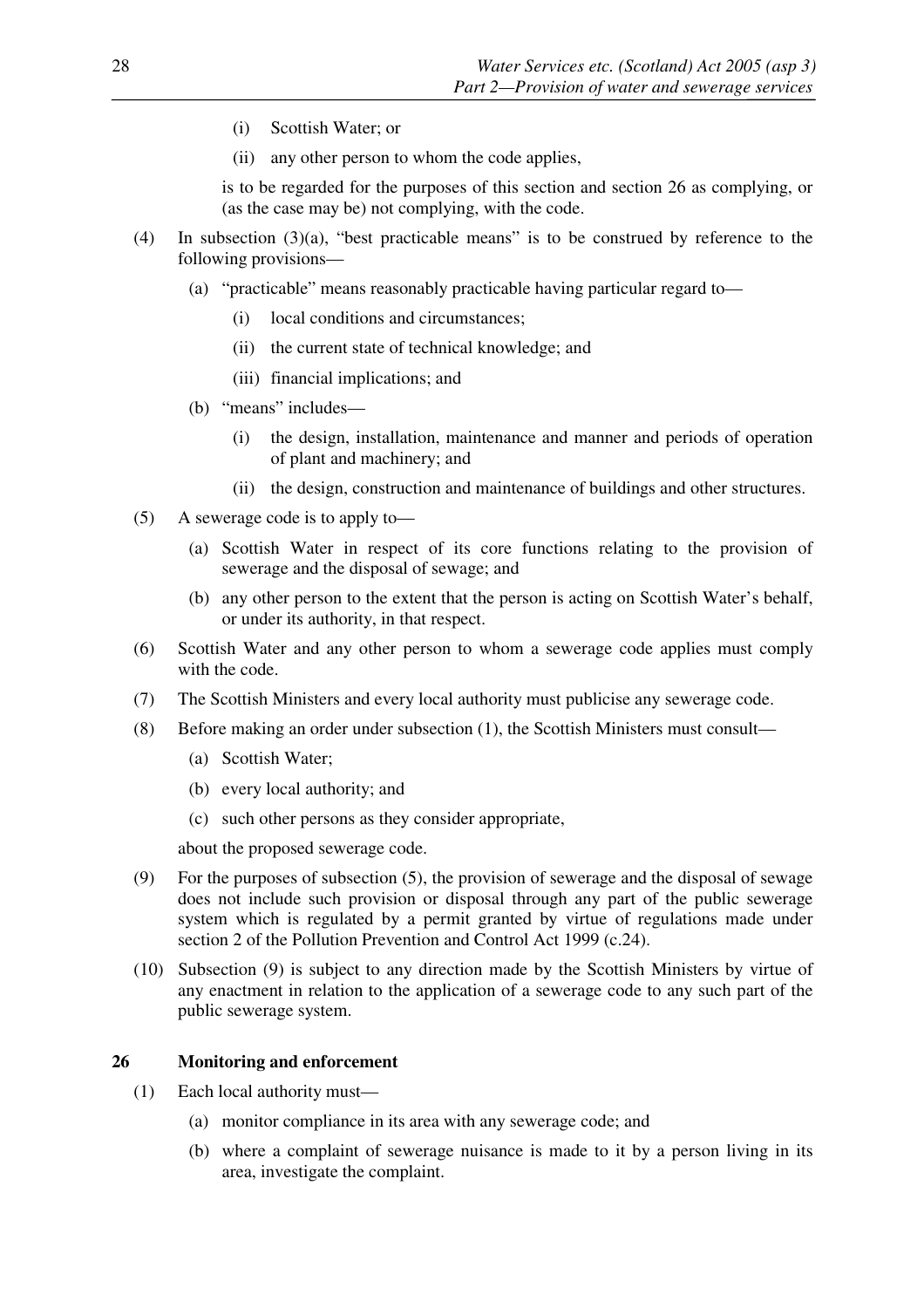- (i) Scottish Water; or
- (ii) any other person to whom the code applies,

is to be regarded for the purposes of this section and section 26 as complying, or (as the case may be) not complying, with the code.

- (4) In subsection (3)(a), "best practicable means" is to be construed by reference to the following provisions—
	- (a) "practicable" means reasonably practicable having particular regard to—
		- (i) local conditions and circumstances;
		- (ii) the current state of technical knowledge; and
		- (iii) financial implications; and
	- (b) "means" includes—
		- (i) the design, installation, maintenance and manner and periods of operation of plant and machinery; and
		- (ii) the design, construction and maintenance of buildings and other structures.
- (5) A sewerage code is to apply to—
	- (a) Scottish Water in respect of its core functions relating to the provision of sewerage and the disposal of sewage; and
	- (b) any other person to the extent that the person is acting on Scottish Water's behalf, or under its authority, in that respect.
- (6) Scottish Water and any other person to whom a sewerage code applies must comply with the code.
- (7) The Scottish Ministers and every local authority must publicise any sewerage code.
- (8) Before making an order under subsection (1), the Scottish Ministers must consult—
	- (a) Scottish Water;
	- (b) every local authority; and
	- (c) such other persons as they consider appropriate,

about the proposed sewerage code.

- (9) For the purposes of subsection (5), the provision of sewerage and the disposal of sewage does not include such provision or disposal through any part of the public sewerage system which is regulated by a permit granted by virtue of regulations made under section 2 of the Pollution Prevention and Control Act 1999 (c.24).
- (10) Subsection (9) is subject to any direction made by the Scottish Ministers by virtue of any enactment in relation to the application of a sewerage code to any such part of the public sewerage system.

#### **26 Monitoring and enforcement**

- (1) Each local authority must—
	- (a) monitor compliance in its area with any sewerage code; and
	- (b) where a complaint of sewerage nuisance is made to it by a person living in its area, investigate the complaint.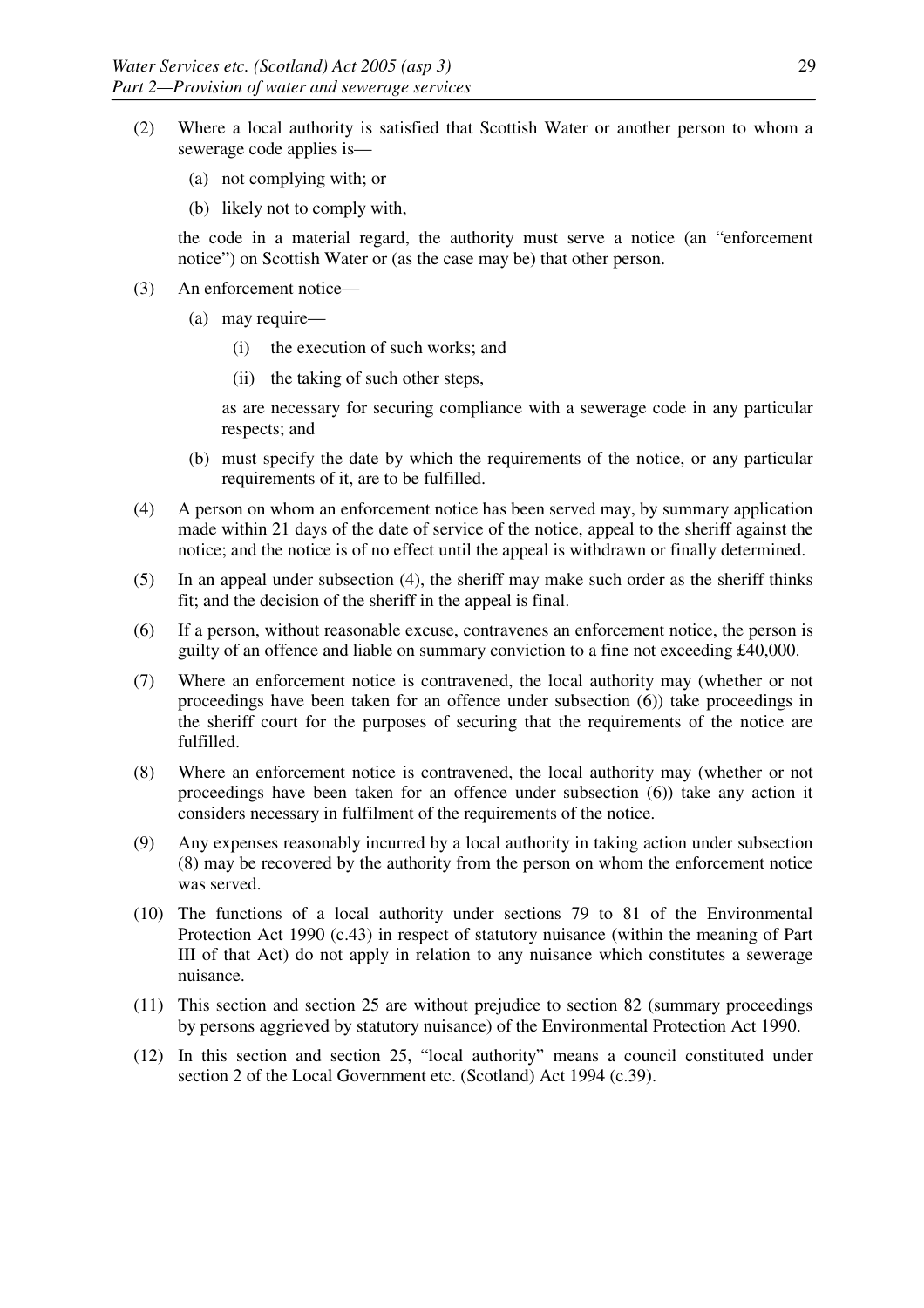- (2) Where a local authority is satisfied that Scottish Water or another person to whom a sewerage code applies is—
	- (a) not complying with; or
	- (b) likely not to comply with,

the code in a material regard, the authority must serve a notice (an "enforcement notice") on Scottish Water or (as the case may be) that other person.

- (3) An enforcement notice—
	- (a) may require—
		- (i) the execution of such works; and
		- (ii) the taking of such other steps,

as are necessary for securing compliance with a sewerage code in any particular respects; and

- (b) must specify the date by which the requirements of the notice, or any particular requirements of it, are to be fulfilled.
- (4) A person on whom an enforcement notice has been served may, by summary application made within 21 days of the date of service of the notice, appeal to the sheriff against the notice; and the notice is of no effect until the appeal is withdrawn or finally determined.
- (5) In an appeal under subsection (4), the sheriff may make such order as the sheriff thinks fit; and the decision of the sheriff in the appeal is final.
- (6) If a person, without reasonable excuse, contravenes an enforcement notice, the person is guilty of an offence and liable on summary conviction to a fine not exceeding £40,000.
- (7) Where an enforcement notice is contravened, the local authority may (whether or not proceedings have been taken for an offence under subsection (6)) take proceedings in the sheriff court for the purposes of securing that the requirements of the notice are fulfilled.
- (8) Where an enforcement notice is contravened, the local authority may (whether or not proceedings have been taken for an offence under subsection (6)) take any action it considers necessary in fulfilment of the requirements of the notice.
- (9) Any expenses reasonably incurred by a local authority in taking action under subsection (8) may be recovered by the authority from the person on whom the enforcement notice was served.
- (10) The functions of a local authority under sections 79 to 81 of the Environmental Protection Act 1990 (c.43) in respect of statutory nuisance (within the meaning of Part III of that Act) do not apply in relation to any nuisance which constitutes a sewerage nuisance.
- (11) This section and section 25 are without prejudice to section 82 (summary proceedings by persons aggrieved by statutory nuisance) of the Environmental Protection Act 1990.
- (12) In this section and section 25, "local authority" means a council constituted under section 2 of the Local Government etc. (Scotland) Act 1994 (c.39).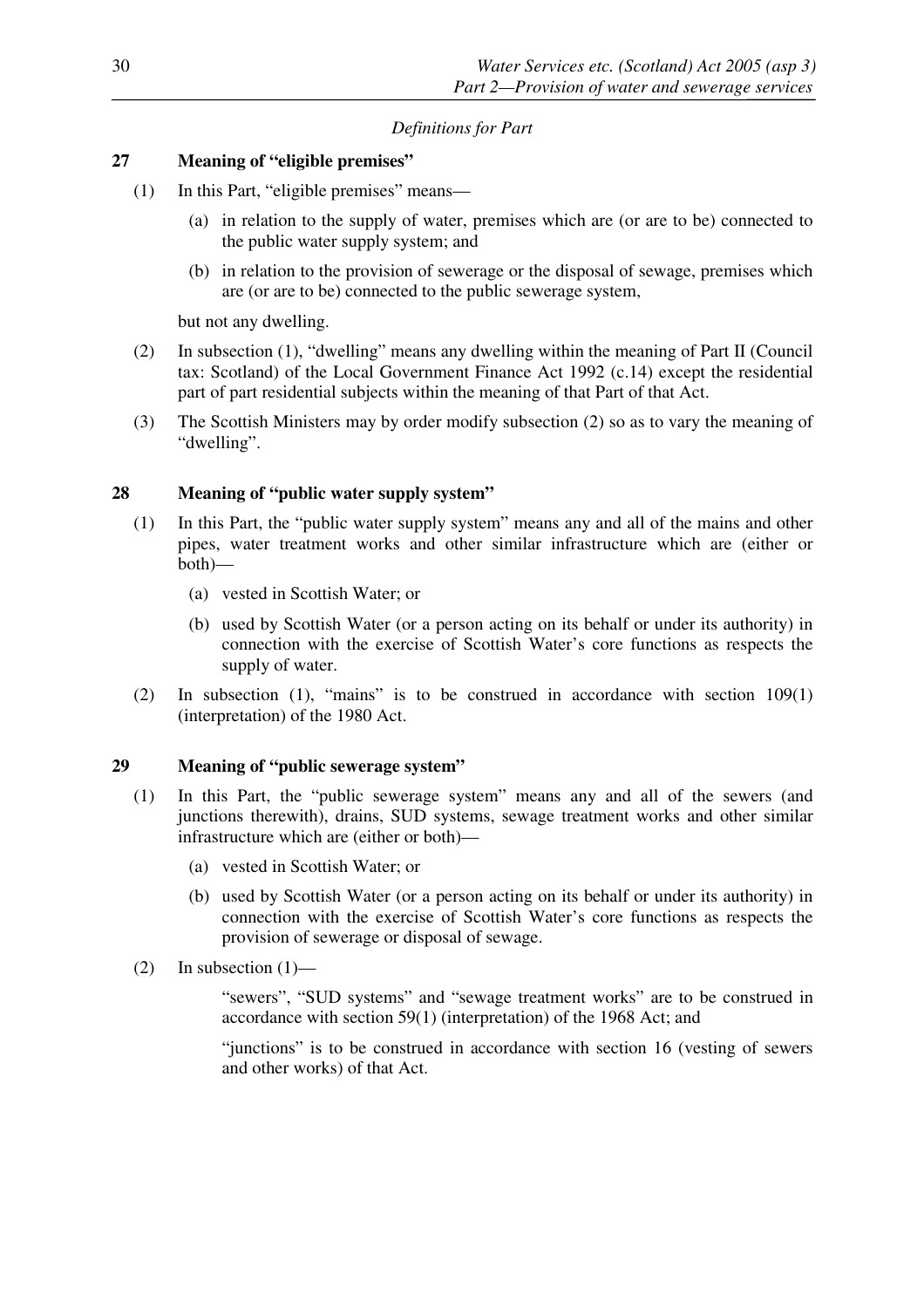# *Definitions for Part*

# **27 Meaning of "eligible premises"**

- (1) In this Part, "eligible premises" means—
	- (a) in relation to the supply of water, premises which are (or are to be) connected to the public water supply system; and
	- (b) in relation to the provision of sewerage or the disposal of sewage, premises which are (or are to be) connected to the public sewerage system,

but not any dwelling.

- (2) In subsection (1), "dwelling" means any dwelling within the meaning of Part II (Council tax: Scotland) of the Local Government Finance Act 1992 (c.14) except the residential part of part residential subjects within the meaning of that Part of that Act.
- (3) The Scottish Ministers may by order modify subsection (2) so as to vary the meaning of "dwelling".

# **28 Meaning of "public water supply system"**

- (1) In this Part, the "public water supply system" means any and all of the mains and other pipes, water treatment works and other similar infrastructure which are (either or both)—
	- (a) vested in Scottish Water; or
	- (b) used by Scottish Water (or a person acting on its behalf or under its authority) in connection with the exercise of Scottish Water's core functions as respects the supply of water.
- (2) In subsection (1), "mains" is to be construed in accordance with section 109(1) (interpretation) of the 1980 Act.

# **29 Meaning of "public sewerage system"**

- (1) In this Part, the "public sewerage system" means any and all of the sewers (and junctions therewith), drains, SUD systems, sewage treatment works and other similar infrastructure which are (either or both)—
	- (a) vested in Scottish Water; or
	- (b) used by Scottish Water (or a person acting on its behalf or under its authority) in connection with the exercise of Scottish Water's core functions as respects the provision of sewerage or disposal of sewage.
- $(2)$  In subsection  $(1)$ —

"sewers", "SUD systems" and "sewage treatment works" are to be construed in accordance with section 59(1) (interpretation) of the 1968 Act; and

"junctions" is to be construed in accordance with section 16 (vesting of sewers and other works) of that Act.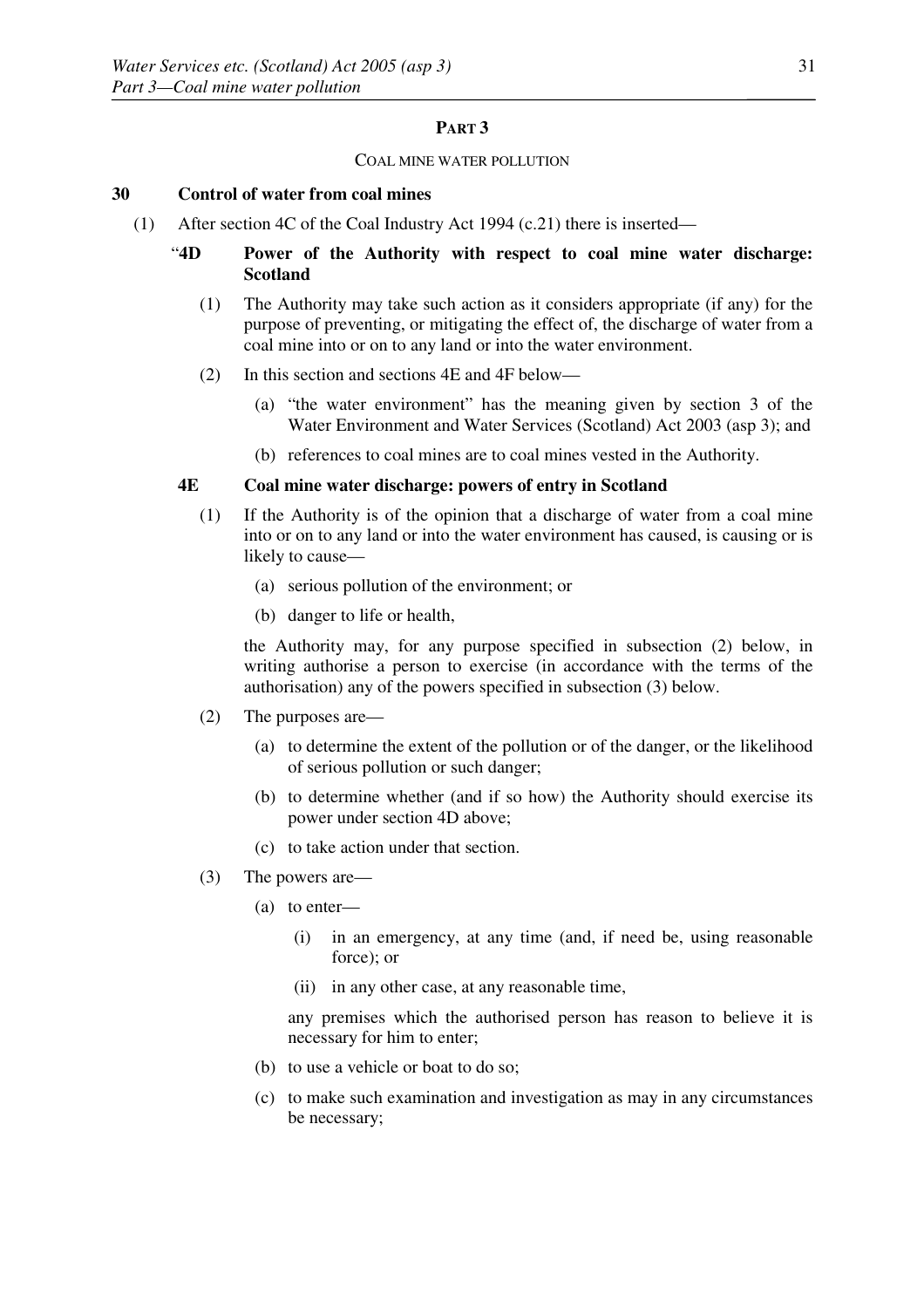## **PART 3**

#### COAL MINE WATER POLLUTION

#### **30 Control of water from coal mines**

(1) After section 4C of the Coal Industry Act 1994 (c.21) there is inserted—

## "**4D Power of the Authority with respect to coal mine water discharge: Scotland**

- (1) The Authority may take such action as it considers appropriate (if any) for the purpose of preventing, or mitigating the effect of, the discharge of water from a coal mine into or on to any land or into the water environment.
- (2) In this section and sections 4E and 4F below—
	- (a) "the water environment" has the meaning given by section 3 of the Water Environment and Water Services (Scotland) Act 2003 (asp 3); and
	- (b) references to coal mines are to coal mines vested in the Authority.

#### **4E Coal mine water discharge: powers of entry in Scotland**

- (1) If the Authority is of the opinion that a discharge of water from a coal mine into or on to any land or into the water environment has caused, is causing or is likely to cause—
	- (a) serious pollution of the environment; or
	- (b) danger to life or health,

 the Authority may, for any purpose specified in subsection (2) below, in writing authorise a person to exercise (in accordance with the terms of the authorisation) any of the powers specified in subsection (3) below.

- (2) The purposes are—
	- (a) to determine the extent of the pollution or of the danger, or the likelihood of serious pollution or such danger;
	- (b) to determine whether (and if so how) the Authority should exercise its power under section 4D above;
	- (c) to take action under that section.
- (3) The powers are—
	- (a) to enter—
		- (i) in an emergency, at any time (and, if need be, using reasonable force); or
		- (ii) in any other case, at any reasonable time,

 any premises which the authorised person has reason to believe it is necessary for him to enter;

- (b) to use a vehicle or boat to do so;
- (c) to make such examination and investigation as may in any circumstances be necessary;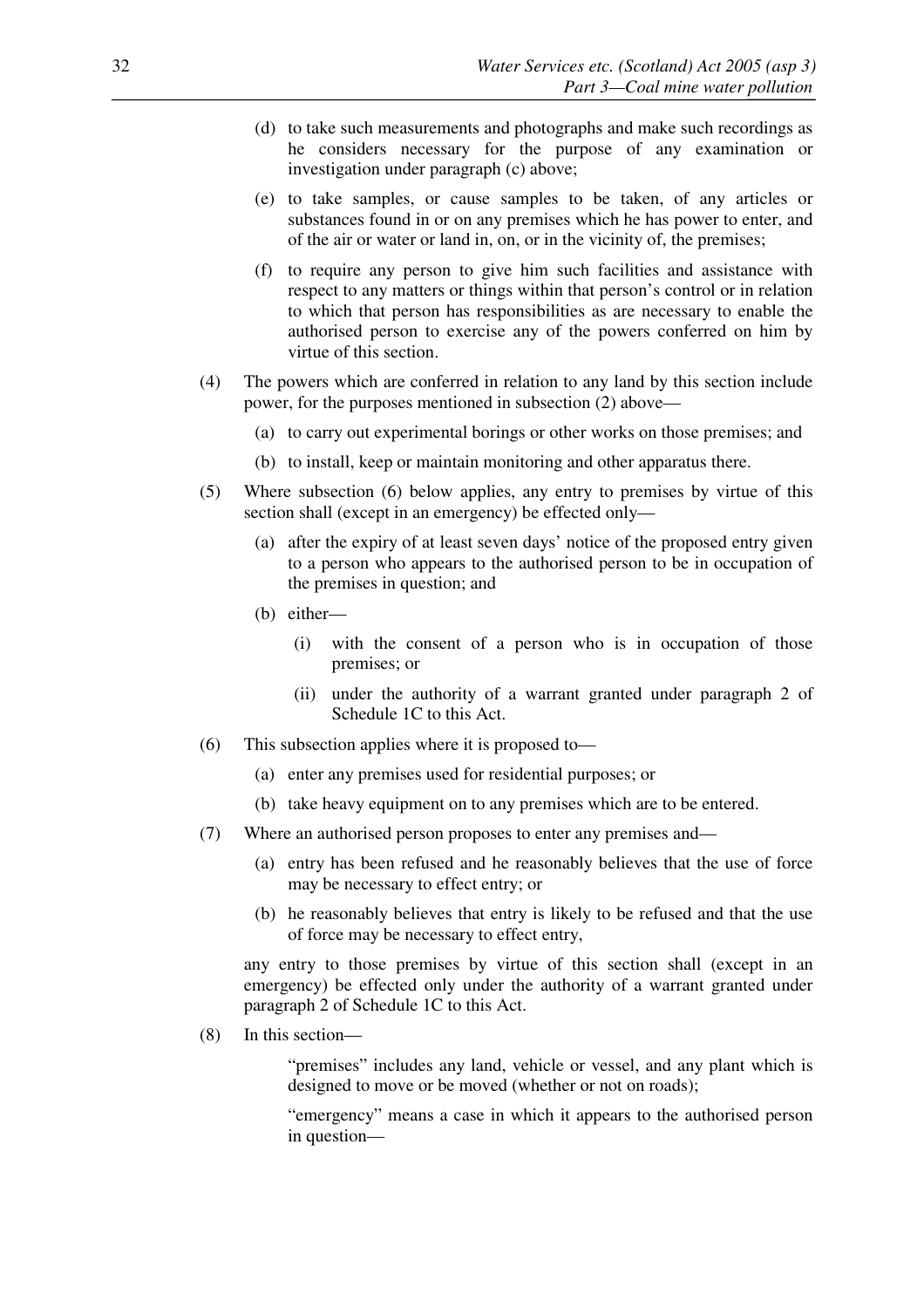- (d) to take such measurements and photographs and make such recordings as he considers necessary for the purpose of any examination or investigation under paragraph (c) above;
- (e) to take samples, or cause samples to be taken, of any articles or substances found in or on any premises which he has power to enter, and of the air or water or land in, on, or in the vicinity of, the premises;
- (f) to require any person to give him such facilities and assistance with respect to any matters or things within that person's control or in relation to which that person has responsibilities as are necessary to enable the authorised person to exercise any of the powers conferred on him by virtue of this section.
- (4) The powers which are conferred in relation to any land by this section include power, for the purposes mentioned in subsection (2) above—
	- (a) to carry out experimental borings or other works on those premises; and
	- (b) to install, keep or maintain monitoring and other apparatus there.
- (5) Where subsection (6) below applies, any entry to premises by virtue of this section shall (except in an emergency) be effected only—
	- (a) after the expiry of at least seven days' notice of the proposed entry given to a person who appears to the authorised person to be in occupation of the premises in question; and
	- (b) either—
		- (i) with the consent of a person who is in occupation of those premises; or
		- (ii) under the authority of a warrant granted under paragraph 2 of Schedule 1C to this Act.
- (6) This subsection applies where it is proposed to—
	- (a) enter any premises used for residential purposes; or
	- (b) take heavy equipment on to any premises which are to be entered.
- (7) Where an authorised person proposes to enter any premises and—
	- (a) entry has been refused and he reasonably believes that the use of force may be necessary to effect entry; or
	- (b) he reasonably believes that entry is likely to be refused and that the use of force may be necessary to effect entry,

 any entry to those premises by virtue of this section shall (except in an emergency) be effected only under the authority of a warrant granted under paragraph 2 of Schedule 1C to this Act.

(8) In this section—

 "premises" includes any land, vehicle or vessel, and any plant which is designed to move or be moved (whether or not on roads);

 "emergency" means a case in which it appears to the authorised person in question—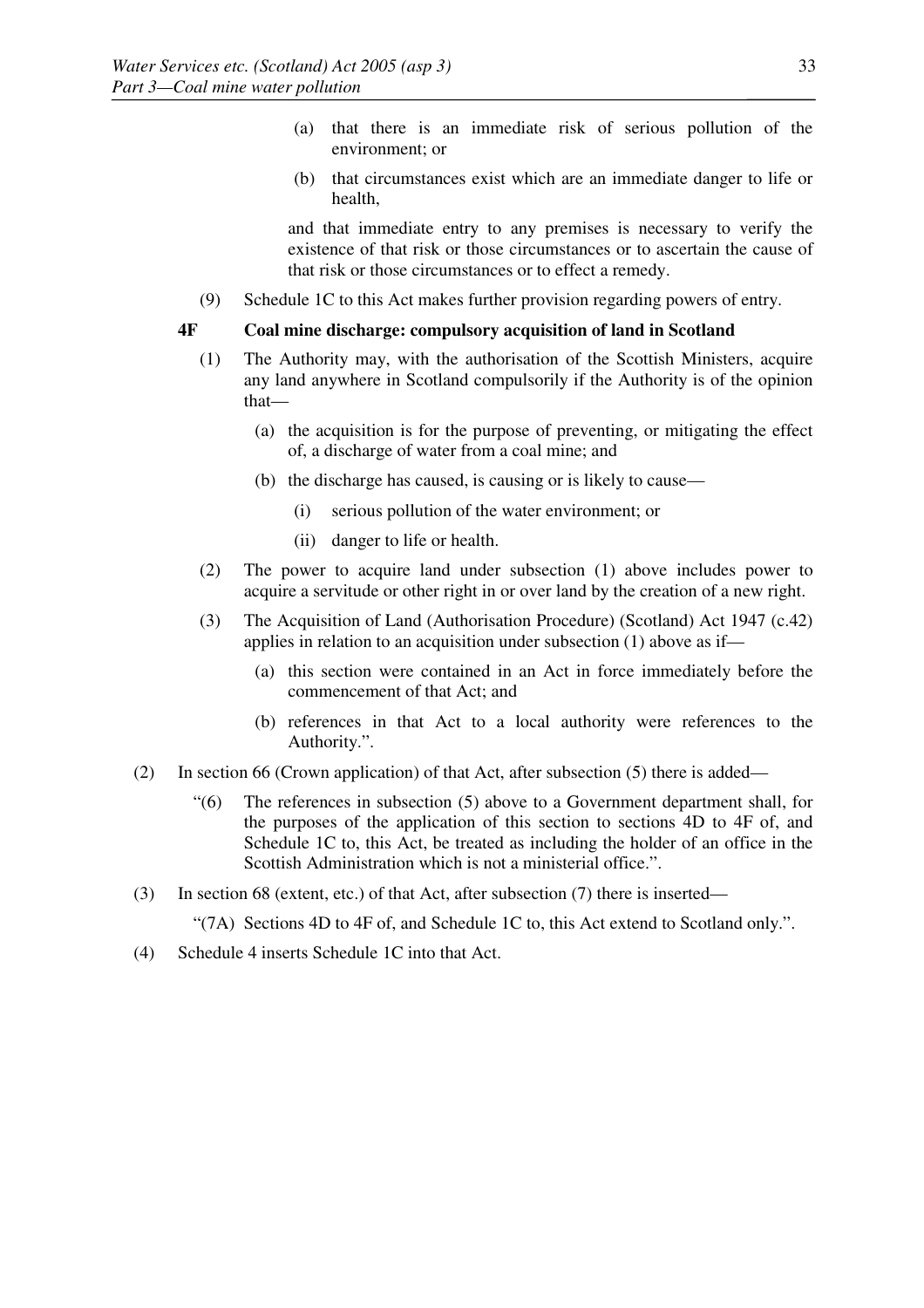- (a) that there is an immediate risk of serious pollution of the environment; or
- (b) that circumstances exist which are an immediate danger to life or health,

 and that immediate entry to any premises is necessary to verify the existence of that risk or those circumstances or to ascertain the cause of that risk or those circumstances or to effect a remedy.

(9) Schedule 1C to this Act makes further provision regarding powers of entry.

## **4F Coal mine discharge: compulsory acquisition of land in Scotland**

- (1) The Authority may, with the authorisation of the Scottish Ministers, acquire any land anywhere in Scotland compulsorily if the Authority is of the opinion that—
	- (a) the acquisition is for the purpose of preventing, or mitigating the effect of, a discharge of water from a coal mine; and
	- (b) the discharge has caused, is causing or is likely to cause—
		- (i) serious pollution of the water environment; or
		- (ii) danger to life or health.
- (2) The power to acquire land under subsection (1) above includes power to acquire a servitude or other right in or over land by the creation of a new right.
- (3) The Acquisition of Land (Authorisation Procedure) (Scotland) Act 1947 (c.42) applies in relation to an acquisition under subsection (1) above as if—
	- (a) this section were contained in an Act in force immediately before the commencement of that Act; and
	- (b) references in that Act to a local authority were references to the Authority.".
- (2) In section 66 (Crown application) of that Act, after subsection (5) there is added—
	- "(6) The references in subsection (5) above to a Government department shall, for the purposes of the application of this section to sections 4D to 4F of, and Schedule 1C to, this Act, be treated as including the holder of an office in the Scottish Administration which is not a ministerial office.".
- (3) In section 68 (extent, etc.) of that Act, after subsection (7) there is inserted—

"(7A) Sections 4D to 4F of, and Schedule 1C to, this Act extend to Scotland only.".

(4) Schedule 4 inserts Schedule 1C into that Act.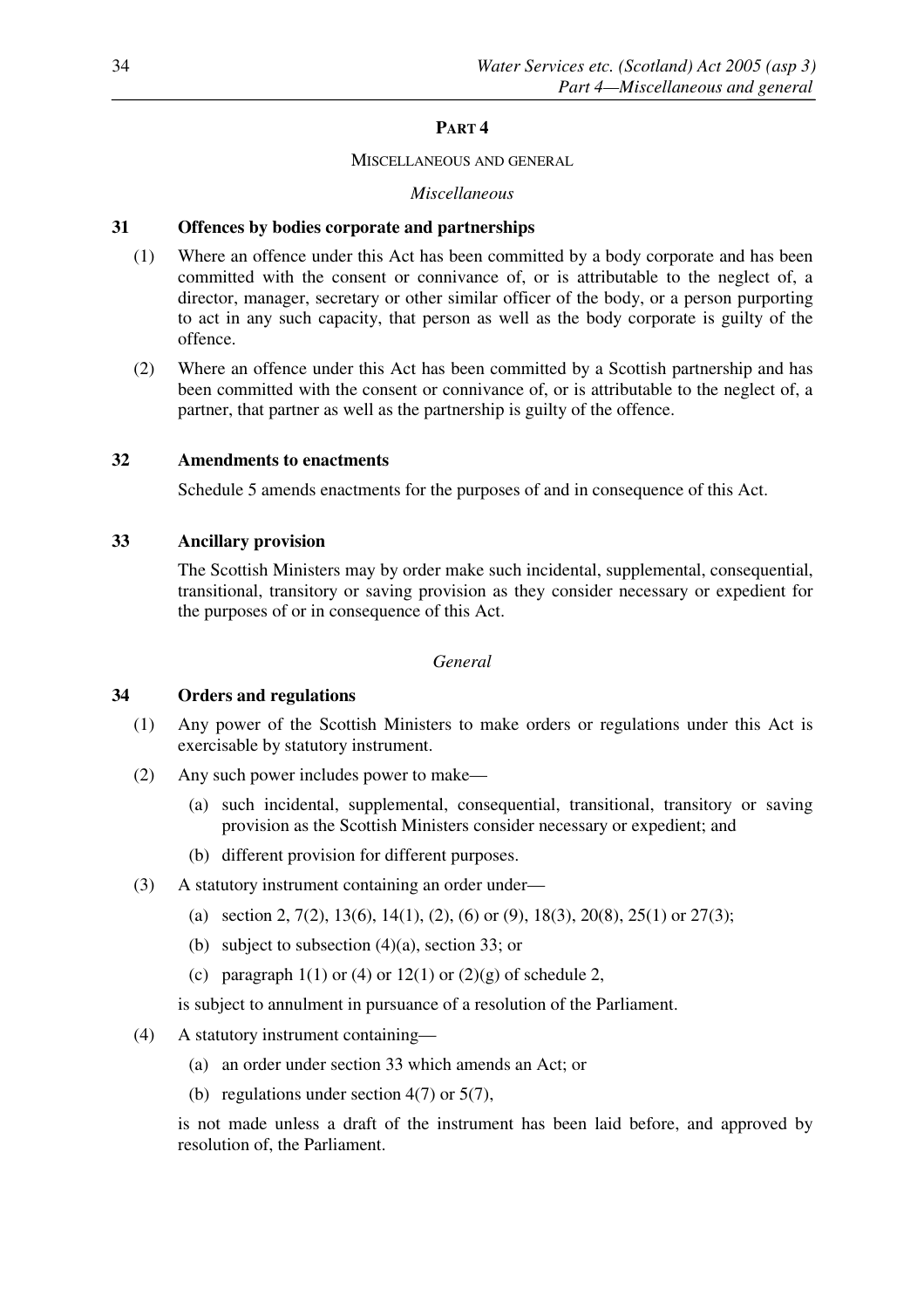# **PART 4**

## MISCELLANEOUS AND GENERAL

# *Miscellaneous*

# **31 Offences by bodies corporate and partnerships**

- (1) Where an offence under this Act has been committed by a body corporate and has been committed with the consent or connivance of, or is attributable to the neglect of, a director, manager, secretary or other similar officer of the body, or a person purporting to act in any such capacity, that person as well as the body corporate is guilty of the offence.
- (2) Where an offence under this Act has been committed by a Scottish partnership and has been committed with the consent or connivance of, or is attributable to the neglect of, a partner, that partner as well as the partnership is guilty of the offence.

# **32 Amendments to enactments**

Schedule 5 amends enactments for the purposes of and in consequence of this Act.

# **33 Ancillary provision**

The Scottish Ministers may by order make such incidental, supplemental, consequential, transitional, transitory or saving provision as they consider necessary or expedient for the purposes of or in consequence of this Act.

## *General*

# **34 Orders and regulations**

- (1) Any power of the Scottish Ministers to make orders or regulations under this Act is exercisable by statutory instrument.
- (2) Any such power includes power to make—
	- (a) such incidental, supplemental, consequential, transitional, transitory or saving provision as the Scottish Ministers consider necessary or expedient; and
	- (b) different provision for different purposes.
- (3) A statutory instrument containing an order under—
	- (a) section 2, 7(2), 13(6), 14(1), (2), (6) or (9), 18(3), 20(8), 25(1) or 27(3);
	- (b) subject to subsection (4)(a), section 33; or
	- (c) paragraph  $1(1)$  or (4) or  $12(1)$  or  $(2)(g)$  of schedule 2,
	- is subject to annulment in pursuance of a resolution of the Parliament.
- (4) A statutory instrument containing—
	- (a) an order under section 33 which amends an Act; or
	- (b) regulations under section  $4(7)$  or  $5(7)$ ,

is not made unless a draft of the instrument has been laid before, and approved by resolution of, the Parliament.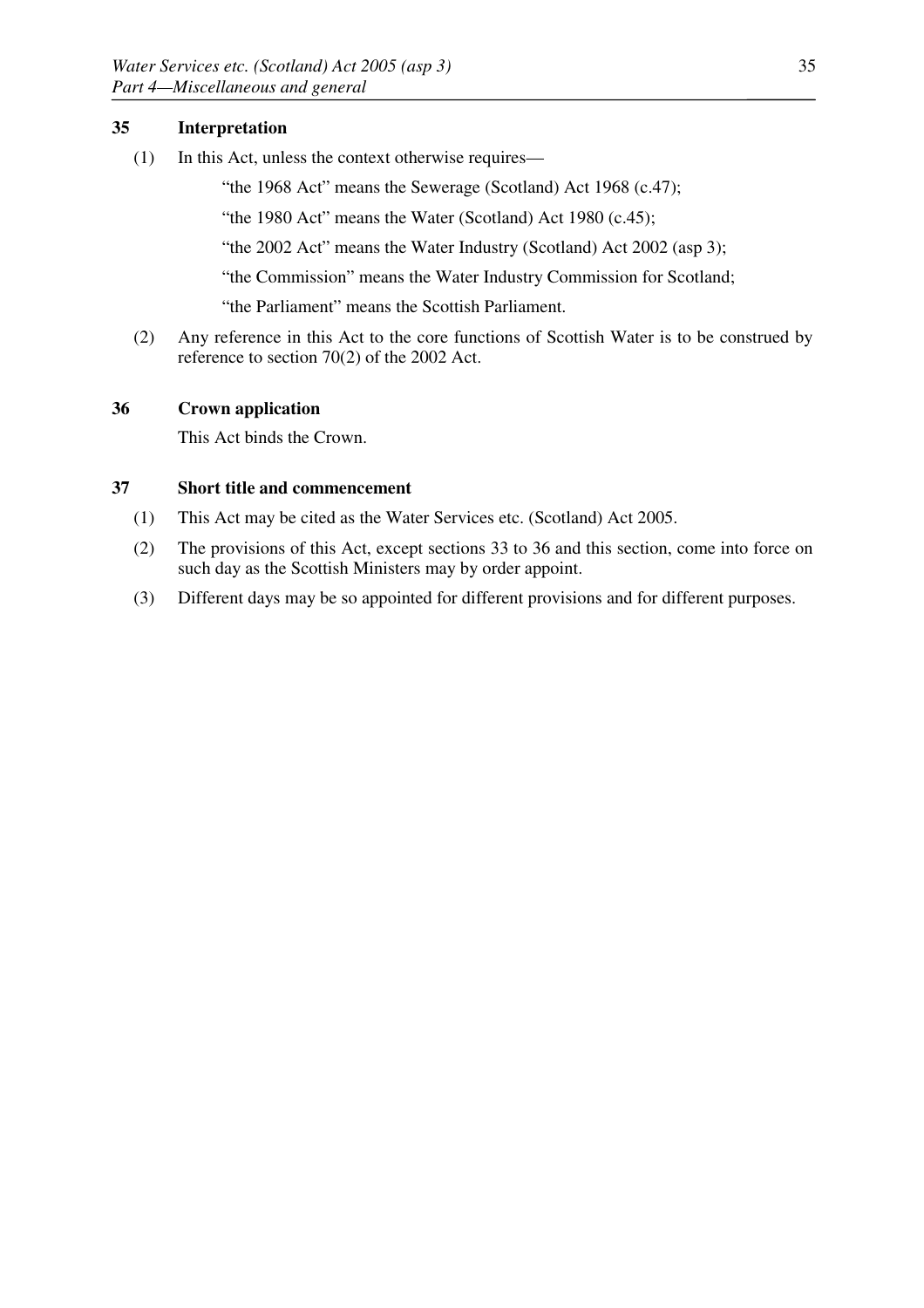## **35 Interpretation**

(1) In this Act, unless the context otherwise requires—

"the 1968 Act" means the Sewerage (Scotland) Act 1968 (c.47);

"the 1980 Act" means the Water (Scotland) Act 1980 (c.45);

"the 2002 Act" means the Water Industry (Scotland) Act 2002 (asp 3);

"the Commission" means the Water Industry Commission for Scotland;

"the Parliament" means the Scottish Parliament.

(2) Any reference in this Act to the core functions of Scottish Water is to be construed by reference to section 70(2) of the 2002 Act.

## **36 Crown application**

This Act binds the Crown.

## **37 Short title and commencement**

- (1) This Act may be cited as the Water Services etc. (Scotland) Act 2005.
- (2) The provisions of this Act, except sections 33 to 36 and this section, come into force on such day as the Scottish Ministers may by order appoint.
- (3) Different days may be so appointed for different provisions and for different purposes.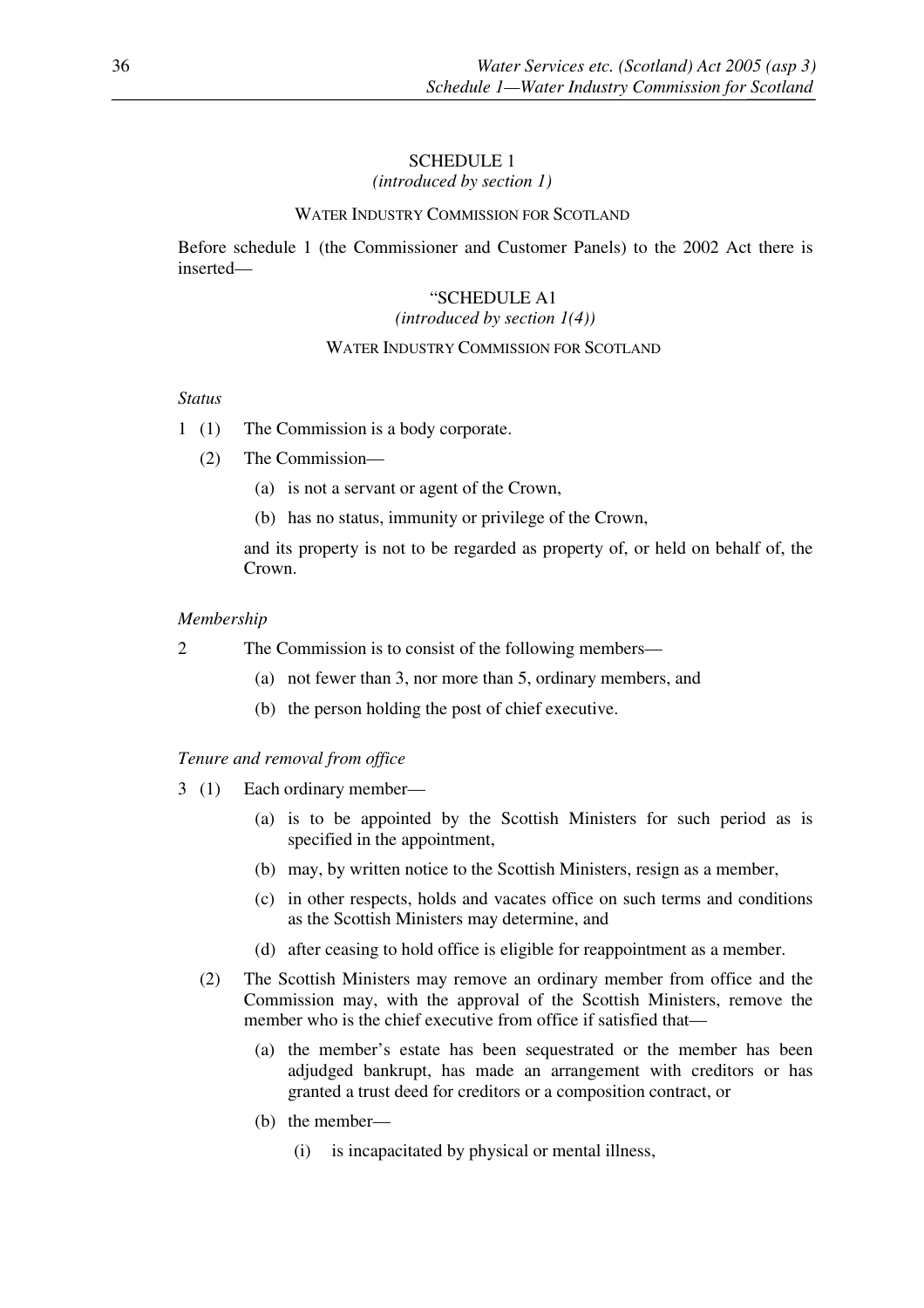## SCHEDULE 1

*(introduced by section 1)*

## WATER INDUSTRY COMMISSION FOR SCOTLAND

Before schedule 1 (the Commissioner and Customer Panels) to the 2002 Act there is inserted—

#### "SCHEDULE A1

#### *(introduced by section 1(4))*

## WATER INDUSTRY COMMISSION FOR SCOTLAND

## *Status*

- 1 (1) The Commission is a body corporate.
	- (2) The Commission—
		- (a) is not a servant or agent of the Crown,
		- (b) has no status, immunity or privilege of the Crown,

 and its property is not to be regarded as property of, or held on behalf of, the Crown.

#### *Membership*

- 2 The Commission is to consist of the following members—
	- (a) not fewer than 3, nor more than 5, ordinary members, and
	- (b) the person holding the post of chief executive.

#### *Tenure and removal from office*

- 3 (1) Each ordinary member—
	- (a) is to be appointed by the Scottish Ministers for such period as is specified in the appointment,
	- (b) may, by written notice to the Scottish Ministers, resign as a member,
	- (c) in other respects, holds and vacates office on such terms and conditions as the Scottish Ministers may determine, and
	- (d) after ceasing to hold office is eligible for reappointment as a member.
	- (2) The Scottish Ministers may remove an ordinary member from office and the Commission may, with the approval of the Scottish Ministers, remove the member who is the chief executive from office if satisfied that—
		- (a) the member's estate has been sequestrated or the member has been adjudged bankrupt, has made an arrangement with creditors or has granted a trust deed for creditors or a composition contract, or
		- (b) the member—
			- (i) is incapacitated by physical or mental illness,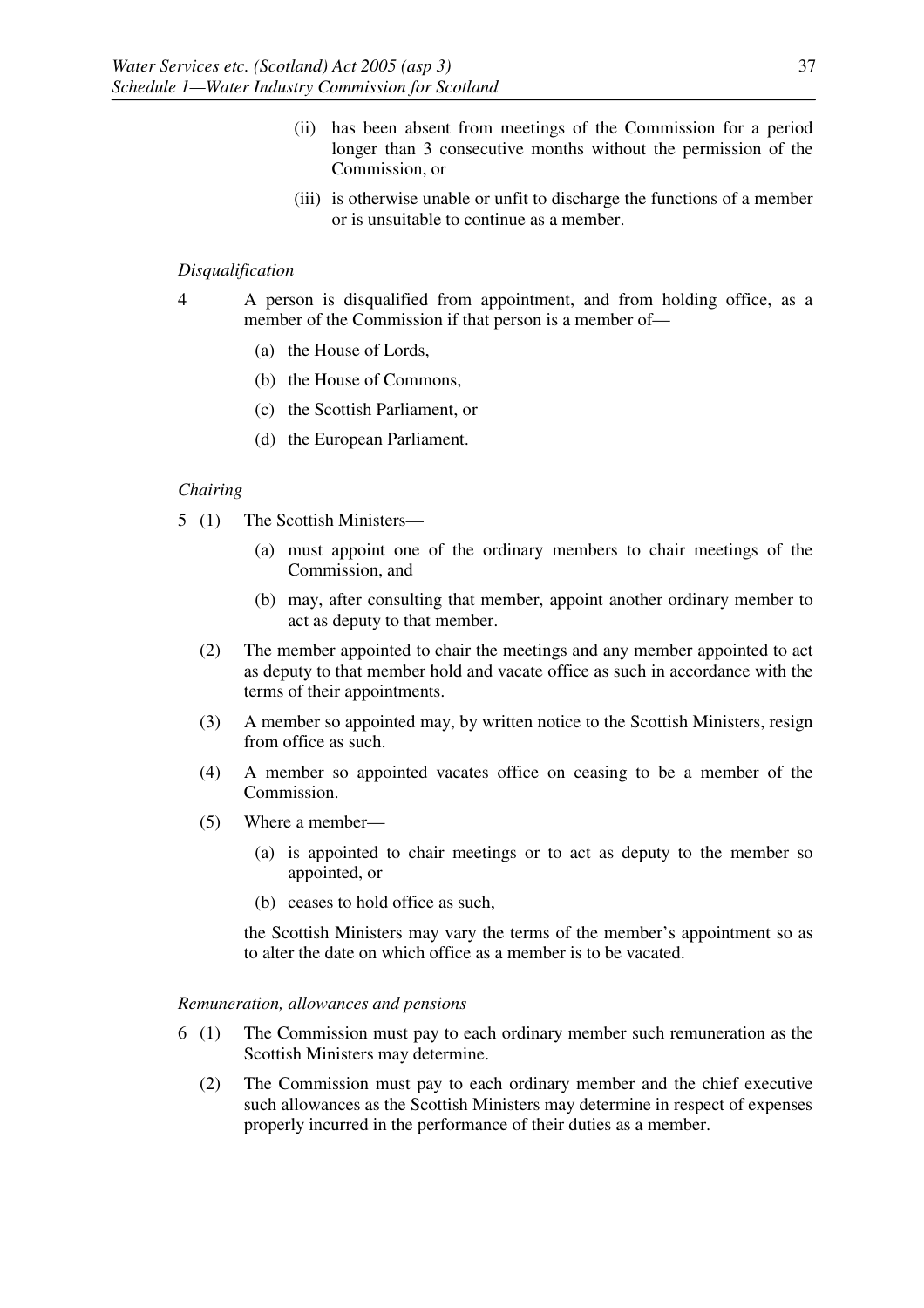- (ii) has been absent from meetings of the Commission for a period longer than 3 consecutive months without the permission of the Commission, or
- (iii) is otherwise unable or unfit to discharge the functions of a member or is unsuitable to continue as a member.

## *Disqualification*

- 4 A person is disqualified from appointment, and from holding office, as a member of the Commission if that person is a member of—
	- (a) the House of Lords,
	- (b) the House of Commons,
	- (c) the Scottish Parliament, or
	- (d) the European Parliament.

## *Chairing*

- 5 (1) The Scottish Ministers—
	- (a) must appoint one of the ordinary members to chair meetings of the Commission, and
	- (b) may, after consulting that member, appoint another ordinary member to act as deputy to that member.
	- (2) The member appointed to chair the meetings and any member appointed to act as deputy to that member hold and vacate office as such in accordance with the terms of their appointments.
	- (3) A member so appointed may, by written notice to the Scottish Ministers, resign from office as such.
	- (4) A member so appointed vacates office on ceasing to be a member of the Commission.
	- (5) Where a member—
		- (a) is appointed to chair meetings or to act as deputy to the member so appointed, or
		- (b) ceases to hold office as such,

 the Scottish Ministers may vary the terms of the member's appointment so as to alter the date on which office as a member is to be vacated.

## *Remuneration, allowances and pensions*

- 6 (1) The Commission must pay to each ordinary member such remuneration as the Scottish Ministers may determine.
	- (2) The Commission must pay to each ordinary member and the chief executive such allowances as the Scottish Ministers may determine in respect of expenses properly incurred in the performance of their duties as a member.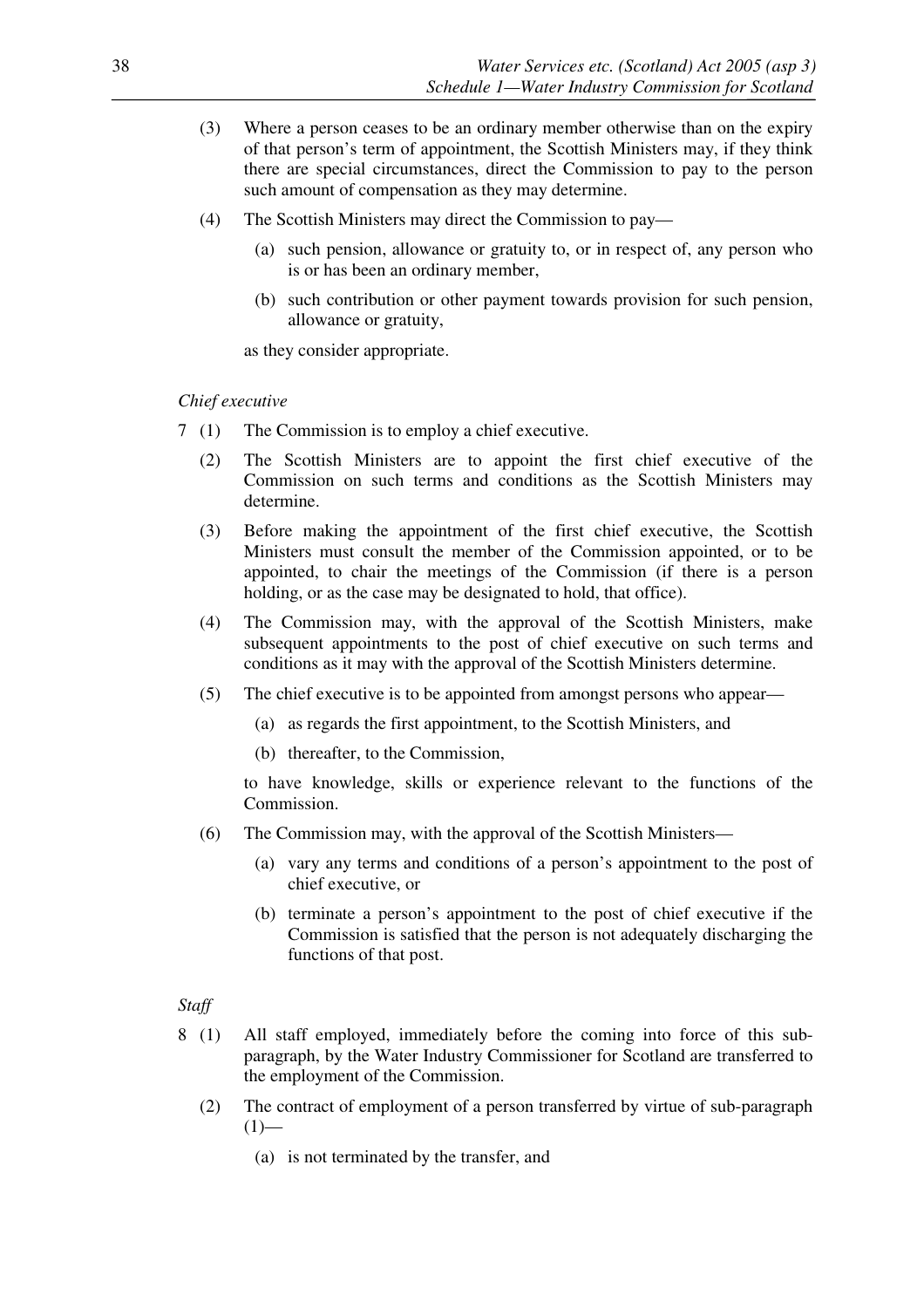- (3) Where a person ceases to be an ordinary member otherwise than on the expiry of that person's term of appointment, the Scottish Ministers may, if they think there are special circumstances, direct the Commission to pay to the person such amount of compensation as they may determine.
- (4) The Scottish Ministers may direct the Commission to pay—
	- (a) such pension, allowance or gratuity to, or in respect of, any person who is or has been an ordinary member,
	- (b) such contribution or other payment towards provision for such pension, allowance or gratuity,

as they consider appropriate.

#### *Chief executive*

- 7 (1) The Commission is to employ a chief executive.
	- (2) The Scottish Ministers are to appoint the first chief executive of the Commission on such terms and conditions as the Scottish Ministers may determine.
	- (3) Before making the appointment of the first chief executive, the Scottish Ministers must consult the member of the Commission appointed, or to be appointed, to chair the meetings of the Commission (if there is a person holding, or as the case may be designated to hold, that office).
	- (4) The Commission may, with the approval of the Scottish Ministers, make subsequent appointments to the post of chief executive on such terms and conditions as it may with the approval of the Scottish Ministers determine.
	- (5) The chief executive is to be appointed from amongst persons who appear—
		- (a) as regards the first appointment, to the Scottish Ministers, and
		- (b) thereafter, to the Commission,

 to have knowledge, skills or experience relevant to the functions of the Commission.

- (6) The Commission may, with the approval of the Scottish Ministers—
	- (a) vary any terms and conditions of a person's appointment to the post of chief executive, or
	- (b) terminate a person's appointment to the post of chief executive if the Commission is satisfied that the person is not adequately discharging the functions of that post.

#### *Staff*

- 8 (1) All staff employed, immediately before the coming into force of this subparagraph, by the Water Industry Commissioner for Scotland are transferred to the employment of the Commission.
	- (2) The contract of employment of a person transferred by virtue of sub-paragraph  $(1)$ —
		- (a) is not terminated by the transfer, and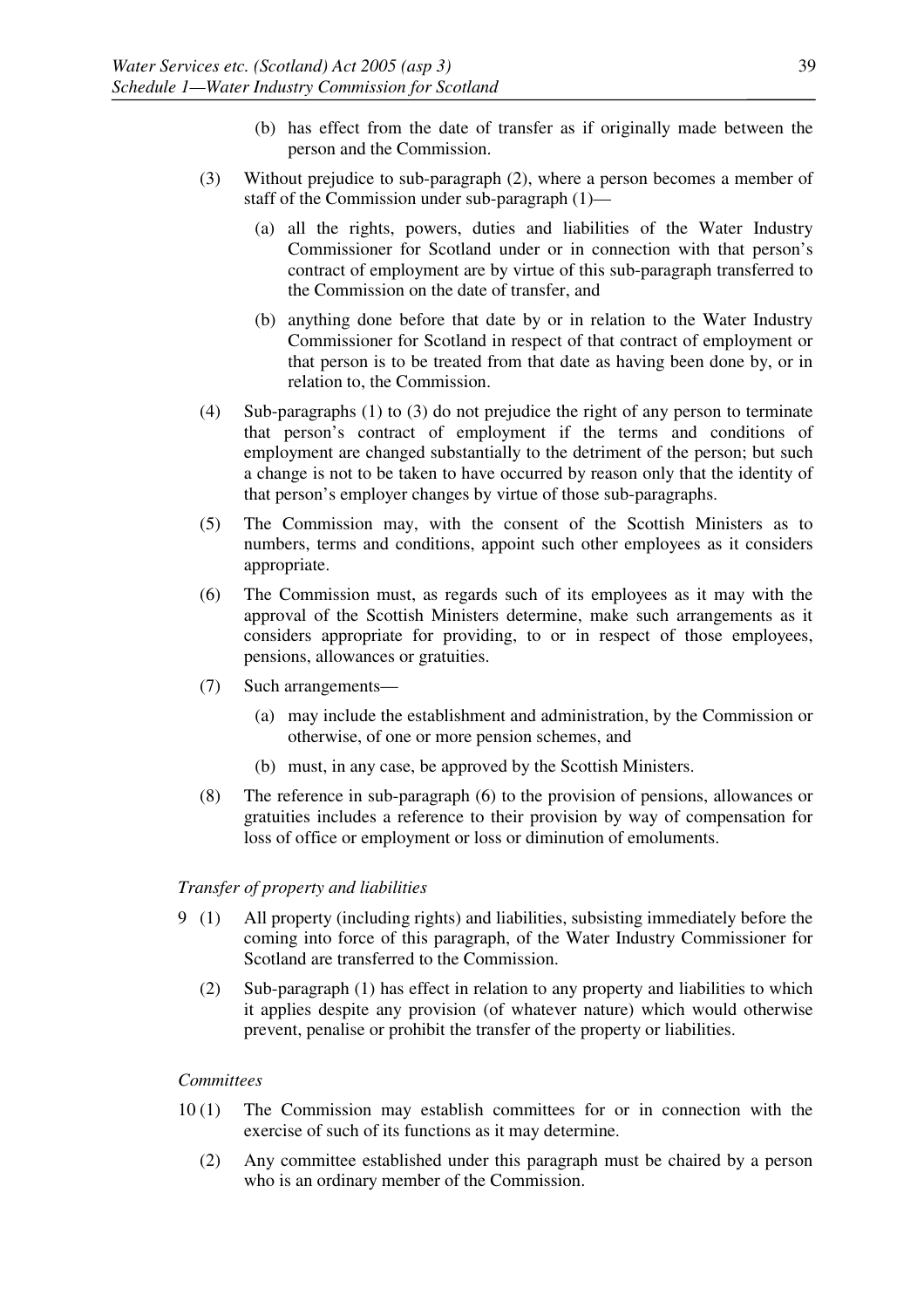- (b) has effect from the date of transfer as if originally made between the person and the Commission.
- (3) Without prejudice to sub-paragraph (2), where a person becomes a member of staff of the Commission under sub-paragraph (1)—
	- (a) all the rights, powers, duties and liabilities of the Water Industry Commissioner for Scotland under or in connection with that person's contract of employment are by virtue of this sub-paragraph transferred to the Commission on the date of transfer, and
	- (b) anything done before that date by or in relation to the Water Industry Commissioner for Scotland in respect of that contract of employment or that person is to be treated from that date as having been done by, or in relation to, the Commission.
- (4) Sub-paragraphs (1) to (3) do not prejudice the right of any person to terminate that person's contract of employment if the terms and conditions of employment are changed substantially to the detriment of the person; but such a change is not to be taken to have occurred by reason only that the identity of that person's employer changes by virtue of those sub-paragraphs.
- (5) The Commission may, with the consent of the Scottish Ministers as to numbers, terms and conditions, appoint such other employees as it considers appropriate.
- (6) The Commission must, as regards such of its employees as it may with the approval of the Scottish Ministers determine, make such arrangements as it considers appropriate for providing, to or in respect of those employees, pensions, allowances or gratuities.
- (7) Such arrangements—
	- (a) may include the establishment and administration, by the Commission or otherwise, of one or more pension schemes, and
	- (b) must, in any case, be approved by the Scottish Ministers.
- (8) The reference in sub-paragraph (6) to the provision of pensions, allowances or gratuities includes a reference to their provision by way of compensation for loss of office or employment or loss or diminution of emoluments.

## *Transfer of property and liabilities*

- 9 (1) All property (including rights) and liabilities, subsisting immediately before the coming into force of this paragraph, of the Water Industry Commissioner for Scotland are transferred to the Commission.
	- (2) Sub-paragraph (1) has effect in relation to any property and liabilities to which it applies despite any provision (of whatever nature) which would otherwise prevent, penalise or prohibit the transfer of the property or liabilities.

# *Committees*

- 10 (1) The Commission may establish committees for or in connection with the exercise of such of its functions as it may determine.
	- (2) Any committee established under this paragraph must be chaired by a person who is an ordinary member of the Commission.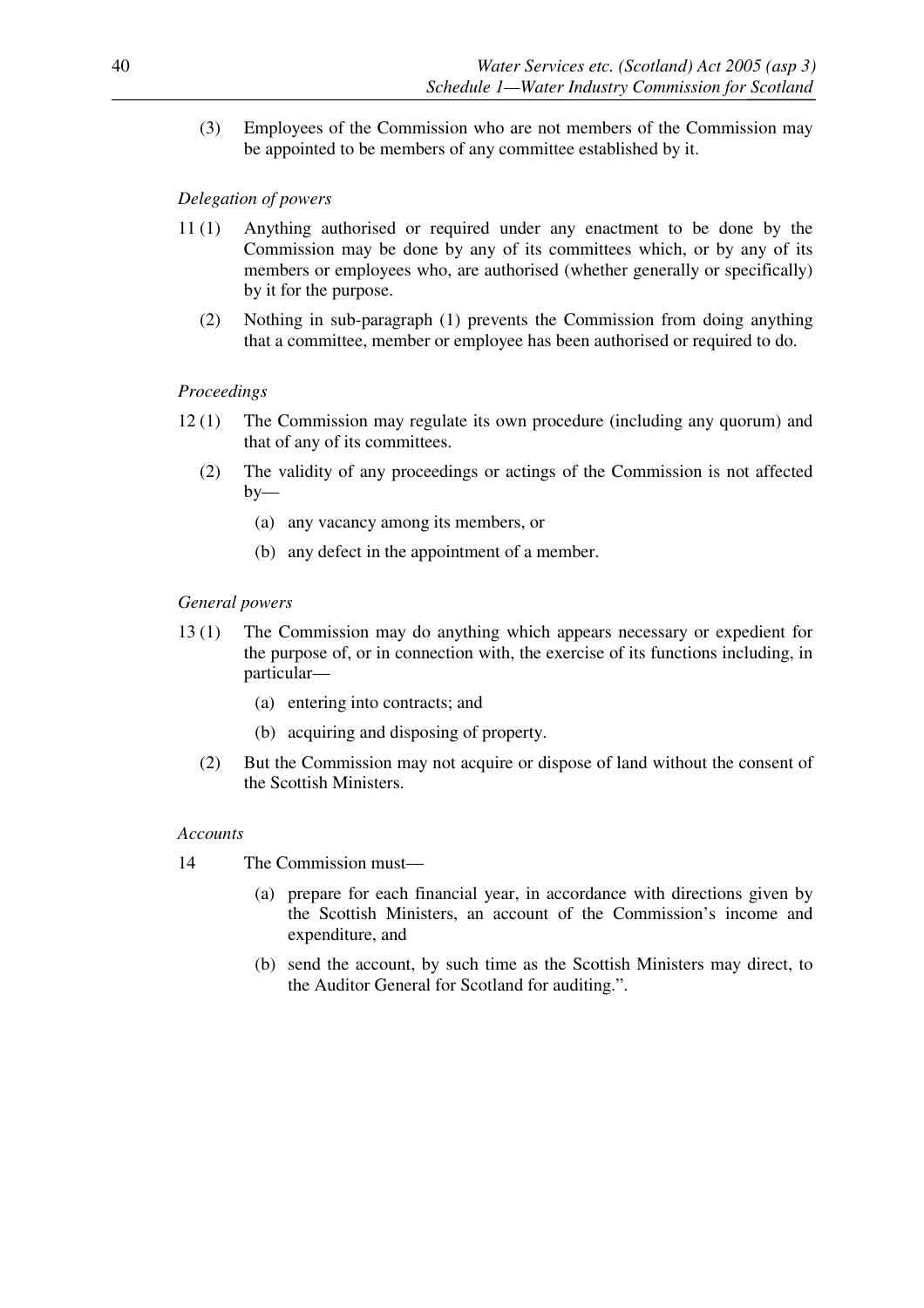(3) Employees of the Commission who are not members of the Commission may be appointed to be members of any committee established by it.

## *Delegation of powers*

- 11 (1) Anything authorised or required under any enactment to be done by the Commission may be done by any of its committees which, or by any of its members or employees who, are authorised (whether generally or specifically) by it for the purpose.
	- (2) Nothing in sub-paragraph (1) prevents the Commission from doing anything that a committee, member or employee has been authorised or required to do.

## *Proceedings*

- 12 (1) The Commission may regulate its own procedure (including any quorum) and that of any of its committees.
	- (2) The validity of any proceedings or actings of the Commission is not affected  $by-$ 
		- (a) any vacancy among its members, or
		- (b) any defect in the appointment of a member.

## *General powers*

- 13 (1) The Commission may do anything which appears necessary or expedient for the purpose of, or in connection with, the exercise of its functions including, in particular—
	- (a) entering into contracts; and
	- (b) acquiring and disposing of property.
	- (2) But the Commission may not acquire or dispose of land without the consent of the Scottish Ministers.

## *Accounts*

- 14 The Commission must—
	- (a) prepare for each financial year, in accordance with directions given by the Scottish Ministers, an account of the Commission's income and expenditure, and
	- (b) send the account, by such time as the Scottish Ministers may direct, to the Auditor General for Scotland for auditing.".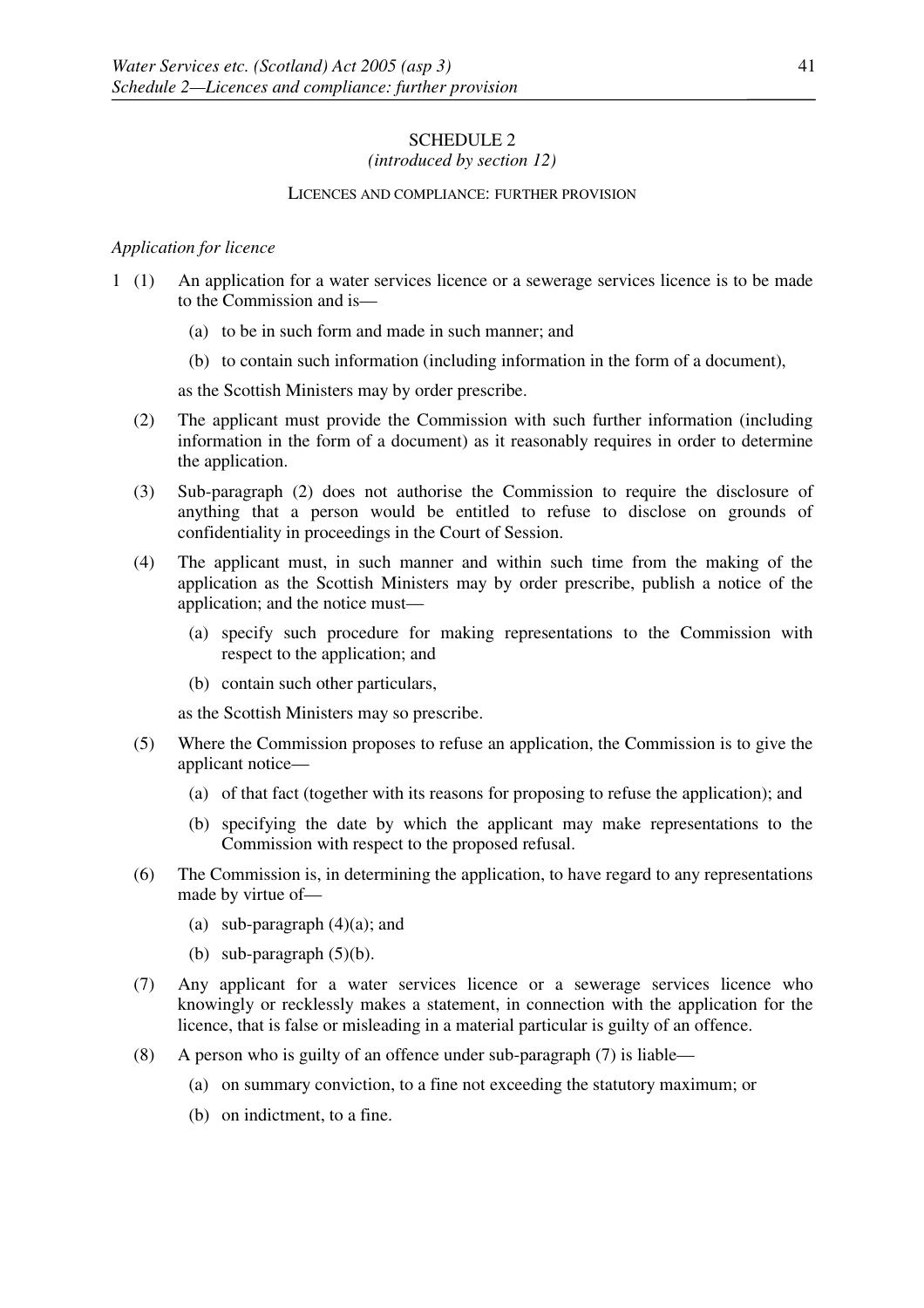# SCHEDULE 2

## *(introduced by section 12)*

#### LICENCES AND COMPLIANCE: FURTHER PROVISION

## *Application for licence*

- 1 (1) An application for a water services licence or a sewerage services licence is to be made to the Commission and is—
	- (a) to be in such form and made in such manner; and
	- (b) to contain such information (including information in the form of a document),

as the Scottish Ministers may by order prescribe.

- (2) The applicant must provide the Commission with such further information (including information in the form of a document) as it reasonably requires in order to determine the application.
- (3) Sub-paragraph (2) does not authorise the Commission to require the disclosure of anything that a person would be entitled to refuse to disclose on grounds of confidentiality in proceedings in the Court of Session.
- (4) The applicant must, in such manner and within such time from the making of the application as the Scottish Ministers may by order prescribe, publish a notice of the application; and the notice must—
	- (a) specify such procedure for making representations to the Commission with respect to the application; and
	- (b) contain such other particulars,

as the Scottish Ministers may so prescribe.

- (5) Where the Commission proposes to refuse an application, the Commission is to give the applicant notice—
	- (a) of that fact (together with its reasons for proposing to refuse the application); and
	- (b) specifying the date by which the applicant may make representations to the Commission with respect to the proposed refusal.
- (6) The Commission is, in determining the application, to have regard to any representations made by virtue of—
	- (a) sub-paragraph (4)(a); and
	- (b) sub-paragraph  $(5)(b)$ .
- (7) Any applicant for a water services licence or a sewerage services licence who knowingly or recklessly makes a statement, in connection with the application for the licence, that is false or misleading in a material particular is guilty of an offence.
- (8) A person who is guilty of an offence under sub-paragraph (7) is liable—
	- (a) on summary conviction, to a fine not exceeding the statutory maximum; or
	- (b) on indictment, to a fine.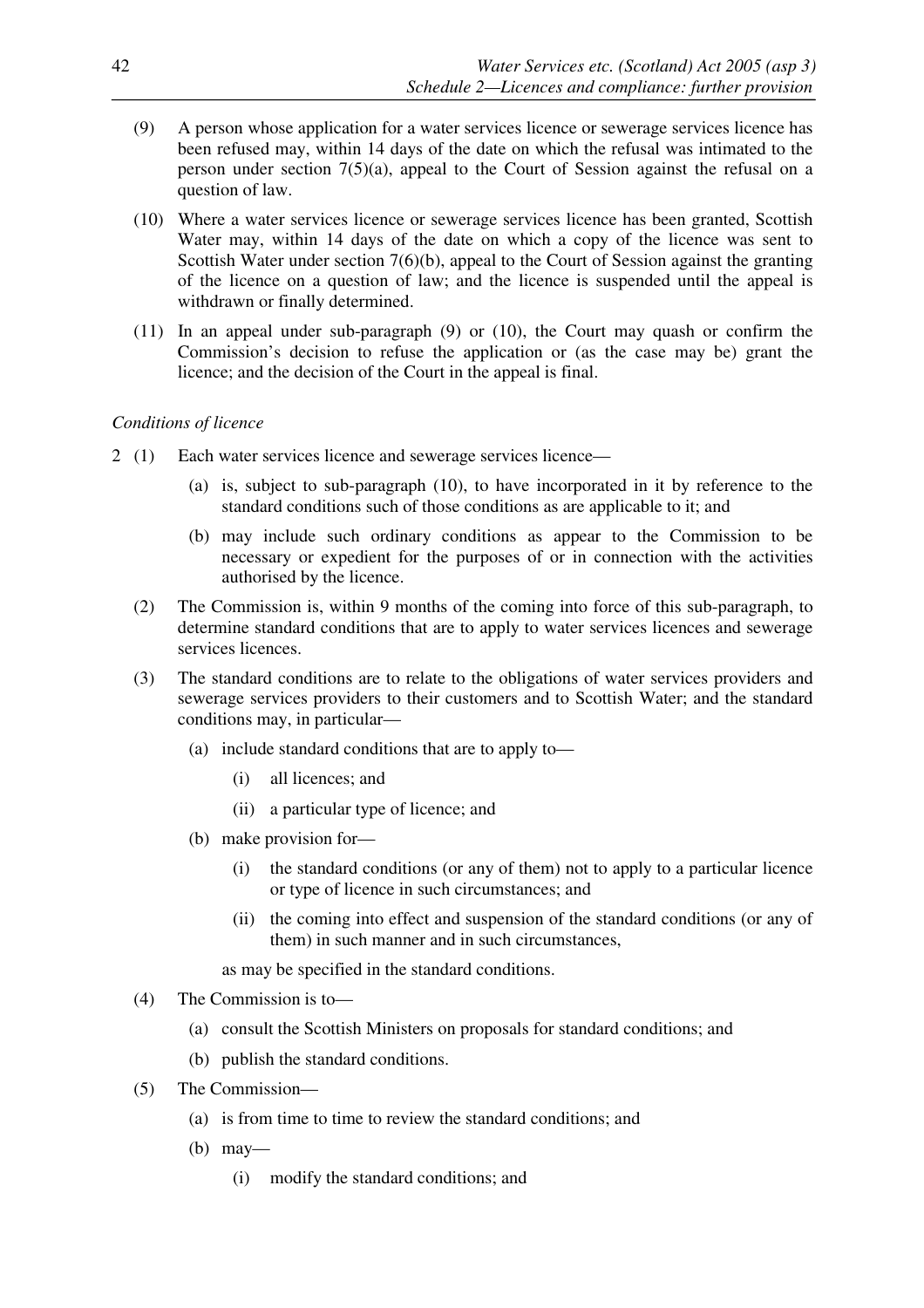- (9) A person whose application for a water services licence or sewerage services licence has been refused may, within 14 days of the date on which the refusal was intimated to the person under section 7(5)(a), appeal to the Court of Session against the refusal on a question of law.
- (10) Where a water services licence or sewerage services licence has been granted, Scottish Water may, within 14 days of the date on which a copy of the licence was sent to Scottish Water under section 7(6)(b), appeal to the Court of Session against the granting of the licence on a question of law; and the licence is suspended until the appeal is withdrawn or finally determined.
- (11) In an appeal under sub-paragraph (9) or (10), the Court may quash or confirm the Commission's decision to refuse the application or (as the case may be) grant the licence; and the decision of the Court in the appeal is final.

## *Conditions of licence*

- 2 (1) Each water services licence and sewerage services licence—
	- (a) is, subject to sub-paragraph (10), to have incorporated in it by reference to the standard conditions such of those conditions as are applicable to it; and
	- (b) may include such ordinary conditions as appear to the Commission to be necessary or expedient for the purposes of or in connection with the activities authorised by the licence.
	- (2) The Commission is, within 9 months of the coming into force of this sub-paragraph, to determine standard conditions that are to apply to water services licences and sewerage services licences.
	- (3) The standard conditions are to relate to the obligations of water services providers and sewerage services providers to their customers and to Scottish Water; and the standard conditions may, in particular—
		- (a) include standard conditions that are to apply to—
			- (i) all licences; and
			- (ii) a particular type of licence; and
		- (b) make provision for—
			- (i) the standard conditions (or any of them) not to apply to a particular licence or type of licence in such circumstances; and
			- (ii) the coming into effect and suspension of the standard conditions (or any of them) in such manner and in such circumstances,

as may be specified in the standard conditions.

- (4) The Commission is to—
	- (a) consult the Scottish Ministers on proposals for standard conditions; and
	- (b) publish the standard conditions.
- (5) The Commission—
	- (a) is from time to time to review the standard conditions; and
	- (b) may—

(i) modify the standard conditions; and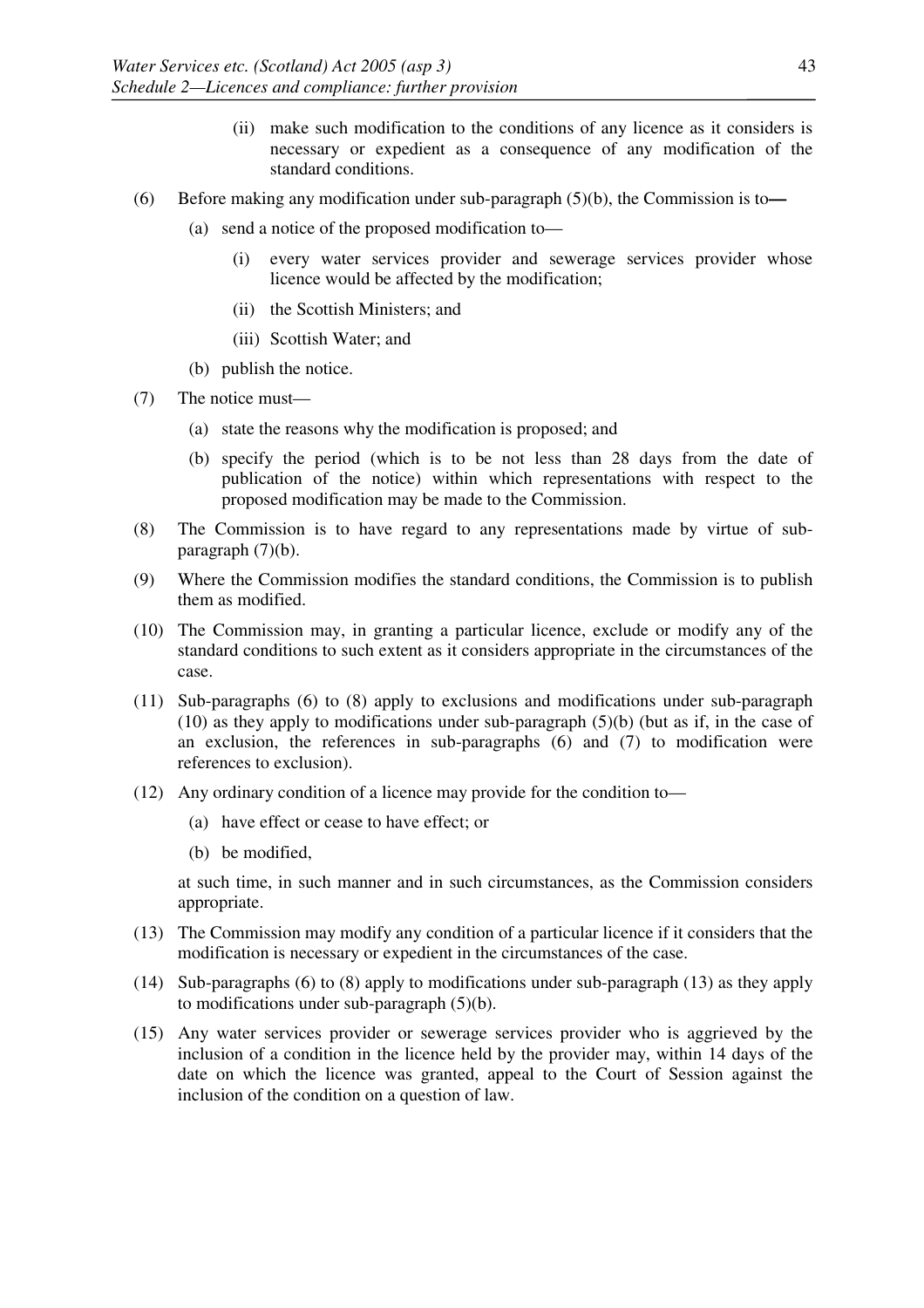- (ii) make such modification to the conditions of any licence as it considers is necessary or expedient as a consequence of any modification of the standard conditions.
- (6) Before making any modification under sub-paragraph (5)(b), the Commission is to**—**
	- (a) send a notice of the proposed modification to—
		- (i) every water services provider and sewerage services provider whose licence would be affected by the modification;
		- (ii) the Scottish Ministers; and
		- (iii) Scottish Water; and
	- (b) publish the notice.
- (7) The notice must—
	- (a) state the reasons why the modification is proposed; and
	- (b) specify the period (which is to be not less than 28 days from the date of publication of the notice) within which representations with respect to the proposed modification may be made to the Commission.
- (8) The Commission is to have regard to any representations made by virtue of subparagraph (7)(b).
- (9) Where the Commission modifies the standard conditions, the Commission is to publish them as modified.
- (10) The Commission may, in granting a particular licence, exclude or modify any of the standard conditions to such extent as it considers appropriate in the circumstances of the case.
- (11) Sub-paragraphs (6) to (8) apply to exclusions and modifications under sub-paragraph (10) as they apply to modifications under sub-paragraph (5)(b) (but as if, in the case of an exclusion, the references in sub-paragraphs (6) and (7) to modification were references to exclusion).
- (12) Any ordinary condition of a licence may provide for the condition to—
	- (a) have effect or cease to have effect; or
	- (b) be modified,

at such time, in such manner and in such circumstances, as the Commission considers appropriate.

- (13) The Commission may modify any condition of a particular licence if it considers that the modification is necessary or expedient in the circumstances of the case.
- (14) Sub-paragraphs (6) to (8) apply to modifications under sub-paragraph (13) as they apply to modifications under sub-paragraph (5)(b).
- (15) Any water services provider or sewerage services provider who is aggrieved by the inclusion of a condition in the licence held by the provider may, within 14 days of the date on which the licence was granted, appeal to the Court of Session against the inclusion of the condition on a question of law.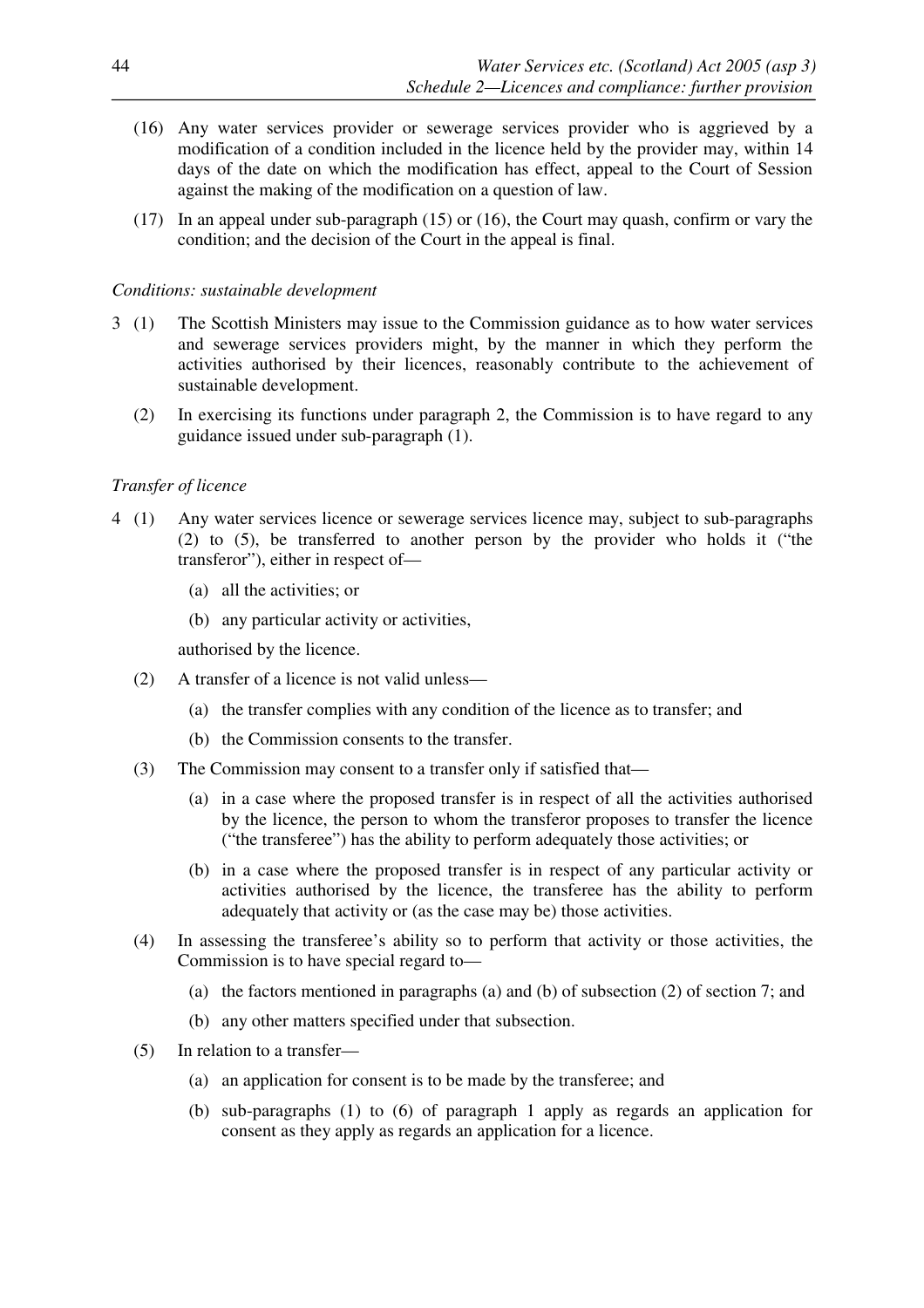- (16) Any water services provider or sewerage services provider who is aggrieved by a modification of a condition included in the licence held by the provider may, within 14 days of the date on which the modification has effect, appeal to the Court of Session against the making of the modification on a question of law.
- (17) In an appeal under sub-paragraph (15) or (16), the Court may quash, confirm or vary the condition; and the decision of the Court in the appeal is final.

## *Conditions: sustainable development*

- 3 (1) The Scottish Ministers may issue to the Commission guidance as to how water services and sewerage services providers might, by the manner in which they perform the activities authorised by their licences, reasonably contribute to the achievement of sustainable development.
	- (2) In exercising its functions under paragraph 2, the Commission is to have regard to any guidance issued under sub-paragraph (1).

## *Transfer of licence*

- 4 (1) Any water services licence or sewerage services licence may, subject to sub-paragraphs (2) to (5), be transferred to another person by the provider who holds it ("the transferor"), either in respect of—
	- (a) all the activities; or
	- (b) any particular activity or activities,

authorised by the licence.

- (2) A transfer of a licence is not valid unless—
	- (a) the transfer complies with any condition of the licence as to transfer; and
	- (b) the Commission consents to the transfer.
- (3) The Commission may consent to a transfer only if satisfied that—
	- (a) in a case where the proposed transfer is in respect of all the activities authorised by the licence, the person to whom the transferor proposes to transfer the licence ("the transferee") has the ability to perform adequately those activities; or
	- (b) in a case where the proposed transfer is in respect of any particular activity or activities authorised by the licence, the transferee has the ability to perform adequately that activity or (as the case may be) those activities.
- (4) In assessing the transferee's ability so to perform that activity or those activities, the Commission is to have special regard to—
	- (a) the factors mentioned in paragraphs (a) and (b) of subsection (2) of section 7; and
	- (b) any other matters specified under that subsection.
- (5) In relation to a transfer—
	- (a) an application for consent is to be made by the transferee; and
	- (b) sub-paragraphs (1) to (6) of paragraph 1 apply as regards an application for consent as they apply as regards an application for a licence.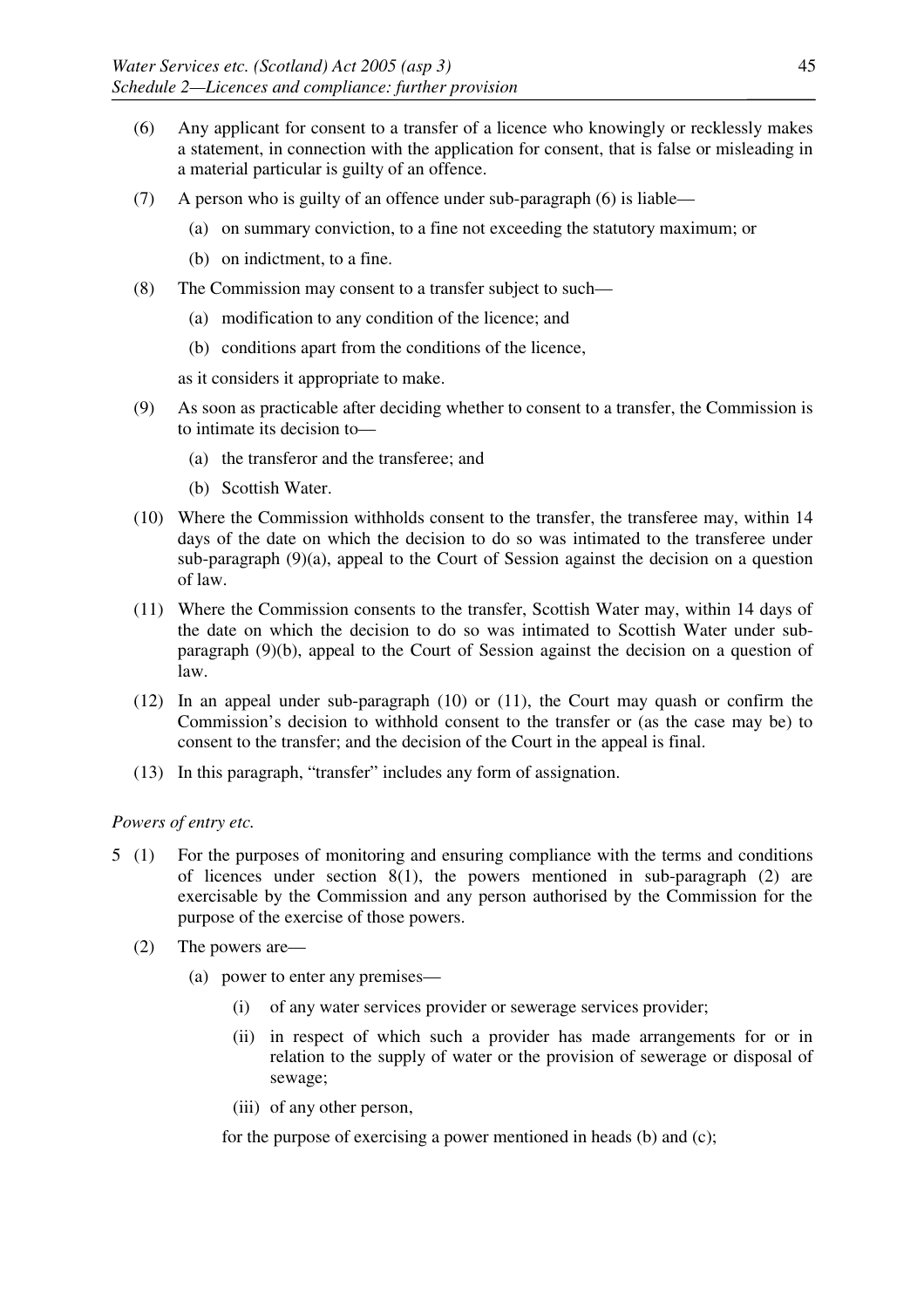- (6) Any applicant for consent to a transfer of a licence who knowingly or recklessly makes a statement, in connection with the application for consent, that is false or misleading in a material particular is guilty of an offence.
- (7) A person who is guilty of an offence under sub-paragraph (6) is liable—
	- (a) on summary conviction, to a fine not exceeding the statutory maximum; or
	- (b) on indictment, to a fine.
- (8) The Commission may consent to a transfer subject to such—
	- (a) modification to any condition of the licence; and
	- (b) conditions apart from the conditions of the licence,

as it considers it appropriate to make.

- (9) As soon as practicable after deciding whether to consent to a transfer, the Commission is to intimate its decision to—
	- (a) the transferor and the transferee; and
	- (b) Scottish Water.
- (10) Where the Commission withholds consent to the transfer, the transferee may, within 14 days of the date on which the decision to do so was intimated to the transferee under sub-paragraph (9)(a), appeal to the Court of Session against the decision on a question of law.
- (11) Where the Commission consents to the transfer, Scottish Water may, within 14 days of the date on which the decision to do so was intimated to Scottish Water under subparagraph (9)(b), appeal to the Court of Session against the decision on a question of law.
- (12) In an appeal under sub-paragraph (10) or (11), the Court may quash or confirm the Commission's decision to withhold consent to the transfer or (as the case may be) to consent to the transfer; and the decision of the Court in the appeal is final.
- (13) In this paragraph, "transfer" includes any form of assignation.

## *Powers of entry etc.*

- 5 (1) For the purposes of monitoring and ensuring compliance with the terms and conditions of licences under section  $8(1)$ , the powers mentioned in sub-paragraph (2) are exercisable by the Commission and any person authorised by the Commission for the purpose of the exercise of those powers.
	- (2) The powers are—
		- (a) power to enter any premises—
			- (i) of any water services provider or sewerage services provider;
			- (ii) in respect of which such a provider has made arrangements for or in relation to the supply of water or the provision of sewerage or disposal of sewage;
			- (iii) of any other person,

for the purpose of exercising a power mentioned in heads (b) and (c);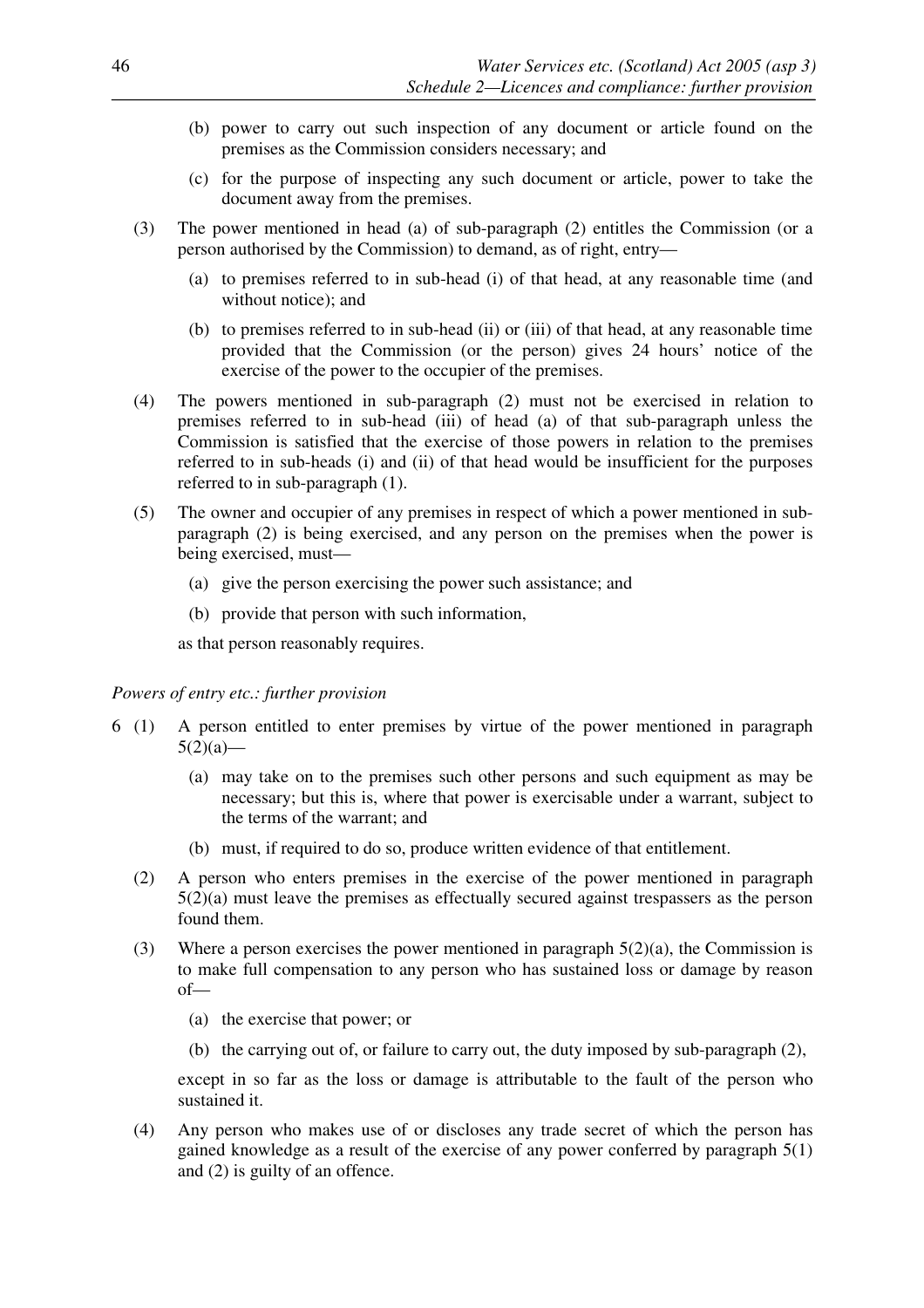- (b) power to carry out such inspection of any document or article found on the premises as the Commission considers necessary; and
- (c) for the purpose of inspecting any such document or article, power to take the document away from the premises.
- (3) The power mentioned in head (a) of sub-paragraph (2) entitles the Commission (or a person authorised by the Commission) to demand, as of right, entry—
	- (a) to premises referred to in sub-head (i) of that head, at any reasonable time (and without notice); and
	- (b) to premises referred to in sub-head (ii) or (iii) of that head, at any reasonable time provided that the Commission (or the person) gives 24 hours' notice of the exercise of the power to the occupier of the premises.
- (4) The powers mentioned in sub-paragraph (2) must not be exercised in relation to premises referred to in sub-head (iii) of head (a) of that sub-paragraph unless the Commission is satisfied that the exercise of those powers in relation to the premises referred to in sub-heads (i) and (ii) of that head would be insufficient for the purposes referred to in sub-paragraph (1).
- (5) The owner and occupier of any premises in respect of which a power mentioned in subparagraph (2) is being exercised, and any person on the premises when the power is being exercised, must—
	- (a) give the person exercising the power such assistance; and
	- (b) provide that person with such information,

as that person reasonably requires.

#### *Powers of entry etc.: further provision*

- 6 (1) A person entitled to enter premises by virtue of the power mentioned in paragraph  $5(2)(a)$ 
	- (a) may take on to the premises such other persons and such equipment as may be necessary; but this is, where that power is exercisable under a warrant, subject to the terms of the warrant; and
	- (b) must, if required to do so, produce written evidence of that entitlement.
	- (2) A person who enters premises in the exercise of the power mentioned in paragraph 5(2)(a) must leave the premises as effectually secured against trespassers as the person found them.
	- (3) Where a person exercises the power mentioned in paragraph  $5(2)(a)$ , the Commission is to make full compensation to any person who has sustained loss or damage by reason of—
		- (a) the exercise that power; or
		- (b) the carrying out of, or failure to carry out, the duty imposed by sub-paragraph (2),

except in so far as the loss or damage is attributable to the fault of the person who sustained it.

(4) Any person who makes use of or discloses any trade secret of which the person has gained knowledge as a result of the exercise of any power conferred by paragraph 5(1) and (2) is guilty of an offence.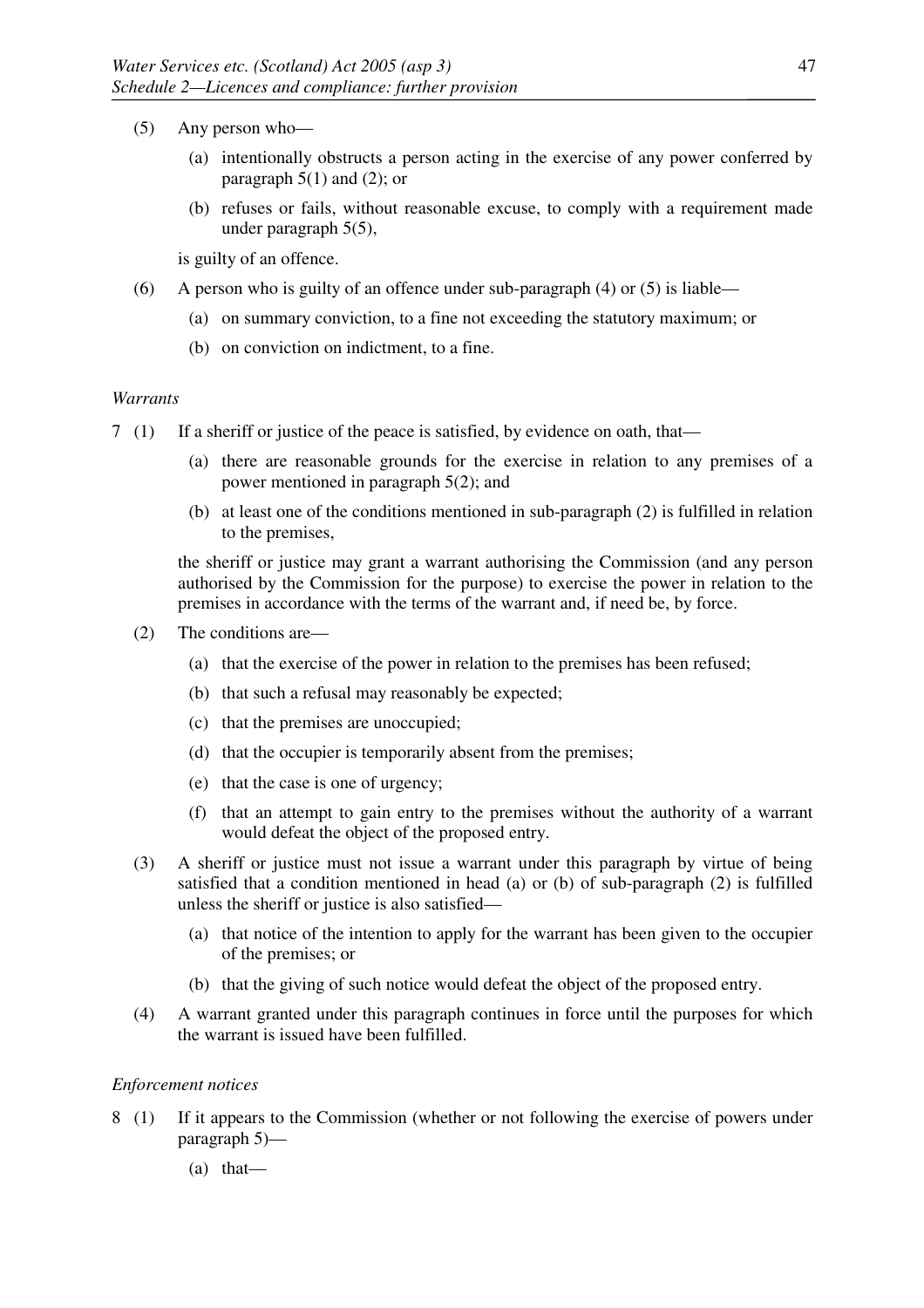- (5) Any person who—
	- (a) intentionally obstructs a person acting in the exercise of any power conferred by paragraph  $5(1)$  and  $(2)$ ; or
	- (b) refuses or fails, without reasonable excuse, to comply with a requirement made under paragraph 5(5),

is guilty of an offence.

- (6) A person who is guilty of an offence under sub-paragraph (4) or (5) is liable—
	- (a) on summary conviction, to a fine not exceeding the statutory maximum; or
	- (b) on conviction on indictment, to a fine.

#### *Warrants*

- 7 (1) If a sheriff or justice of the peace is satisfied, by evidence on oath, that—
	- (a) there are reasonable grounds for the exercise in relation to any premises of a power mentioned in paragraph 5(2); and
	- (b) at least one of the conditions mentioned in sub-paragraph (2) is fulfilled in relation to the premises,

the sheriff or justice may grant a warrant authorising the Commission (and any person authorised by the Commission for the purpose) to exercise the power in relation to the premises in accordance with the terms of the warrant and, if need be, by force.

- (2) The conditions are—
	- (a) that the exercise of the power in relation to the premises has been refused;
	- (b) that such a refusal may reasonably be expected;
	- (c) that the premises are unoccupied;
	- (d) that the occupier is temporarily absent from the premises;
	- (e) that the case is one of urgency;
	- (f) that an attempt to gain entry to the premises without the authority of a warrant would defeat the object of the proposed entry.
- (3) A sheriff or justice must not issue a warrant under this paragraph by virtue of being satisfied that a condition mentioned in head (a) or (b) of sub-paragraph (2) is fulfilled unless the sheriff or justice is also satisfied—
	- (a) that notice of the intention to apply for the warrant has been given to the occupier of the premises; or
	- (b) that the giving of such notice would defeat the object of the proposed entry.
- (4) A warrant granted under this paragraph continues in force until the purposes for which the warrant is issued have been fulfilled.

#### *Enforcement notices*

- 8 (1) If it appears to the Commission (whether or not following the exercise of powers under paragraph 5)—
	- (a) that—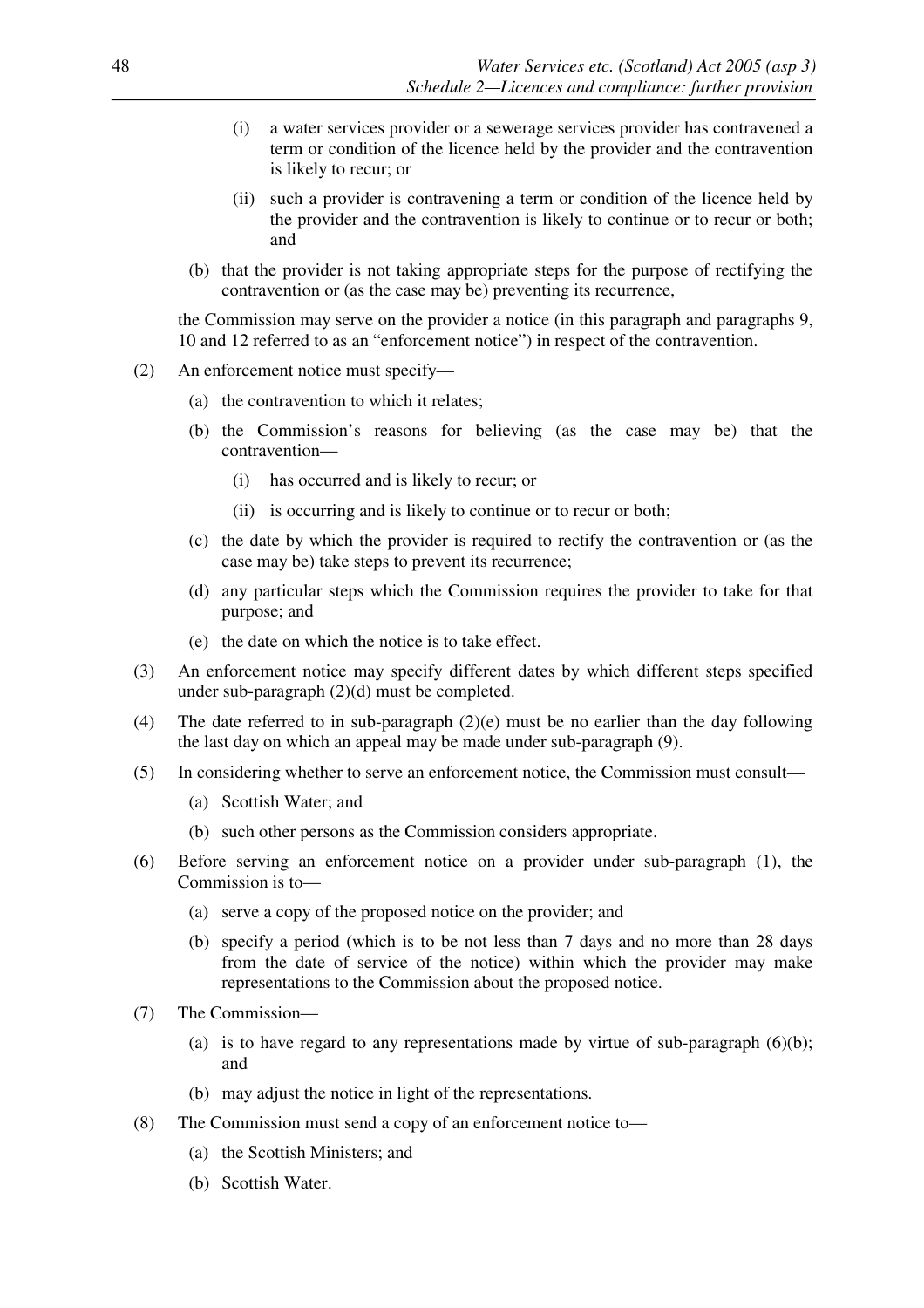- (i) a water services provider or a sewerage services provider has contravened a term or condition of the licence held by the provider and the contravention is likely to recur; or
- (ii) such a provider is contravening a term or condition of the licence held by the provider and the contravention is likely to continue or to recur or both; and
- (b) that the provider is not taking appropriate steps for the purpose of rectifying the contravention or (as the case may be) preventing its recurrence,

the Commission may serve on the provider a notice (in this paragraph and paragraphs 9, 10 and 12 referred to as an "enforcement notice") in respect of the contravention.

- (2) An enforcement notice must specify—
	- (a) the contravention to which it relates;
	- (b) the Commission's reasons for believing (as the case may be) that the contravention—
		- (i) has occurred and is likely to recur; or
		- (ii) is occurring and is likely to continue or to recur or both;
	- (c) the date by which the provider is required to rectify the contravention or (as the case may be) take steps to prevent its recurrence;
	- (d) any particular steps which the Commission requires the provider to take for that purpose; and
	- (e) the date on which the notice is to take effect.
- (3) An enforcement notice may specify different dates by which different steps specified under sub-paragraph (2)(d) must be completed.
- (4) The date referred to in sub-paragraph (2)(e) must be no earlier than the day following the last day on which an appeal may be made under sub-paragraph (9).
- (5) In considering whether to serve an enforcement notice, the Commission must consult—
	- (a) Scottish Water; and
	- (b) such other persons as the Commission considers appropriate.
- (6) Before serving an enforcement notice on a provider under sub-paragraph (1), the Commission is to—
	- (a) serve a copy of the proposed notice on the provider; and
	- (b) specify a period (which is to be not less than 7 days and no more than 28 days from the date of service of the notice) within which the provider may make representations to the Commission about the proposed notice.
- (7) The Commission—
	- (a) is to have regard to any representations made by virtue of sub-paragraph  $(6)(b)$ ; and
	- (b) may adjust the notice in light of the representations.
- (8) The Commission must send a copy of an enforcement notice to—
	- (a) the Scottish Ministers; and
	- (b) Scottish Water.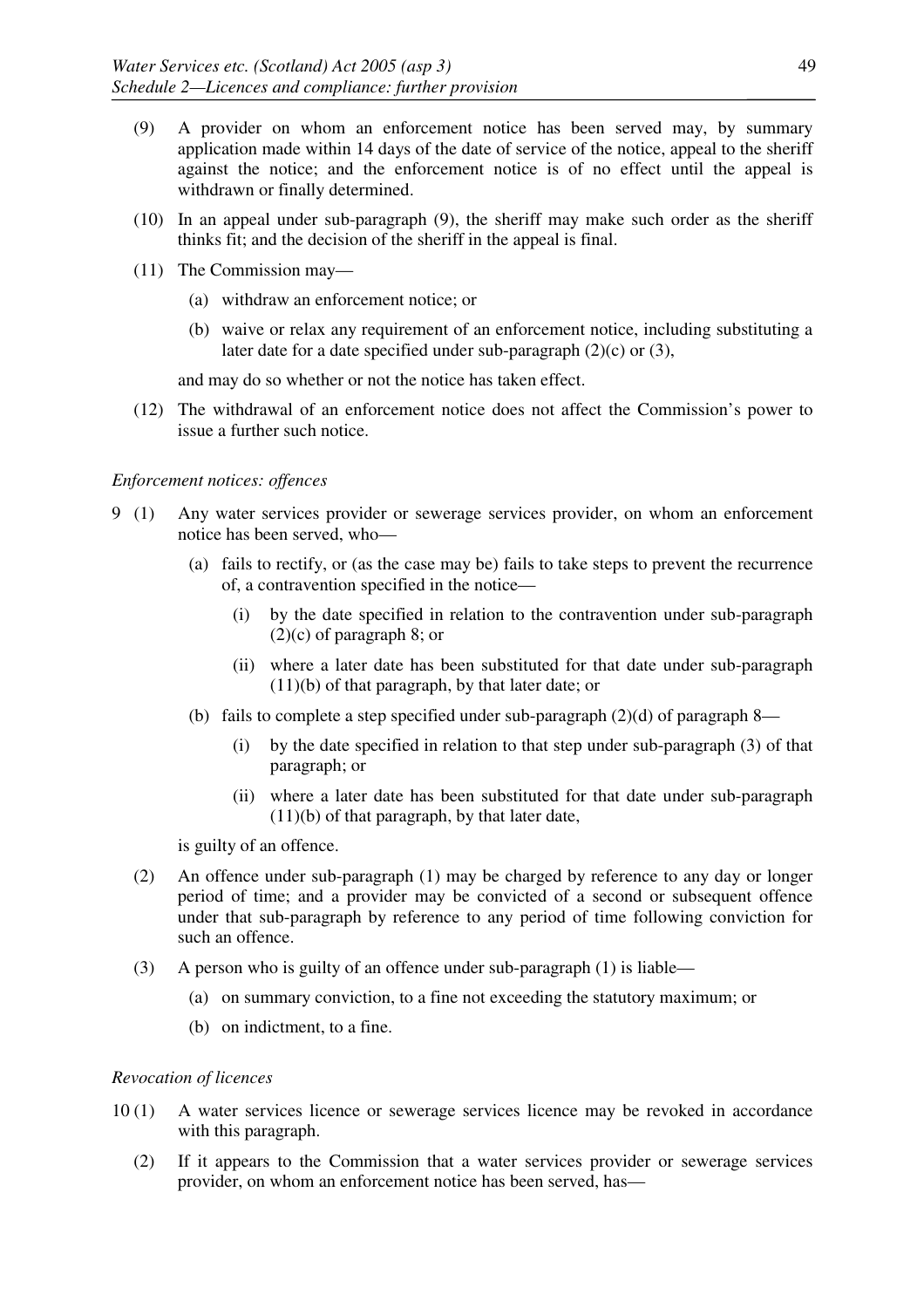- (9) A provider on whom an enforcement notice has been served may, by summary application made within 14 days of the date of service of the notice, appeal to the sheriff against the notice; and the enforcement notice is of no effect until the appeal is withdrawn or finally determined.
- (10) In an appeal under sub-paragraph (9), the sheriff may make such order as the sheriff thinks fit; and the decision of the sheriff in the appeal is final.
- (11) The Commission may—
	- (a) withdraw an enforcement notice; or
	- (b) waive or relax any requirement of an enforcement notice, including substituting a later date for a date specified under sub-paragraph (2)(c) or (3),

and may do so whether or not the notice has taken effect.

(12) The withdrawal of an enforcement notice does not affect the Commission's power to issue a further such notice.

#### *Enforcement notices: offences*

- 9 (1) Any water services provider or sewerage services provider, on whom an enforcement notice has been served, who—
	- (a) fails to rectify, or (as the case may be) fails to take steps to prevent the recurrence of, a contravention specified in the notice—
		- (i) by the date specified in relation to the contravention under sub-paragraph (2)(c) of paragraph 8; or
		- (ii) where a later date has been substituted for that date under sub-paragraph (11)(b) of that paragraph, by that later date; or
	- (b) fails to complete a step specified under sub-paragraph  $(2)(d)$  of paragraph 8—
		- (i) by the date specified in relation to that step under sub-paragraph (3) of that paragraph; or
		- (ii) where a later date has been substituted for that date under sub-paragraph (11)(b) of that paragraph, by that later date,

is guilty of an offence.

- (2) An offence under sub-paragraph (1) may be charged by reference to any day or longer period of time; and a provider may be convicted of a second or subsequent offence under that sub-paragraph by reference to any period of time following conviction for such an offence.
- (3) A person who is guilty of an offence under sub-paragraph (1) is liable—
	- (a) on summary conviction, to a fine not exceeding the statutory maximum; or
	- (b) on indictment, to a fine.

#### *Revocation of licences*

- 10 (1) A water services licence or sewerage services licence may be revoked in accordance with this paragraph.
	- (2) If it appears to the Commission that a water services provider or sewerage services provider, on whom an enforcement notice has been served, has—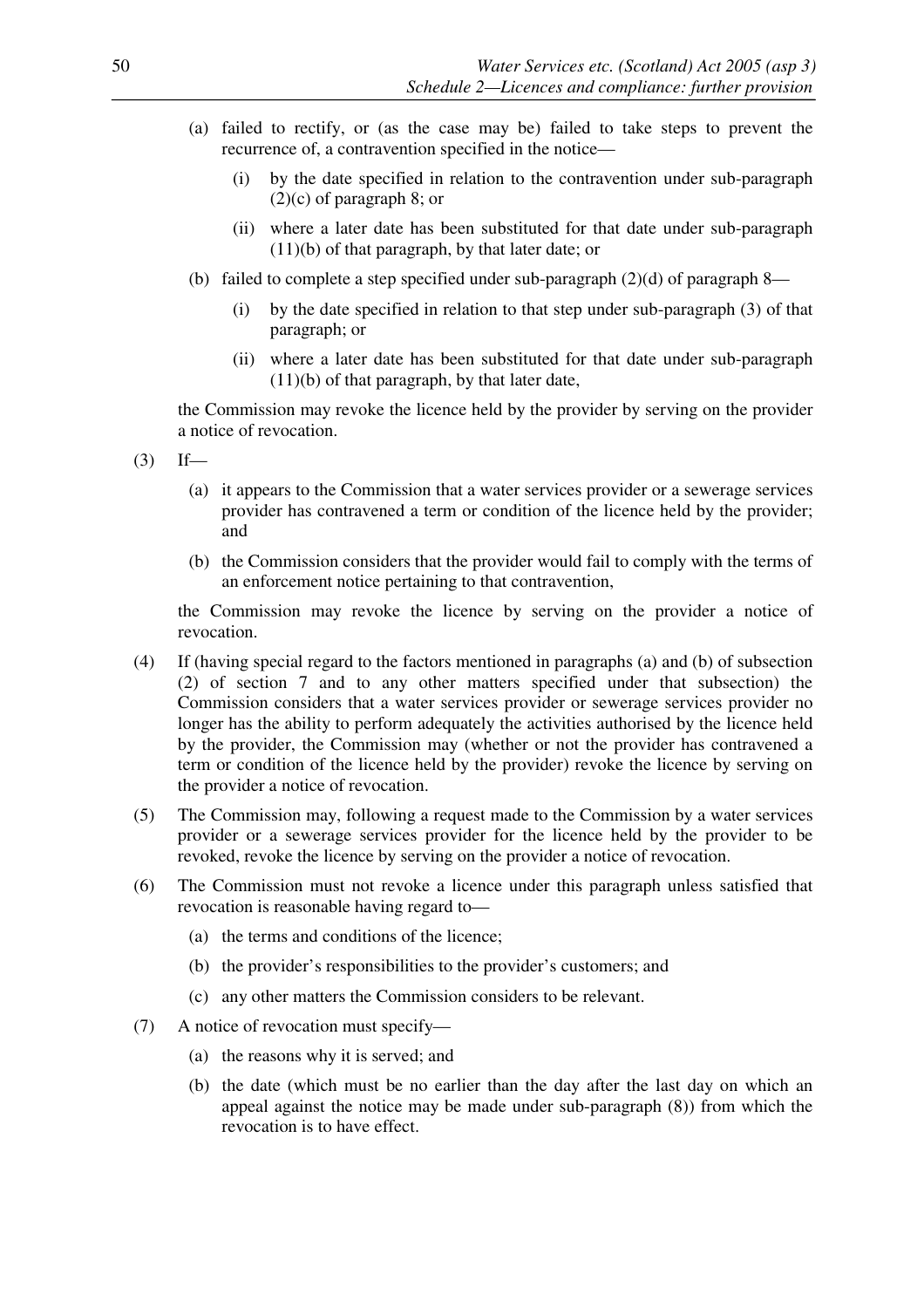- (a) failed to rectify, or (as the case may be) failed to take steps to prevent the recurrence of, a contravention specified in the notice—
	- (i) by the date specified in relation to the contravention under sub-paragraph  $(2)(c)$  of paragraph 8; or
	- (ii) where a later date has been substituted for that date under sub-paragraph (11)(b) of that paragraph, by that later date; or
- (b) failed to complete a step specified under sub-paragraph (2)(d) of paragraph 8—
	- (i) by the date specified in relation to that step under sub-paragraph (3) of that paragraph; or
	- (ii) where a later date has been substituted for that date under sub-paragraph (11)(b) of that paragraph, by that later date,

the Commission may revoke the licence held by the provider by serving on the provider a notice of revocation.

- $(3)$  If—
	- (a) it appears to the Commission that a water services provider or a sewerage services provider has contravened a term or condition of the licence held by the provider; and
	- (b) the Commission considers that the provider would fail to comply with the terms of an enforcement notice pertaining to that contravention,

the Commission may revoke the licence by serving on the provider a notice of revocation.

- (4) If (having special regard to the factors mentioned in paragraphs (a) and (b) of subsection (2) of section 7 and to any other matters specified under that subsection) the Commission considers that a water services provider or sewerage services provider no longer has the ability to perform adequately the activities authorised by the licence held by the provider, the Commission may (whether or not the provider has contravened a term or condition of the licence held by the provider) revoke the licence by serving on the provider a notice of revocation.
- (5) The Commission may, following a request made to the Commission by a water services provider or a sewerage services provider for the licence held by the provider to be revoked, revoke the licence by serving on the provider a notice of revocation.
- (6) The Commission must not revoke a licence under this paragraph unless satisfied that revocation is reasonable having regard to—
	- (a) the terms and conditions of the licence;
	- (b) the provider's responsibilities to the provider's customers; and
	- (c) any other matters the Commission considers to be relevant.
- (7) A notice of revocation must specify—
	- (a) the reasons why it is served; and
	- (b) the date (which must be no earlier than the day after the last day on which an appeal against the notice may be made under sub-paragraph (8)) from which the revocation is to have effect.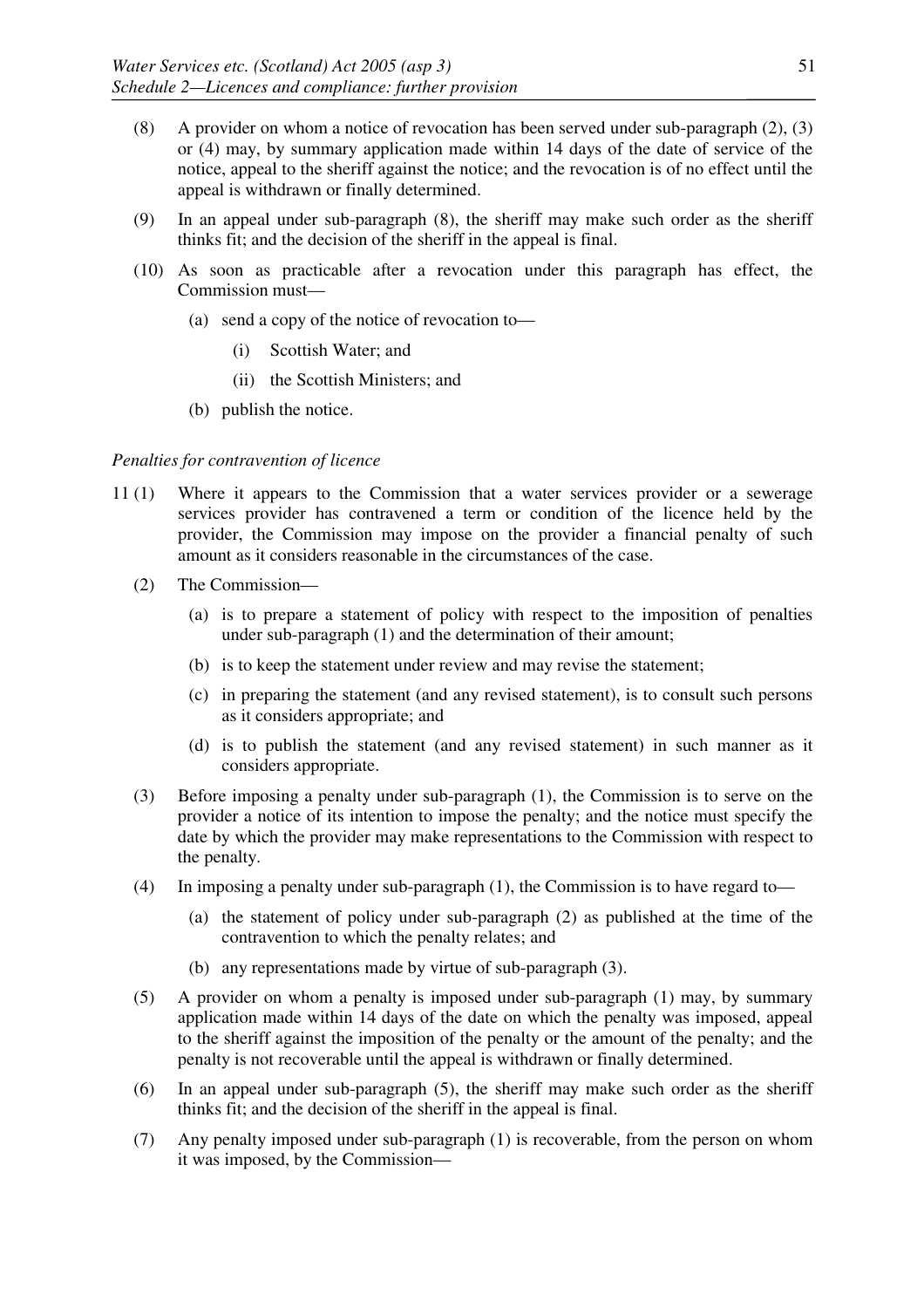- (8) A provider on whom a notice of revocation has been served under sub-paragraph (2), (3) or (4) may, by summary application made within 14 days of the date of service of the notice, appeal to the sheriff against the notice; and the revocation is of no effect until the appeal is withdrawn or finally determined.
- (9) In an appeal under sub-paragraph (8), the sheriff may make such order as the sheriff thinks fit; and the decision of the sheriff in the appeal is final.
- (10) As soon as practicable after a revocation under this paragraph has effect, the Commission must—
	- (a) send a copy of the notice of revocation to—
		- (i) Scottish Water; and
		- (ii) the Scottish Ministers; and
	- (b) publish the notice.

## *Penalties for contravention of licence*

- 11 (1) Where it appears to the Commission that a water services provider or a sewerage services provider has contravened a term or condition of the licence held by the provider, the Commission may impose on the provider a financial penalty of such amount as it considers reasonable in the circumstances of the case.
	- (2) The Commission—
		- (a) is to prepare a statement of policy with respect to the imposition of penalties under sub-paragraph (1) and the determination of their amount;
		- (b) is to keep the statement under review and may revise the statement;
		- (c) in preparing the statement (and any revised statement), is to consult such persons as it considers appropriate; and
		- (d) is to publish the statement (and any revised statement) in such manner as it considers appropriate.
	- (3) Before imposing a penalty under sub-paragraph (1), the Commission is to serve on the provider a notice of its intention to impose the penalty; and the notice must specify the date by which the provider may make representations to the Commission with respect to the penalty.
	- (4) In imposing a penalty under sub-paragraph (1), the Commission is to have regard to—
		- (a) the statement of policy under sub-paragraph (2) as published at the time of the contravention to which the penalty relates; and
		- (b) any representations made by virtue of sub-paragraph (3).
	- (5) A provider on whom a penalty is imposed under sub-paragraph (1) may, by summary application made within 14 days of the date on which the penalty was imposed, appeal to the sheriff against the imposition of the penalty or the amount of the penalty; and the penalty is not recoverable until the appeal is withdrawn or finally determined.
	- (6) In an appeal under sub-paragraph (5), the sheriff may make such order as the sheriff thinks fit; and the decision of the sheriff in the appeal is final.
	- (7) Any penalty imposed under sub-paragraph (1) is recoverable, from the person on whom it was imposed, by the Commission—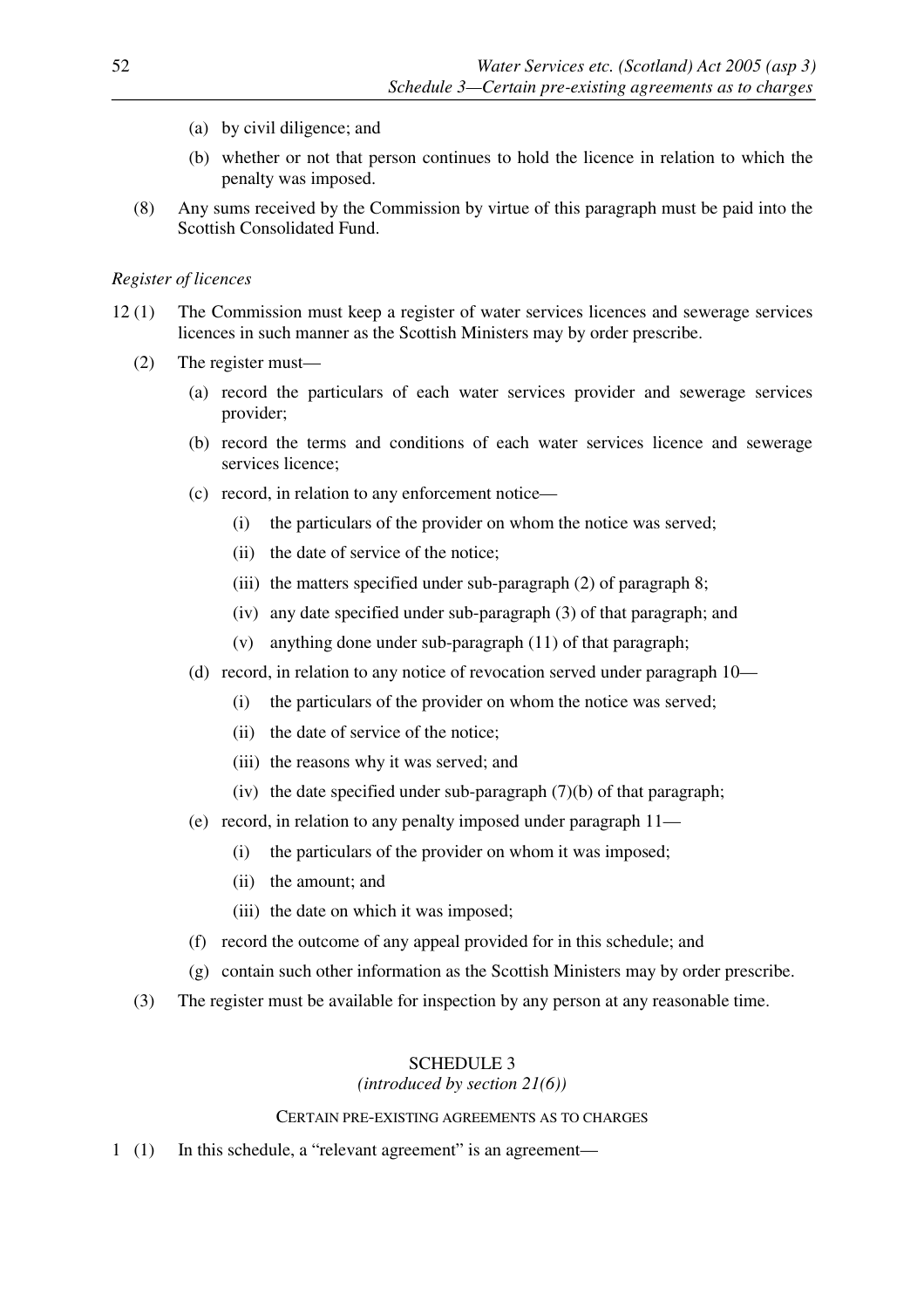- (a) by civil diligence; and
- (b) whether or not that person continues to hold the licence in relation to which the penalty was imposed.
- (8) Any sums received by the Commission by virtue of this paragraph must be paid into the Scottish Consolidated Fund.

## *Register of licences*

- 12 (1) The Commission must keep a register of water services licences and sewerage services licences in such manner as the Scottish Ministers may by order prescribe.
	- (2) The register must—
		- (a) record the particulars of each water services provider and sewerage services provider;
		- (b) record the terms and conditions of each water services licence and sewerage services licence;
		- (c) record, in relation to any enforcement notice—
			- (i) the particulars of the provider on whom the notice was served;
			- (ii) the date of service of the notice;
			- (iii) the matters specified under sub-paragraph (2) of paragraph 8;
			- (iv) any date specified under sub-paragraph (3) of that paragraph; and
			- (v) anything done under sub-paragraph (11) of that paragraph;
		- (d) record, in relation to any notice of revocation served under paragraph 10—
			- (i) the particulars of the provider on whom the notice was served;
			- (ii) the date of service of the notice;
			- (iii) the reasons why it was served; and
			- (iv) the date specified under sub-paragraph  $(7)(b)$  of that paragraph;
		- (e) record, in relation to any penalty imposed under paragraph 11—
			- (i) the particulars of the provider on whom it was imposed;
			- (ii) the amount; and
			- (iii) the date on which it was imposed;
		- (f) record the outcome of any appeal provided for in this schedule; and
		- (g) contain such other information as the Scottish Ministers may by order prescribe.
	- (3) The register must be available for inspection by any person at any reasonable time.

# SCHEDULE 3

# *(introduced by section 21(6))*

## CERTAIN PRE-EXISTING AGREEMENTS AS TO CHARGES

1 (1) In this schedule, a "relevant agreement" is an agreement—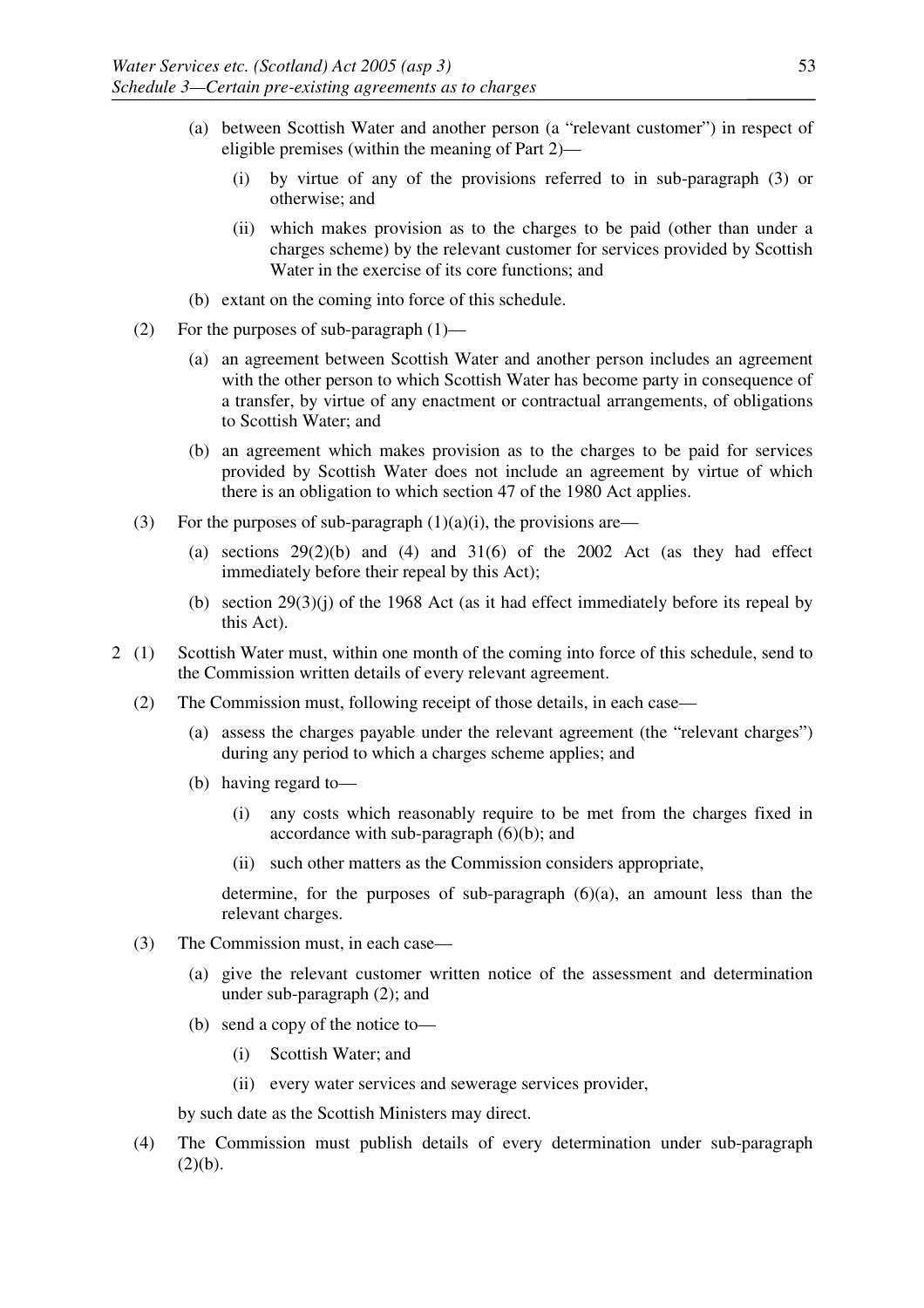- (a) between Scottish Water and another person (a "relevant customer") in respect of eligible premises (within the meaning of Part 2)—
	- (i) by virtue of any of the provisions referred to in sub-paragraph (3) or otherwise; and
	- (ii) which makes provision as to the charges to be paid (other than under a charges scheme) by the relevant customer for services provided by Scottish Water in the exercise of its core functions; and
- (b) extant on the coming into force of this schedule.
- (2) For the purposes of sub-paragraph (1)—
	- (a) an agreement between Scottish Water and another person includes an agreement with the other person to which Scottish Water has become party in consequence of a transfer, by virtue of any enactment or contractual arrangements, of obligations to Scottish Water; and
	- (b) an agreement which makes provision as to the charges to be paid for services provided by Scottish Water does not include an agreement by virtue of which there is an obligation to which section 47 of the 1980 Act applies.
- (3) For the purposes of sub-paragraph  $(1)(a)(i)$ , the provisions are—
	- (a) sections  $29(2)(b)$  and  $(4)$  and  $31(6)$  of the 2002 Act (as they had effect immediately before their repeal by this Act);
	- (b) section 29(3)(j) of the 1968 Act (as it had effect immediately before its repeal by this Act).
- 2 (1) Scottish Water must, within one month of the coming into force of this schedule, send to the Commission written details of every relevant agreement.
	- (2) The Commission must, following receipt of those details, in each case—
		- (a) assess the charges payable under the relevant agreement (the "relevant charges") during any period to which a charges scheme applies; and
		- (b) having regard to—
			- (i) any costs which reasonably require to be met from the charges fixed in accordance with sub-paragraph (6)(b); and
			- (ii) such other matters as the Commission considers appropriate,

determine, for the purposes of sub-paragraph  $(6)(a)$ , an amount less than the relevant charges.

- (3) The Commission must, in each case—
	- (a) give the relevant customer written notice of the assessment and determination under sub-paragraph (2); and
	- (b) send a copy of the notice to—
		- (i) Scottish Water; and
		- (ii) every water services and sewerage services provider,

by such date as the Scottish Ministers may direct.

(4) The Commission must publish details of every determination under sub-paragraph  $(2)(b).$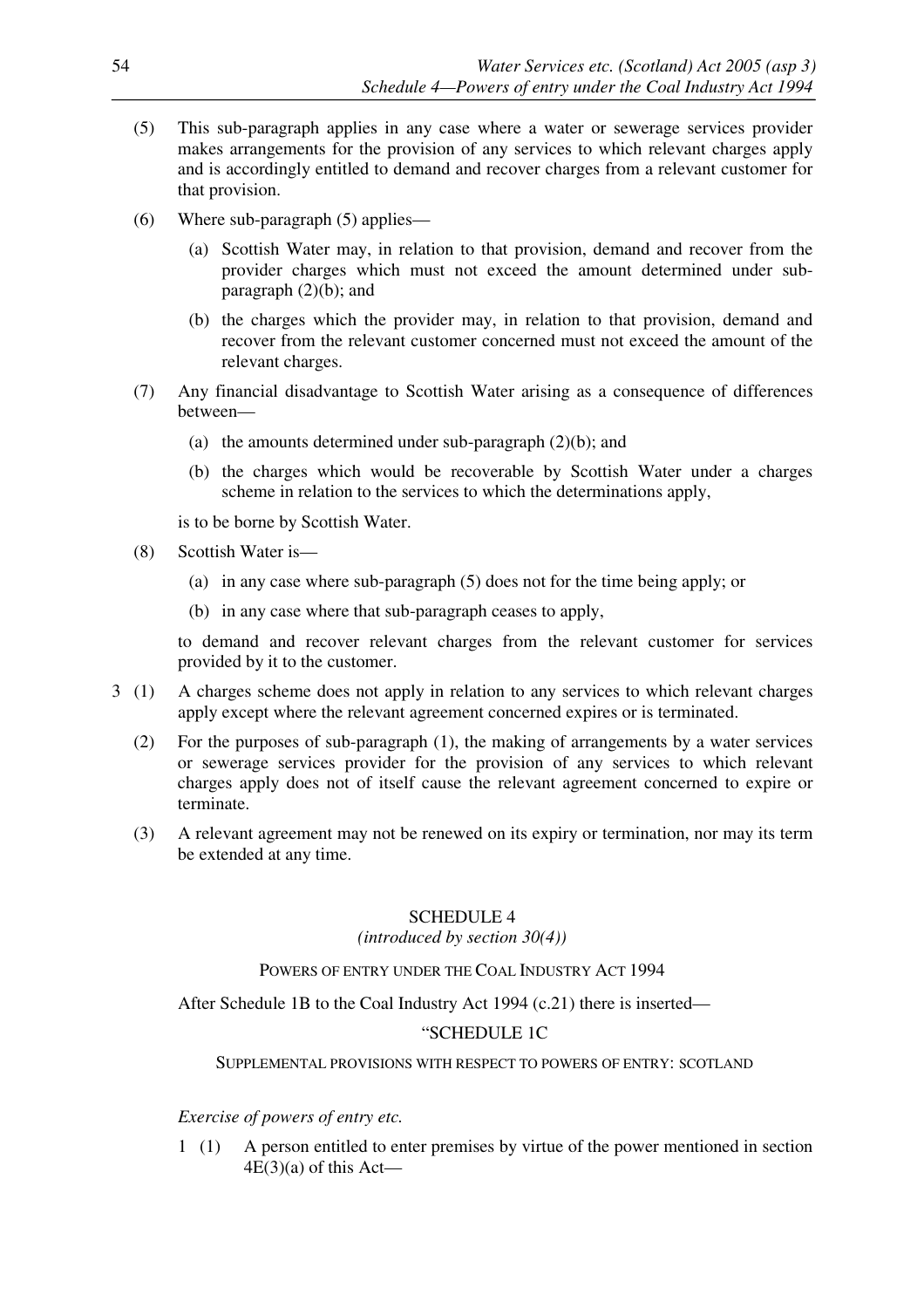- (5) This sub-paragraph applies in any case where a water or sewerage services provider makes arrangements for the provision of any services to which relevant charges apply and is accordingly entitled to demand and recover charges from a relevant customer for that provision.
- (6) Where sub-paragraph (5) applies—
	- (a) Scottish Water may, in relation to that provision, demand and recover from the provider charges which must not exceed the amount determined under subparagraph  $(2)(b)$ ; and
	- (b) the charges which the provider may, in relation to that provision, demand and recover from the relevant customer concerned must not exceed the amount of the relevant charges.
- (7) Any financial disadvantage to Scottish Water arising as a consequence of differences between—
	- (a) the amounts determined under sub-paragraph  $(2)(b)$ ; and
	- (b) the charges which would be recoverable by Scottish Water under a charges scheme in relation to the services to which the determinations apply,

is to be borne by Scottish Water.

- (8) Scottish Water is—
	- (a) in any case where sub-paragraph (5) does not for the time being apply; or
	- (b) in any case where that sub-paragraph ceases to apply,

to demand and recover relevant charges from the relevant customer for services provided by it to the customer.

- 3 (1) A charges scheme does not apply in relation to any services to which relevant charges apply except where the relevant agreement concerned expires or is terminated.
	- (2) For the purposes of sub-paragraph (1), the making of arrangements by a water services or sewerage services provider for the provision of any services to which relevant charges apply does not of itself cause the relevant agreement concerned to expire or terminate.
	- (3) A relevant agreement may not be renewed on its expiry or termination, nor may its term be extended at any time.

#### SCHEDULE 4

## *(introduced by section 30(4))*

## POWERS OF ENTRY UNDER THE COAL INDUSTRY ACT 1994

After Schedule 1B to the Coal Industry Act 1994 (c.21) there is inserted—

## "SCHEDULE 1C

## SUPPLEMENTAL PROVISIONS WITH RESPECT TO POWERS OF ENTRY: SCOTLAND

## *Exercise of powers of entry etc.*

1 (1) A person entitled to enter premises by virtue of the power mentioned in section  $4E(3)(a)$  of this Act—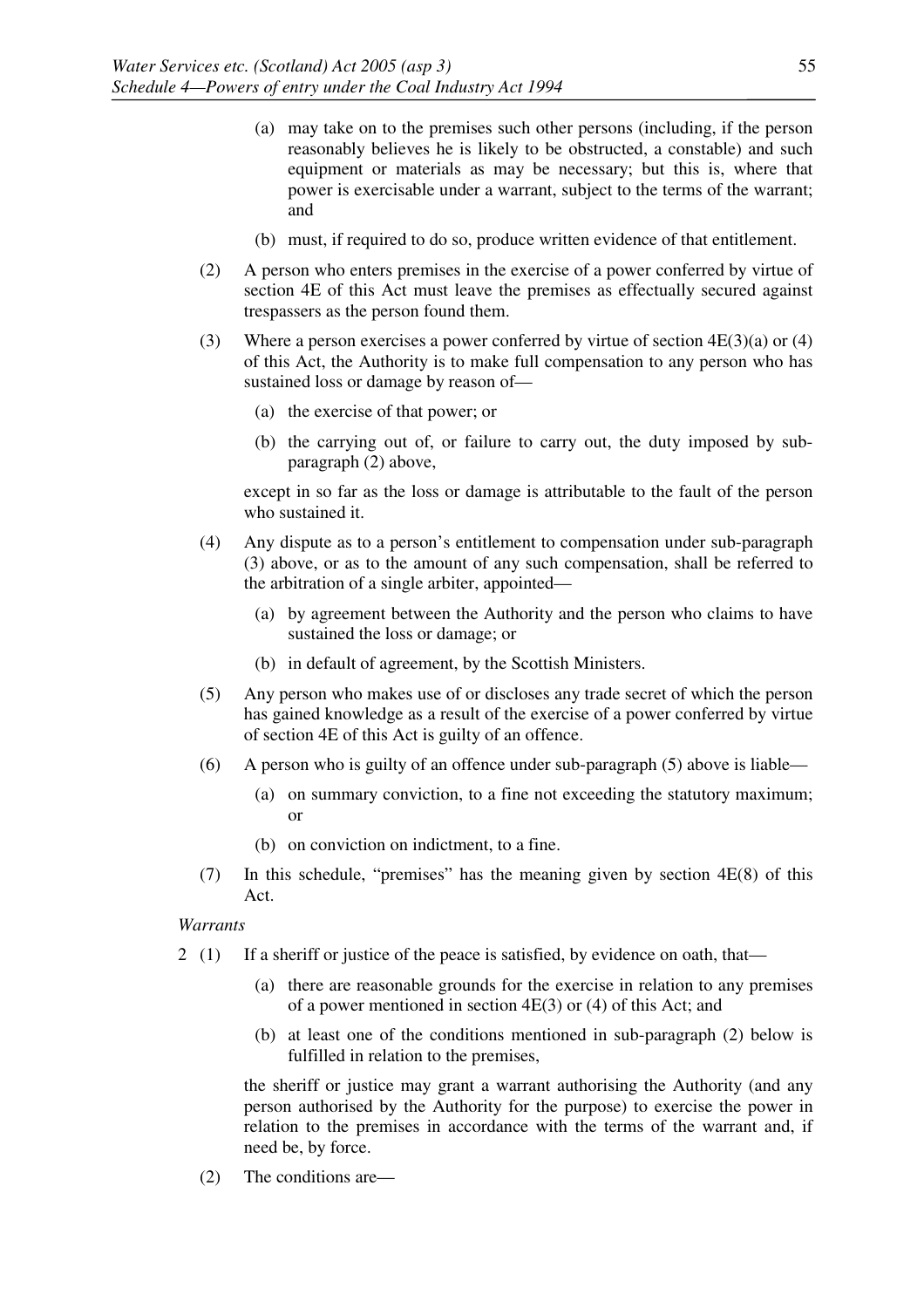- (a) may take on to the premises such other persons (including, if the person reasonably believes he is likely to be obstructed, a constable) and such equipment or materials as may be necessary; but this is, where that power is exercisable under a warrant, subject to the terms of the warrant; and
- (b) must, if required to do so, produce written evidence of that entitlement.
- (2) A person who enters premises in the exercise of a power conferred by virtue of section 4E of this Act must leave the premises as effectually secured against trespassers as the person found them.
- (3) Where a person exercises a power conferred by virtue of section  $4E(3)(a)$  or  $(4)$ of this Act, the Authority is to make full compensation to any person who has sustained loss or damage by reason of—
	- (a) the exercise of that power; or
	- (b) the carrying out of, or failure to carry out, the duty imposed by subparagraph (2) above,

 except in so far as the loss or damage is attributable to the fault of the person who sustained it.

- (4) Any dispute as to a person's entitlement to compensation under sub-paragraph (3) above, or as to the amount of any such compensation, shall be referred to the arbitration of a single arbiter, appointed—
	- (a) by agreement between the Authority and the person who claims to have sustained the loss or damage; or
	- (b) in default of agreement, by the Scottish Ministers.
- (5) Any person who makes use of or discloses any trade secret of which the person has gained knowledge as a result of the exercise of a power conferred by virtue of section 4E of this Act is guilty of an offence.
- (6) A person who is guilty of an offence under sub-paragraph (5) above is liable—
	- (a) on summary conviction, to a fine not exceeding the statutory maximum; or
	- (b) on conviction on indictment, to a fine.
- (7) In this schedule, "premises" has the meaning given by section 4E(8) of this Act.

*Warrants* 

- 2 (1) If a sheriff or justice of the peace is satisfied, by evidence on oath, that—
	- (a) there are reasonable grounds for the exercise in relation to any premises of a power mentioned in section 4E(3) or (4) of this Act; and
	- (b) at least one of the conditions mentioned in sub-paragraph (2) below is fulfilled in relation to the premises,

 the sheriff or justice may grant a warrant authorising the Authority (and any person authorised by the Authority for the purpose) to exercise the power in relation to the premises in accordance with the terms of the warrant and, if need be, by force.

(2) The conditions are—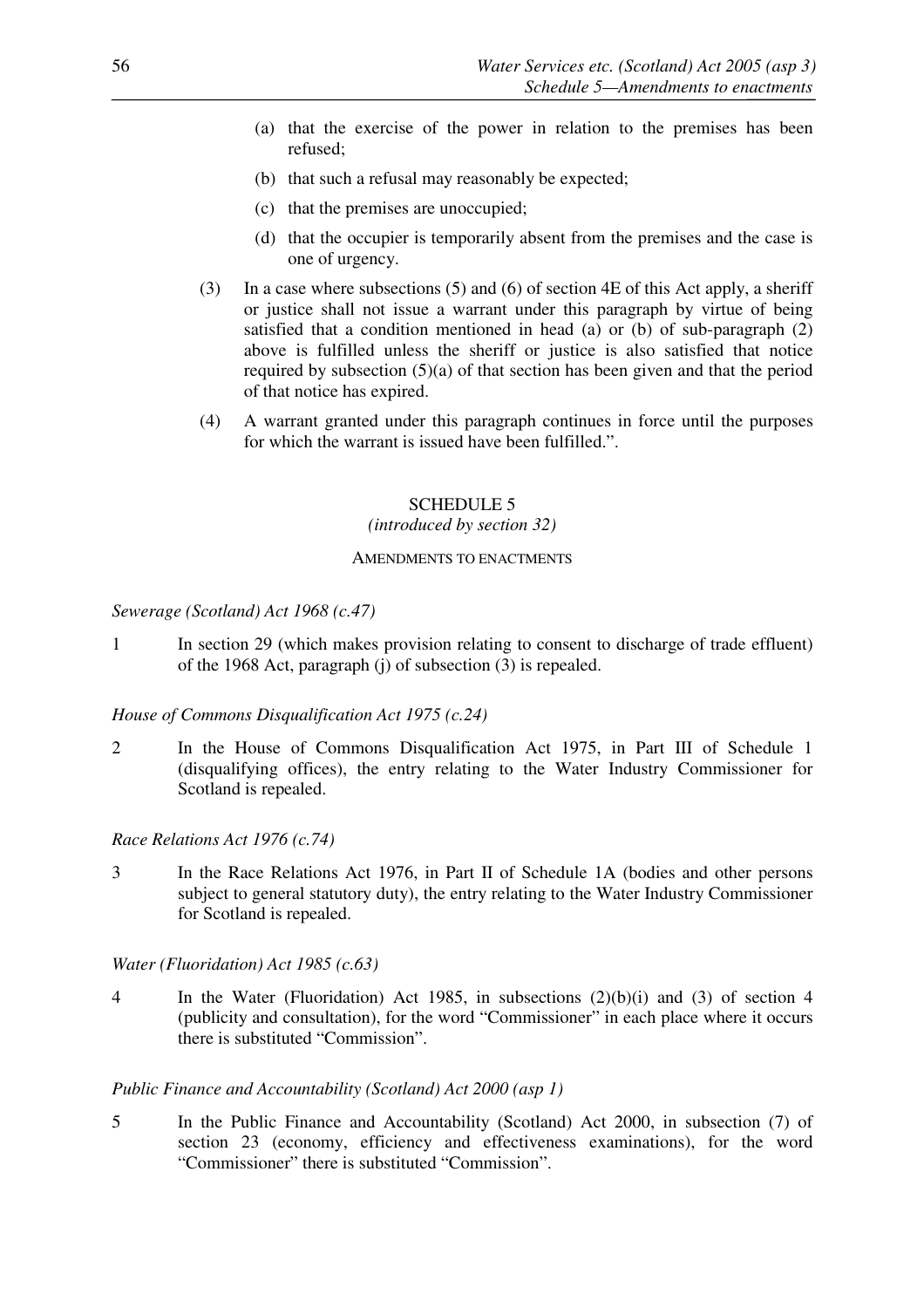- (a) that the exercise of the power in relation to the premises has been refused;
- (b) that such a refusal may reasonably be expected;
- (c) that the premises are unoccupied;
- (d) that the occupier is temporarily absent from the premises and the case is one of urgency.
- (3) In a case where subsections (5) and (6) of section 4E of this Act apply, a sheriff or justice shall not issue a warrant under this paragraph by virtue of being satisfied that a condition mentioned in head (a) or (b) of sub-paragraph (2) above is fulfilled unless the sheriff or justice is also satisfied that notice required by subsection (5)(a) of that section has been given and that the period of that notice has expired.
- (4) A warrant granted under this paragraph continues in force until the purposes for which the warrant is issued have been fulfilled."

# SCHEDULE 5

#### *(introduced by section 32)*

#### AMENDMENTS TO ENACTMENTS

#### *Sewerage (Scotland) Act 1968 (c.47)*

1 In section 29 (which makes provision relating to consent to discharge of trade effluent) of the 1968 Act, paragraph (j) of subsection (3) is repealed.

#### *House of Commons Disqualification Act 1975 (c.24)*

2 In the House of Commons Disqualification Act 1975, in Part III of Schedule 1 (disqualifying offices), the entry relating to the Water Industry Commissioner for Scotland is repealed.

## *Race Relations Act 1976 (c.74)*

3 In the Race Relations Act 1976, in Part II of Schedule 1A (bodies and other persons subject to general statutory duty), the entry relating to the Water Industry Commissioner for Scotland is repealed.

#### *Water (Fluoridation) Act 1985 (c.63)*

4 In the Water (Fluoridation) Act 1985, in subsections (2)(b)(i) and (3) of section 4 (publicity and consultation), for the word "Commissioner" in each place where it occurs there is substituted "Commission".

#### *Public Finance and Accountability (Scotland) Act 2000 (asp 1)*

5 In the Public Finance and Accountability (Scotland) Act 2000, in subsection (7) of section 23 (economy, efficiency and effectiveness examinations), for the word "Commissioner" there is substituted "Commission".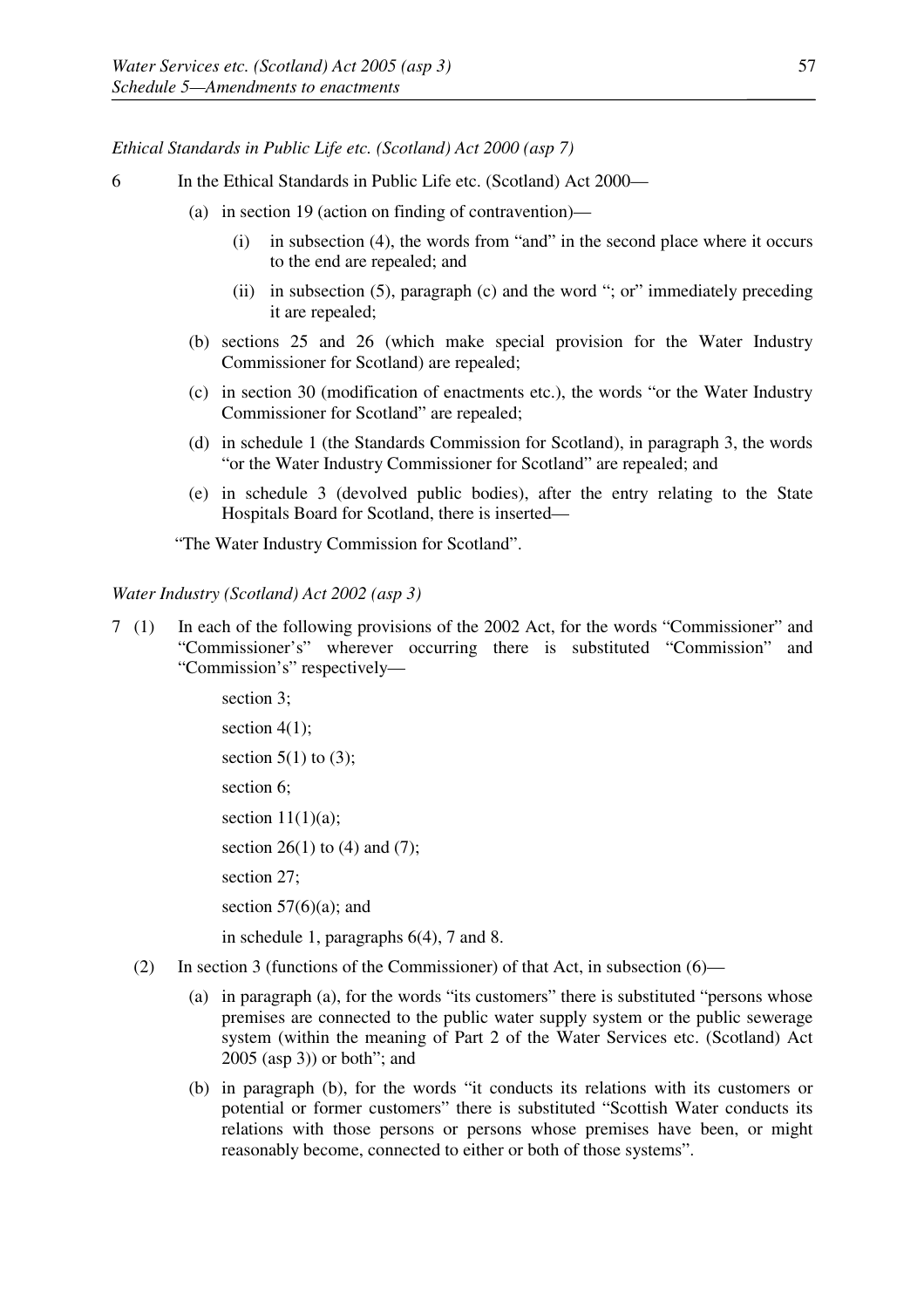*Ethical Standards in Public Life etc. (Scotland) Act 2000 (asp 7)* 

- 6 In the Ethical Standards in Public Life etc. (Scotland) Act 2000—
	- (a) in section 19 (action on finding of contravention)—
		- (i) in subsection (4), the words from "and" in the second place where it occurs to the end are repealed; and
		- (ii) in subsection (5), paragraph (c) and the word "; or" immediately preceding it are repealed;
	- (b) sections 25 and 26 (which make special provision for the Water Industry Commissioner for Scotland) are repealed;
	- (c) in section 30 (modification of enactments etc.), the words "or the Water Industry Commissioner for Scotland" are repealed;
	- (d) in schedule 1 (the Standards Commission for Scotland), in paragraph 3, the words "or the Water Industry Commissioner for Scotland" are repealed; and
	- (e) in schedule 3 (devolved public bodies), after the entry relating to the State Hospitals Board for Scotland, there is inserted—

"The Water Industry Commission for Scotland".

#### *Water Industry (Scotland) Act 2002 (asp 3)*

7 (1) In each of the following provisions of the 2002 Act, for the words "Commissioner" and "Commissioner's" wherever occurring there is substituted "Commission" and "Commission's" respectively—

> section 3; section  $4(1)$ ; section  $5(1)$  to  $(3)$ ; section 6; section  $11(1)(a)$ ; section 26(1) to (4) and (7); section 27: section  $57(6)(a)$ ; and

in schedule 1, paragraphs 6(4), 7 and 8.

- (2) In section 3 (functions of the Commissioner) of that Act, in subsection  $(6)$ 
	- (a) in paragraph (a), for the words "its customers" there is substituted "persons whose premises are connected to the public water supply system or the public sewerage system (within the meaning of Part 2 of the Water Services etc. (Scotland) Act 2005 (asp 3)) or both"; and
	- (b) in paragraph (b), for the words "it conducts its relations with its customers or potential or former customers" there is substituted "Scottish Water conducts its relations with those persons or persons whose premises have been, or might reasonably become, connected to either or both of those systems".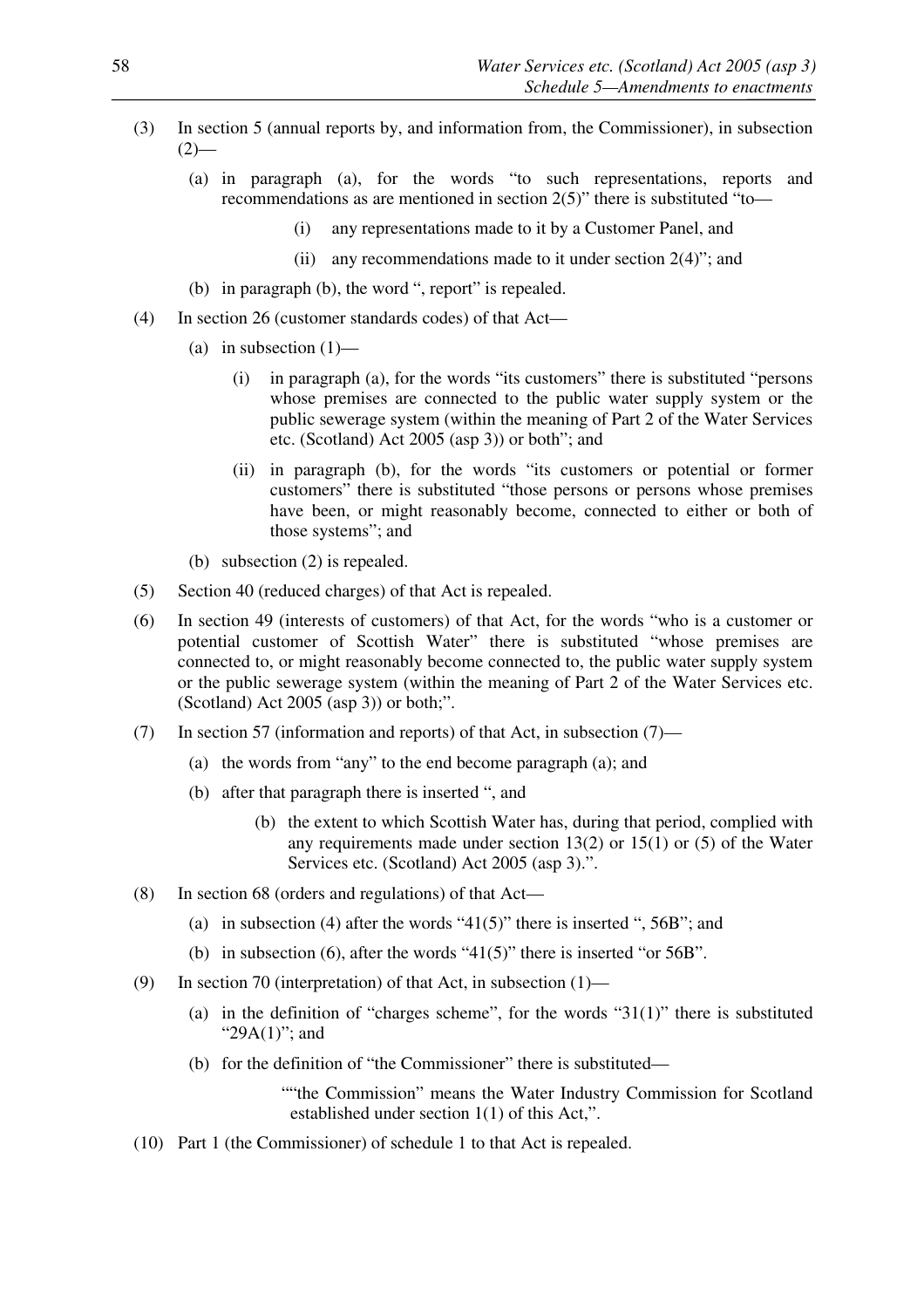- (3) In section 5 (annual reports by, and information from, the Commissioner), in subsection  $(2)$ —
	- (a) in paragraph (a), for the words "to such representations, reports and recommendations as are mentioned in section 2(5)" there is substituted "to—
		- (i) any representations made to it by a Customer Panel, and
		- (ii) any recommendations made to it under section 2(4)"; and
	- (b) in paragraph (b), the word ", report" is repealed.
- (4) In section 26 (customer standards codes) of that Act—
	- (a) in subsection  $(1)$ 
		- (i) in paragraph (a), for the words "its customers" there is substituted "persons whose premises are connected to the public water supply system or the public sewerage system (within the meaning of Part 2 of the Water Services etc. (Scotland) Act 2005 (asp 3)) or both"; and
		- (ii) in paragraph (b), for the words "its customers or potential or former customers" there is substituted "those persons or persons whose premises have been, or might reasonably become, connected to either or both of those systems"; and
	- (b) subsection (2) is repealed.
- (5) Section 40 (reduced charges) of that Act is repealed.
- (6) In section 49 (interests of customers) of that Act, for the words "who is a customer or potential customer of Scottish Water" there is substituted "whose premises are connected to, or might reasonably become connected to, the public water supply system or the public sewerage system (within the meaning of Part 2 of the Water Services etc. (Scotland) Act 2005 (asp 3)) or both;".
- (7) In section 57 (information and reports) of that Act, in subsection (7)—
	- (a) the words from "any" to the end become paragraph (a); and
	- (b) after that paragraph there is inserted ", and
		- (b) the extent to which Scottish Water has, during that period, complied with any requirements made under section  $13(2)$  or  $15(1)$  or  $(5)$  of the Water Services etc. (Scotland) Act 2005 (asp 3).".
- (8) In section 68 (orders and regulations) of that Act—
	- (a) in subsection (4) after the words "41(5)" there is inserted ", 56B"; and
	- (b) in subsection (6), after the words " $41(5)$ " there is inserted "or 56B".
- (9) In section 70 (interpretation) of that Act, in subsection (1)—
	- (a) in the definition of "charges scheme", for the words " $31(1)$ " there is substituted "29A(1)"; and
	- (b) for the definition of "the Commissioner" there is substituted—
		- ""the Commission" means the Water Industry Commission for Scotland established under section 1(1) of this Act,".
- (10) Part 1 (the Commissioner) of schedule 1 to that Act is repealed.